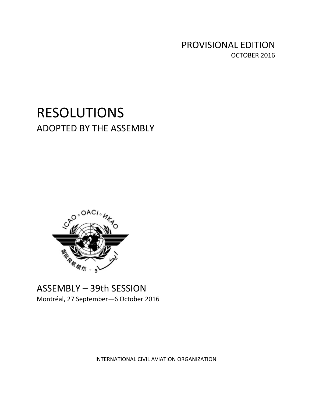PROVISIONAL EDITION OCTOBER 2016

# RESOLUTIONS ADOPTED BY THE ASSEMBLY



# ASSEMBLY – 39th SESSION Montréal, 27 September—6 October 2016

INTERNATIONAL CIVIL AVIATION ORGANIZATION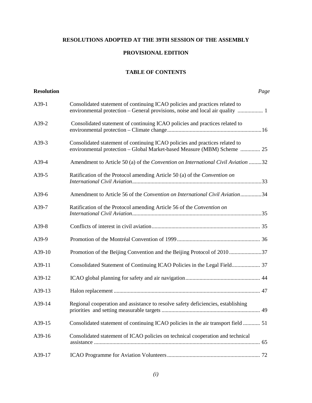## **RESOLUTIONS ADOPTED AT THE 39TH SESSION OF THE ASSEMBLY**

### **PROVISIONAL EDITION**

#### **TABLE OF CONTENTS**

<span id="page-2-0"></span>

| <b>Resolution</b> |                                                                                                                                                        | Page |
|-------------------|--------------------------------------------------------------------------------------------------------------------------------------------------------|------|
| A39-1             | Consolidated statement of continuing ICAO policies and practices related to                                                                            |      |
| A39-2             | Consolidated statement of continuing ICAO policies and practices related to                                                                            |      |
| A39-3             | Consolidated statement of continuing ICAO policies and practices related to<br>environmental protection - Global Market-based Measure (MBM) Scheme  25 |      |
| A39-4             | Amendment to Article 50 (a) of the Convention on International Civil Aviation 32                                                                       |      |
| A39-5             | Ratification of the Protocol amending Article 50 (a) of the Convention on                                                                              |      |
| A39-6             | Amendment to Article 56 of the Convention on International Civil Aviation34                                                                            |      |
| A39-7             | Ratification of the Protocol amending Article 56 of the Convention on                                                                                  |      |
| A39-8             |                                                                                                                                                        |      |
| A39-9             |                                                                                                                                                        |      |
| A39-10            | Promotion of the Beijing Convention and the Beijing Protocol of 201037                                                                                 |      |
| A39-11            | Consolidated Statement of Continuing ICAO Policies in the Legal Field 37                                                                               |      |
| A39-12            |                                                                                                                                                        |      |
| A39-13            |                                                                                                                                                        |      |
| A39-14            | Regional cooperation and assistance to resolve safety deficiencies, establishing                                                                       |      |
| A39-15            | Consolidated statement of continuing ICAO policies in the air transport field  51                                                                      |      |
| A39-16            | Consolidated statement of ICAO policies on technical cooperation and technical                                                                         |      |
| A39-17            |                                                                                                                                                        |      |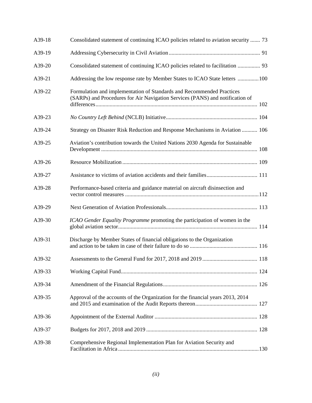| A39-18 | Consolidated statement of continuing ICAO policies related to aviation security  73                                                                    |  |
|--------|--------------------------------------------------------------------------------------------------------------------------------------------------------|--|
| A39-19 |                                                                                                                                                        |  |
| A39-20 | Consolidated statement of continuing ICAO policies related to facilitation  93                                                                         |  |
| A39-21 | Addressing the low response rate by Member States to ICAO State letters 100                                                                            |  |
| A39-22 | Formulation and implementation of Standards and Recommended Practices<br>(SARPs) and Procedures for Air Navigation Services (PANS) and notification of |  |
| A39-23 |                                                                                                                                                        |  |
| A39-24 | Strategy on Disaster Risk Reduction and Response Mechanisms in Aviation  106                                                                           |  |
| A39-25 | Aviation's contribution towards the United Nations 2030 Agenda for Sustainable                                                                         |  |
| A39-26 |                                                                                                                                                        |  |
| A39-27 |                                                                                                                                                        |  |
| A39-28 | Performance-based criteria and guidance material on aircraft disinsection and                                                                          |  |
| A39-29 |                                                                                                                                                        |  |
| A39-30 | ICAO Gender Equality Programme promoting the participation of women in the                                                                             |  |
| A39-31 | Discharge by Member States of financial obligations to the Organization                                                                                |  |
| A39-32 |                                                                                                                                                        |  |
| A39-33 |                                                                                                                                                        |  |
| A39-34 |                                                                                                                                                        |  |
| A39-35 | Approval of the accounts of the Organization for the financial years 2013, 2014                                                                        |  |
| A39-36 |                                                                                                                                                        |  |
| A39-37 |                                                                                                                                                        |  |
| A39-38 | Comprehensive Regional Implementation Plan for Aviation Security and                                                                                   |  |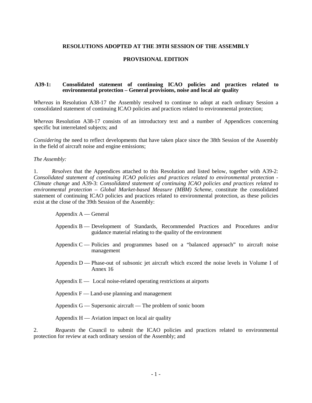#### **RESOLUTIONS ADOPTED AT THE 39TH SESSION OF THE ASSEMBLY**

#### **PROVISIONAL EDITION**

#### **A39-1: Consolidated statement of continuing ICAO policies and practices related to environmental protection – General provisions, noise and local air quality**

*Whereas* in Resolution A38-17 the Assembly resolved to continue to adopt at each ordinary Session a consolidated statement of continuing ICAO policies and practices related to environmental protection;

*Whereas* Resolution A38-17 consists of an introductory text and a number of Appendices concerning specific but interrelated subjects; and

*Considering* the need to reflect developments that have taken place since the 38th Session of the Assembly in the field of aircraft noise and engine emissions;

*The Assembly:*

1. *Resolves* that the Appendices attached to this Resolution and listed below, together with A39-2: *Consolidated statement of continuing ICAO policies and practices related to environmental protection - Climate change* and A39-3: *Consolidated statement of continuing ICAO policies and practices related to environmental protection – Global Market-based Measure (MBM) Scheme*, constitute the consolidated statement of continuing ICAO policies and practices related to environmental protection, as these policies exist at the close of the 39th Session of the Assembly:

Appendix A — General

- Appendix B Development of Standards, Recommended Practices and Procedures and/or guidance material relating to the quality of the environment
- Appendix C Policies and programmes based on a "balanced approach" to aircraft noise management
- Appendix D Phase-out of subsonic jet aircraft which exceed the noise levels in Volume I of Annex 16
- Appendix  $E -$  Local noise-related operating restrictions at airports
- Appendix  $F -$  Land-use planning and management
- Appendix G Supersonic aircraft The problem of sonic boom

Appendix  $H -$  Aviation impact on local air quality

2. *Requests* the Council to submit the ICAO policies and practices related to environmental protection for review at each ordinary session of the Assembly; and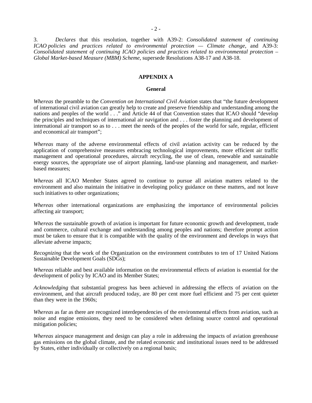3. *Declares* that this resolution, together with A39-2: *Consolidated statement of continuing ICAO policies and practices related to environmental protection — Climate change*, and A39-3: *Consolidated statement of continuing ICAO policies and practices related to environmental protection – Global Market-based Measure (MBM) Scheme*, supersede Resolutions A38-17 and A38-18.

#### **APPENDIX A**

#### **General**

*Whereas* the preamble to the *Convention on International Civil Aviation* states that "the future development of international civil aviation can greatly help to create and preserve friendship and understanding among the nations and peoples of the world . . ." and Article 44 of that Convention states that ICAO should "develop the principles and techniques of international air navigation and . . . foster the planning and development of international air transport so as to . . . meet the needs of the peoples of the world for safe, regular, efficient and economical air transport";

*Whereas* many of the adverse environmental effects of civil aviation activity can be reduced by the application of comprehensive measures embracing technological improvements, more efficient air traffic management and operational procedures, aircraft recycling, the use of clean, renewable and sustainable energy sources, the appropriate use of airport planning, land-use planning and management, and marketbased measures;

*Whereas* all ICAO Member States agreed to continue to pursue all aviation matters related to the environment and also maintain the initiative in developing policy guidance on these matters, and not leave such initiatives to other organizations;

*Whereas* other international organizations are emphasizing the importance of environmental policies affecting air transport;

*Whereas* the sustainable growth of aviation is important for future economic growth and development, trade and commerce, cultural exchange and understanding among peoples and nations; therefore prompt action must be taken to ensure that it is compatible with the quality of the environment and develops in ways that alleviate adverse impacts;

*Recognizing* that the work of the Organization on the environment contributes to ten of 17 United Nations Sustainable Development Goals (SDGs);

*Whereas* reliable and best available information on the environmental effects of aviation is essential for the development of policy by ICAO and its Member States;

*Acknowledging* that substantial progress has been achieved in addressing the effects of aviation on the environment, and that aircraft produced today, are 80 per cent more fuel efficient and 75 per cent quieter than they were in the 1960s;

*Whereas* as far as there are recognized interdependencies of the environmental effects from aviation, such as noise and engine emissions, they need to be considered when defining source control and operational mitigation policies;

*Whereas* airspace management and design can play a role in addressing the impacts of aviation greenhouse gas emissions on the global climate, and the related economic and institutional issues need to be addressed by States, either individually or collectively on a regional basis;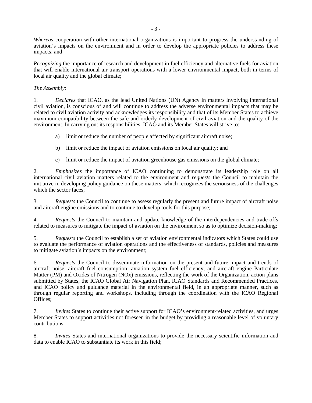*Whereas* cooperation with other international organizations is important to progress the understanding of aviation's impacts on the environment and in order to develop the appropriate policies to address these impacts; and

*Recognizing* the importance of research and development in fuel efficiency and alternative fuels for aviation that will enable international air transport operations with a lower environmental impact, both in terms of local air quality and the global climate;

#### *The Assembly:*

1. *Declares* that ICAO, as the lead United Nations (UN) Agency in matters involving international civil aviation, is conscious of and will continue to address the adverse environmental impacts that may be related to civil aviation activity and acknowledges its responsibility and that of its Member States to achieve maximum compatibility between the safe and orderly development of civil aviation and the quality of the environment. In carrying out its responsibilities, ICAO and its Member States will strive to:

- a) limit or reduce the number of people affected by significant aircraft noise;
- b) limit or reduce the impact of aviation emissions on local air quality; and
- c) limit or reduce the impact of aviation greenhouse gas emissions on the global climate;

2. *Emphasizes* the importance of ICAO continuing to demonstrate its leadership role on all international civil aviation matters related to the environment and *requests* the Council to maintain the initiative in developing policy guidance on these matters, which recognizes the seriousness of the challenges which the sector faces;

3. *Requests* the Council to continue to assess regularly the present and future impact of aircraft noise and aircraft engine emissions and to continue to develop tools for this purpose;

4. *Requests* the Council to maintain and update knowledge of the interdependencies and trade-offs related to measures to mitigate the impact of aviation on the environment so as to optimize decision-making;

5. *Requests* the Council to establish a set of aviation environmental indicators which States could use to evaluate the performance of aviation operations and the effectiveness of standards, policies and measures to mitigate aviation's impacts on the environment;

6. *Requests* the Council to disseminate information on the present and future impact and trends of aircraft noise, aircraft fuel consumption, aviation system fuel efficiency, and aircraft engine Particulate Matter (PM) and Oxides of Nitrogen (NOx) emissions, reflecting the work of the Organization, action plans submitted by States, the ICAO Global Air Navigation Plan, ICAO Standards and Recommended Practices, and ICAO policy and guidance material in the environmental field, in an appropriate manner, such as through regular reporting and workshops, including through the coordination with the ICAO Regional Offices;

7. *Invites* States to continue their active support for ICAO's environment-related activities, and urges Member States to support activities not foreseen in the budget by providing a reasonable level of voluntary contributions;

8. *Invites* States and international organizations to provide the necessary scientific information and data to enable ICAO to substantiate its work in this field;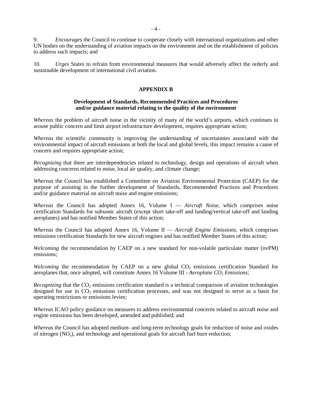9. *Encourages* the Council to continue to cooperate closely with international organizations and other UN bodies on the understanding of aviation impacts on the environment and on the establishment of policies to address such impacts; and

10. *Urges* States to refrain from environmental measures that would adversely affect the orderly and sustainable development of international civil aviation.

#### **APPENDIX B**

#### **Development of Standards, Recommended Practices and Procedures and/or guidance material relating to the quality of the environment**

*Whereas* the problem of aircraft noise in the vicinity of many of the world's airports, which continues to arouse public concern and limit airport infrastructure development, requires appropriate action;

*Whereas* the scientific community is improving the understanding of uncertainties associated with the environmental impact of aircraft emissions at both the local and global levels, this impact remains a cause of concern and requires appropriate action;

*Recognizing* that there are interdependencies related to technology, design and operations of aircraft when addressing concerns related to noise, local air quality, and climate change;

*Whereas* the Council has established a Committee on Aviation Environmental Protection (CAEP) for the purpose of assisting in the further development of Standards, Recommended Practices and Procedures and/or guidance material on aircraft noise and engine emissions;

*Whereas* the Council has adopted Annex 16, Volume I — *Aircraft Noise*, which comprises noise certification Standards for subsonic aircraft (except short take-off and landing/vertical take-off and landing aeroplanes) and has notified Member States of this action;

*Whereas* the Council has adopted Annex 16, Volume II — *Aircraft Engine Emissions*, which comprises emissions certification Standards for new aircraft engines and has notified Member States of this action;

*Welcoming* the recommendation by CAEP on a new standard for non-volatile particulate matter (nvPM) emissions;

*Welcoming* the recommendation by CAEP on a new global  $CO<sub>2</sub>$  emissions certification Standard for aeroplanes that, once adopted, will constitute Annex 16 Volume III - *Aeroplane CO<sub>2</sub> Emissions*;

*Recognizing* that the CO<sub>2</sub> emissions certification standard is a technical comparison of aviation technologies designed for use in  $CO_2$  emissions certification processes, and was not designed to serve as a basis for operating restrictions or emissions levies;

*Whereas* ICAO policy guidance on measures to address environmental concerns related to aircraft noise and engine emissions has been developed, amended and published; and

*Whereas* the Council has adopted medium- and long-term technology goals for reduction of noise and oxides of nitrogen  $(NO<sub>x</sub>)$ , and technology and operational goals for aircraft fuel burn reduction;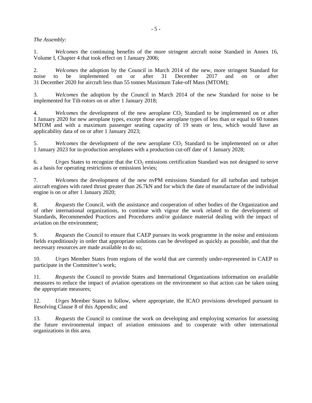#### *The Assembly:*

1. *Welcomes* the continuing benefits of the more stringent aircraft noise Standard in Annex 16, Volume I, Chapter 4 that took effect on 1 January 2006;

2. *Welcomes* the adoption by the Council in March 2014 of the new, more stringent Standard for noise to be implemented on or after 31 December 2017 and on or after 31 December 2020 for aircraft less than 55 tonnes Maximum Take-off Mass (MTOM);

3. *Welcomes* the adoption by the Council in March 2014 of the new Standard for noise to be implemented for Tilt-rotors on or after 1 January 2018;

4. *Welcomes* the development of the new aeroplane CO<sub>2</sub> Standard to be implemented on or after 1 January 2020 for new aeroplane types, except those new aeroplane types of less than or equal to 60 tonnes MTOM and with a maximum passenger seating capacity of 19 seats or less, which would have an applicability data of on or after 1 January 2023;

5. *Welcomes* the development of the new aeroplane CO<sub>2</sub> Standard to be implemented on or after 1 January 2023 for in-production aeroplanes with a production cut-off date of 1 January 2028;

6. *Urges* States to recognize that the CO2 emissions certification Standard was not designed to serve as a basis for operating restrictions or emissions levies;

7. *Welcomes* the development of the new nvPM emissions Standard for all turbofan and turbojet aircraft engines with rated thrust greater than 26.7kN and for which the date of manufacture of the individual engine is on or after 1 January 2020;

8. *Requests* the Council, with the assistance and cooperation of other bodies of the Organization and of other international organizations, to continue with vigour the work related to the development of Standards, Recommended Practices and Procedures and/or guidance material dealing with the impact of aviation on the environment;

9. *Requests* the Council to ensure that CAEP pursues its work programme in the noise and emissions fields expeditiously in order that appropriate solutions can be developed as quickly as possible, and that the necessary resources are made available to do so;

10. *Urges* Member States from regions of the world that are currently under-represented in CAEP to participate in the Committee's work;

11. *Requests* the Council to provide States and International Organizations information on available measures to reduce the impact of aviation operations on the environment so that action can be taken using the appropriate measures;

12. *Urges* Member States to follow, where appropriate, the ICAO provisions developed pursuant to Resolving Clause 8 of this Appendix; and

13. *Requests* the Council to continue the work on developing and employing scenarios for assessing the future environmental impact of aviation emissions and to cooperate with other international organizations in this area.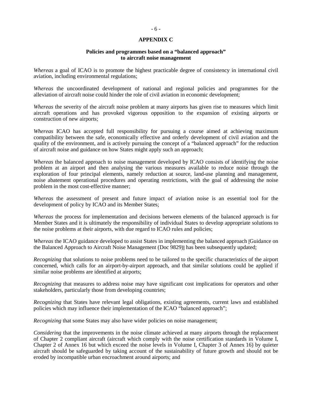#### **APPENDIX C**

#### **Policies and programmes based on a "balanced approach" to aircraft noise management**

*Whereas* a goal of ICAO is to promote the highest practicable degree of consistency in international civil aviation, including environmental regulations;

*Whereas* the uncoordinated development of national and regional policies and programmes for the alleviation of aircraft noise could hinder the role of civil aviation in economic development;

*Whereas* the severity of the aircraft noise problem at many airports has given rise to measures which limit aircraft operations and has provoked vigorous opposition to the expansion of existing airports or construction of new airports;

*Whereas* ICAO has accepted full responsibility for pursuing a course aimed at achieving maximum compatibility between the safe, economically effective and orderly development of civil aviation and the quality of the environment, and is actively pursuing the concept of a "balanced approach" for the reduction of aircraft noise and guidance on how States might apply such an approach;

*Whereas* the balanced approach to noise management developed by ICAO consists of identifying the noise problem at an airport and then analysing the various measures available to reduce noise through the exploration of four principal elements, namely reduction at source, land-use planning and management, noise abatement operational procedures and operating restrictions, with the goal of addressing the noise problem in the most cost-effective manner;

*Whereas* the assessment of present and future impact of aviation noise is an essential tool for the development of policy by ICAO and its Member States;

*Whereas* the process for implementation and decisions between elements of the balanced approach is for Member States and it is ultimately the responsibility of individual States to develop appropriate solutions to the noise problems at their airports, with due regard to ICAO rules and policies;

*Whereas* the ICAO guidance developed to assist States in implementing the balanced approach [Guidance on the Balanced Approach to Aircraft Noise Management (Doc 9829)] has been subsequently updated;

*Recognizing* that solutions to noise problems need to be tailored to the specific characteristics of the airport concerned, which calls for an airport-by-airport approach, and that similar solutions could be applied if similar noise problems are identified at airports;

*Recognizing* that measures to address noise may have significant cost implications for operators and other stakeholders, particularly those from developing countries;

*Recognizing* that States have relevant legal obligations, existing agreements, current laws and established policies which may influence their implementation of the ICAO "balanced approach";

*Recognizing* that some States may also have wider policies on noise management;

*Considering* that the improvements in the noise climate achieved at many airports through the replacement of Chapter 2 compliant aircraft (aircraft which comply with the noise certification standards in Volume I, Chapter 2 of Annex 16 but which exceed the noise levels in Volume I, Chapter 3 of Annex 16) by quieter aircraft should be safeguarded by taking account of the sustainability of future growth and should not be eroded by incompatible urban encroachment around airports; and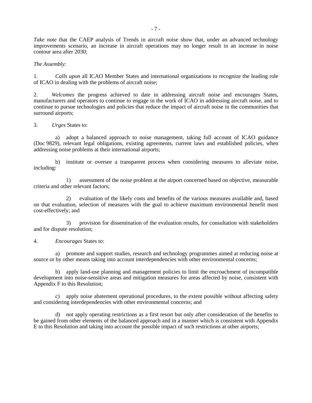*Take note* that the CAEP analysis of Trends in aircraft noise show that, under an advanced technology improvements scenario, an increase in aircraft operations may no longer result in an increase in noise contour area after 2030;

*The Assembly:*

1. *Calls upon* all ICAO Member States and international organizations to recognize the leading role of ICAO in dealing with the problems of aircraft noise;

2. *Welcomes* the progress achieved to date in addressing aircraft noise and encourages States, manufacturers and operators to continue to engage in the work of ICAO in addressing aircraft noise, and to continue to pursue technologies and policies that reduce the impact of aircraft noise in the communities that surround airports:

3. *Urges* States to:

a) adopt a balanced approach to noise management, taking full account of ICAO guidance (Doc 9829), relevant legal obligations, existing agreements, current laws and established policies, when addressing noise problems at their international airports;

 b) institute or oversee a transparent process when considering measures to alleviate noise, including:

 1) assessment of the noise problem at the airport concerned based on objective, measurable criteria and other relevant factors;

 2) evaluation of the likely costs and benefits of the various measures available and, based on that evaluation, selection of measures with the goal to achieve maximum environmental benefit most cost-effectively; and

 3) provision for dissemination of the evaluation results, for consultation with stakeholders and for dispute resolution;

4. *Encourages* States to:

a) promote and support studies, research and technology programmes aimed at reducing noise at source or by other means taking into account interdependencies with other environmental concerns;

 b) apply land-use planning and management policies to limit the encroachment of incompatible development into noise-sensitive areas and mitigation measures for areas affected by noise, consistent with Appendix F to this Resolution;

c) apply noise abatement operational procedures, to the extent possible without affecting safety and considering interdependencies with other environmental concerns; and

 d) not apply operating restrictions as a first resort but only after consideration of the benefits to be gained from other elements of the balanced approach and in a manner which is consistent with Appendix E to this Resolution and taking into account the possible impact of such restrictions at other airports;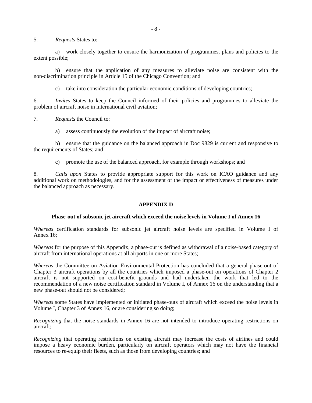5. *Requests* States to:

a) work closely together to ensure the harmonization of programmes, plans and policies to the extent possible;

 b) ensure that the application of any measures to alleviate noise are consistent with the non-discrimination principle in Article 15 of the Chicago Convention; and

c) take into consideration the particular economic conditions of developing countries;

6. *Invites* States to keep the Council informed of their policies and programmes to alleviate the problem of aircraft noise in international civil aviation;

7. *Requests* the Council to:

a) assess continuously the evolution of the impact of aircraft noise;

 b) ensure that the guidance on the balanced approach in Doc 9829 is current and responsive to the requirements of States; and

c) promote the use of the balanced approach, for example through workshops; and

8. *Calls upon* States to provide appropriate support for this work on ICAO guidance and any additional work on methodologies, and for the assessment of the impact or effectiveness of measures under the balanced approach as necessary.

#### **APPENDIX D**

#### **Phase-out of subsonic jet aircraft which exceed the noise levels in Volume I of Annex 16**

*Whereas* certification standards for subsonic jet aircraft noise levels are specified in Volume I of Annex 16;

*Whereas* for the purpose of this Appendix, a phase-out is defined as withdrawal of a noise-based category of aircraft from international operations at all airports in one or more States;

*Whereas* the Committee on Aviation Environmental Protection has concluded that a general phase-out of Chapter 3 aircraft operations by all the countries which imposed a phase-out on operations of Chapter 2 aircraft is not supported on cost-benefit grounds and had undertaken the work that led to the recommendation of a new noise certification standard in Volume I, of Annex 16 on the understanding that a new phase-out should not be considered;

*Whereas* some States have implemented or initiated phase-outs of aircraft which exceed the noise levels in Volume I, Chapter 3 of Annex 16, or are considering so doing;

*Recognizing* that the noise standards in Annex 16 are not intended to introduce operating restrictions on aircraft;

*Recognizing* that operating restrictions on existing aircraft may increase the costs of airlines and could impose a heavy economic burden, particularly on aircraft operators which may not have the financial resources to re-equip their fleets, such as those from developing countries; and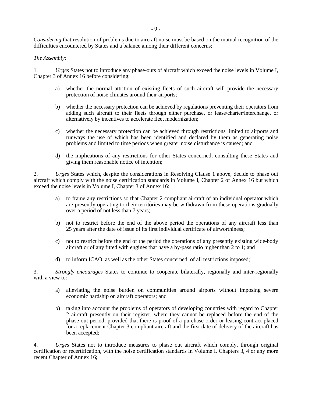*Considering* that resolution of problems due to aircraft noise must be based on the mutual recognition of the difficulties encountered by States and a balance among their different concerns;

#### *The Assembly*:

1. *Urges* States not to introduce any phase-outs of aircraft which exceed the noise levels in Volume I, Chapter 3 of Annex 16 before considering:

- a) whether the normal attrition of existing fleets of such aircraft will provide the necessary protection of noise climates around their airports;
- b) whether the necessary protection can be achieved by regulations preventing their operators from adding such aircraft to their fleets through either purchase, or lease/charter/interchange, or alternatively by incentives to accelerate fleet modernization;
- c) whether the necessary protection can be achieved through restrictions limited to airports and runways the use of which has been identified and declared by them as generating noise problems and limited to time periods when greater noise disturbance is caused; and
- d) the implications of any restrictions for other States concerned, consulting these States and giving them reasonable notice of intention;

2. *Urges* States which, despite the considerations in Resolving Clause 1 above, decide to phase out aircraft which comply with the noise certification standards in Volume I, Chapter 2 of Annex 16 but which exceed the noise levels in Volume I, Chapter 3 of Annex 16:

- a) to frame any restrictions so that Chapter 2 compliant aircraft of an individual operator which are presently operating to their territories may be withdrawn from these operations gradually over a period of not less than 7 years;
- b) not to restrict before the end of the above period the operations of any aircraft less than 25 years after the date of issue of its first individual certificate of airworthiness;
- c) not to restrict before the end of the period the operations of any presently existing wide-body aircraft or of any fitted with engines that have a by-pass ratio higher than 2 to 1; and
- d) to inform ICAO, as well as the other States concerned, of all restrictions imposed;

3. *Strongly encourages* States to continue to cooperate bilaterally, regionally and inter-regionally with a view to:

- a) alleviating the noise burden on communities around airports without imposing severe economic hardship on aircraft operators; and
- b) taking into account the problems of operators of developing countries with regard to Chapter 2 aircraft presently on their register, where they cannot be replaced before the end of the phase-out period, provided that there is proof of a purchase order or leasing contract placed for a replacement Chapter 3 compliant aircraft and the first date of delivery of the aircraft has been accepted;

4. *Urges* States not to introduce measures to phase out aircraft which comply, through original certification or recertification, with the noise certification standards in Volume I, Chapters 3, 4 or any more recent Chapter of Annex 16;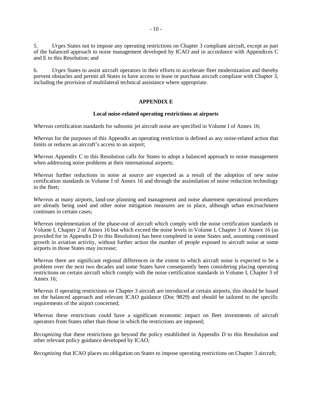5. *Urges* States not to impose any operating restrictions on Chapter 3 compliant aircraft, except as part of the balanced approach to noise management developed by ICAO and in accordance with Appendices C and E to this Resolution; and

6. *Urges* States to assist aircraft operators in their efforts to accelerate fleet modernization and thereby prevent obstacles and permit all States to have access to lease or purchase aircraft compliant with Chapter 3, including the provision of multilateral technical assistance where appropriate.

#### **APPENDIX E**

#### **Local noise-related operating restrictions at airports**

*Whereas* certification standards for subsonic jet aircraft noise are specified in Volume I of Annex 16;

*Whereas* for the purposes of this Appendix an operating restriction is defined as any noise-related action that limits or reduces an aircraft's access to an airport;

*Whereas* Appendix C to this Resolution calls for States to adopt a balanced approach to noise management when addressing noise problems at their international airports;

*Whereas* further reductions in noise at source are expected as a result of the adoption of new noise certification standards in Volume I of Annex 16 and through the assimilation of noise reduction technology in the fleet;

*Whereas* at many airports, land-use planning and management and noise abatement operational procedures are already being used and other noise mitigation measures are in place, although urban encroachment continues in certain cases;

*Whereas* implementation of the phase-out of aircraft which comply with the noise certification standards in Volume I, Chapter 2 of Annex 16 but which exceed the noise levels in Volume I, Chapter 3 of Annex 16 (as provided for in Appendix D to this Resolution) has been completed in some States and, assuming continued growth in aviation activity, without further action the number of people exposed to aircraft noise at some airports in those States may increase;

*Whereas* there are significant regional differences in the extent to which aircraft noise is expected to be a problem over the next two decades and some States have consequently been considering placing operating restrictions on certain aircraft which comply with the noise certification standards in Volume I, Chapter 3 of Annex 16;

*Whereas* if operating restrictions on Chapter 3 aircraft are introduced at certain airports, this should be based on the balanced approach and relevant ICAO guidance (Doc 9829) and should be tailored to the specific requirements of the airport concerned;

*Whereas* these restrictions could have a significant economic impact on fleet investments of aircraft operators from States other than those in which the restrictions are imposed;

*Recognizing* that these restrictions go beyond the policy established in Appendix D to this Resolution and other relevant policy guidance developed by ICAO;

*Recognizing* that ICAO places no obligation on States to impose operating restrictions on Chapter 3 aircraft;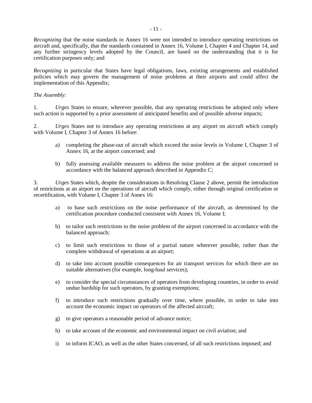*Recognizing* that the noise standards in Annex 16 were not intended to introduce operating restrictions on aircraft and, specifically, that the standards contained in Annex 16, Volume I, Chapter 4 and Chapter 14, and any further stringency levels adopted by the Council, are based on the understanding that it is for certification purposes only; and

*Recognizing* in particular that States have legal obligations, laws, existing arrangements and established policies which may govern the management of noise problems at their airports and could affect the implementation of this Appendix;

#### *The Assembly:*

1. *Urges* States to ensure, wherever possible, that any operating restrictions be adopted only where such action is supported by a prior assessment of anticipated benefits and of possible adverse impacts;

2. *Urges* States not to introduce any operating restrictions at any airport on aircraft which comply with Volume I, Chapter 3 of Annex 16 before:

- a) completing the phase-out of aircraft which exceed the noise levels in Volume I, Chapter 3 of Annex 16, at the airport concerned; and
- b) fully assessing available measures to address the noise problem at the airport concerned in accordance with the balanced approach described in Appendix C;

3. *Urges* States which, despite the considerations in Resolving Clause 2 above, permit the introduction of restrictions at an airport on the operations of aircraft which comply, either through original certification or recertification, with Volume I, Chapter 3 of Annex 16:

- a) to base such restrictions on the noise performance of the aircraft, as determined by the certification procedure conducted consistent with Annex 16, Volume I;
- b) to tailor such restrictions to the noise problem of the airport concerned in accordance with the balanced approach;
- c) to limit such restrictions to those of a partial nature wherever possible, rather than the complete withdrawal of operations at an airport;
- d) to take into account possible consequences for air transport services for which there are no suitable alternatives (for example, long-haul services);
- e) to consider the special circumstances of operators from developing countries, in order to avoid undue hardship for such operators, by granting exemptions;
- f) to introduce such restrictions gradually over time, where possible, in order to take into account the economic impact on operators of the affected aircraft;
- g) to give operators a reasonable period of advance notice;
- h) to take account of the economic and environmental impact on civil aviation; and
- i) to inform ICAO, as well as the other States concerned, of all such restrictions imposed; and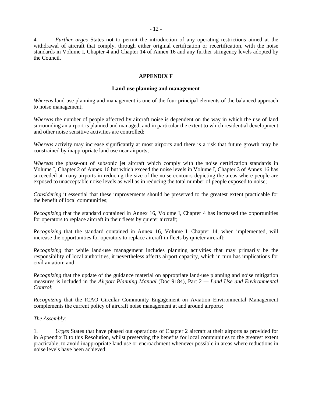4. *Further urges* States not to permit the introduction of any operating restrictions aimed at the withdrawal of aircraft that comply, through either original certification or recertification, with the noise standards in Volume I, Chapter 4 and Chapter 14 of Annex 16 and any further stringency levels adopted by the Council.

#### **APPENDIX F**

#### **Land-use planning and management**

*Whereas* land-use planning and management is one of the four principal elements of the balanced approach to noise management;

*Whereas* the number of people affected by aircraft noise is dependent on the way in which the use of land surrounding an airport is planned and managed, and in particular the extent to which residential development and other noise sensitive activities are controlled;

*Whereas* activity may increase significantly at most airports and there is a risk that future growth may be constrained by inappropriate land use near airports;

*Whereas* the phase-out of subsonic jet aircraft which comply with the noise certification standards in Volume I, Chapter 2 of Annex 16 but which exceed the noise levels in Volume I, Chapter 3 of Annex 16 has succeeded at many airports in reducing the size of the noise contours depicting the areas where people are exposed to unacceptable noise levels as well as in reducing the total number of people exposed to noise;

*Considering* it essential that these improvements should be preserved to the greatest extent practicable for the benefit of local communities;

*Recognizing* that the standard contained in Annex 16, Volume I, Chapter 4 has increased the opportunities for operators to replace aircraft in their fleets by quieter aircraft;

*Recognizing* that the standard contained in Annex 16, Volume I, Chapter 14, when implemented, will increase the opportunities for operators to replace aircraft in fleets by quieter aircraft;

*Recognizing* that while land-use management includes planning activities that may primarily be the responsibility of local authorities, it nevertheless affects airport capacity, which in turn has implications for civil aviation; and

*Recognizing* that the update of the guidance material on appropriate land-use planning and noise mitigation measures is included in the *Airport Planning Manual* (Doc 9184), Part 2 *— Land Use and Environmental Control*;

*Recognizing* that the ICAO Circular Community Engagement on Aviation Environmental Management complements the current policy of aircraft noise management at and around airports;

#### *The Assembly:*

1. *Urges* States that have phased out operations of Chapter 2 aircraft at their airports as provided for in Appendix D to this Resolution, whilst preserving the benefits for local communities to the greatest extent practicable, to avoid inappropriate land use or encroachment whenever possible in areas where reductions in noise levels have been achieved;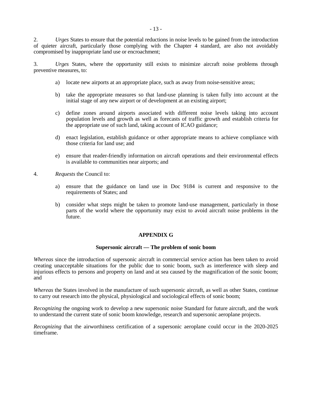2. *Urges* States to ensure that the potential reductions in noise levels to be gained from the introduction of quieter aircraft, particularly those complying with the Chapter 4 standard, are also not avoidably compromised by inappropriate land use or encroachment;

3. *Urges* States, where the opportunity still exists to minimize aircraft noise problems through preventive measures, to:

- a) locate new airports at an appropriate place, such as away from noise-sensitive areas;
- b) take the appropriate measures so that land-use planning is taken fully into account at the initial stage of any new airport or of development at an existing airport;
- c) define zones around airports associated with different noise levels taking into account population levels and growth as well as forecasts of traffic growth and establish criteria for the appropriate use of such land, taking account of ICAO guidance;
- d) enact legislation, establish guidance or other appropriate means to achieve compliance with those criteria for land use; and
- e) ensure that reader-friendly information on aircraft operations and their environmental effects is available to communities near airports; and
- 4. *Requests* the Council to:
	- a) ensure that the guidance on land use in Doc 9184 is current and responsive to the requirements of States; and
	- b) consider what steps might be taken to promote land-use management, particularly in those parts of the world where the opportunity may exist to avoid aircraft noise problems in the future.

#### **APPENDIX G**

#### **Supersonic aircraft — The problem of sonic boom**

*Whereas* since the introduction of supersonic aircraft in commercial service action has been taken to avoid creating unacceptable situations for the public due to sonic boom, such as interference with sleep and injurious effects to persons and property on land and at sea caused by the magnification of the sonic boom; and

*Whereas* the States involved in the manufacture of such supersonic aircraft, as well as other States, continue to carry out research into the physical, physiological and sociological effects of sonic boom;

*Recognizing* the ongoing work to develop a new supersonic noise Standard for future aircraft, and the work to understand the current state of sonic boom knowledge, research and supersonic aeroplane projects.

*Recognizing* that the airworthiness certification of a supersonic aeroplane could occur in the 2020-2025 timeframe.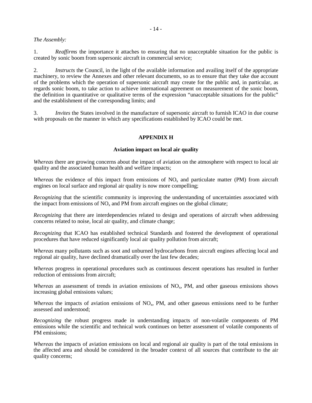#### *The Assembly:*

1. *Reaffirms* the importance it attaches to ensuring that no unacceptable situation for the public is created by sonic boom from supersonic aircraft in commercial service;

2. *Instructs* the Council, in the light of the available information and availing itself of the appropriate machinery, to review the Annexes and other relevant documents, so as to ensure that they take due account of the problems which the operation of supersonic aircraft may create for the public and, in particular, as regards sonic boom, to take action to achieve international agreement on measurement of the sonic boom, the definition in quantitative or qualitative terms of the expression "unacceptable situations for the public" and the establishment of the corresponding limits; and

3. *Invites* the States involved in the manufacture of supersonic aircraft to furnish ICAO in due course with proposals on the manner in which any specifications established by ICAO could be met.

#### **APPENDIX H**

#### **Aviation impact on local air quality**

*Whereas* there are growing concerns about the impact of aviation on the atmosphere with respect to local air quality and the associated human health and welfare impacts;

*Whereas* the evidence of this impact from emissions of  $NO<sub>x</sub>$  and particulate matter (PM) from aircraft engines on local surface and regional air quality is now more compelling;

*Recognizing* that the scientific community is improving the understanding of uncertainties associated with the impact from emissions of  $NO<sub>x</sub>$  and PM from aircraft engines on the global climate;

*Recognizing* that there are interdependencies related to design and operations of aircraft when addressing concerns related to noise, local air quality, and climate change;

*Recognizing* that ICAO has established technical Standards and fostered the development of operational procedures that have reduced significantly local air quality pollution from aircraft;

*Whereas* many pollutants such as soot and unburned hydrocarbons from aircraft engines affecting local and regional air quality, have declined dramatically over the last few decades;

*Whereas* progress in operational procedures such as continuous descent operations has resulted in further reduction of emissions from aircraft;

*Whereas* an assessment of trends in aviation emissions of NO<sub>x</sub>, PM, and other gaseous emissions shows increasing global emissions values;

*Whereas* the impacts of aviation emissions of NO<sub>x</sub>, PM, and other gaseous emissions need to be further assessed and understood;

*Recognizing* the robust progress made in understanding impacts of non-volatile components of PM emissions while the scientific and technical work continues on better assessment of volatile components of PM emissions;

*Whereas* the impacts of aviation emissions on local and regional air quality is part of the total emissions in the affected area and should be considered in the broader context of all sources that contribute to the air quality concerns;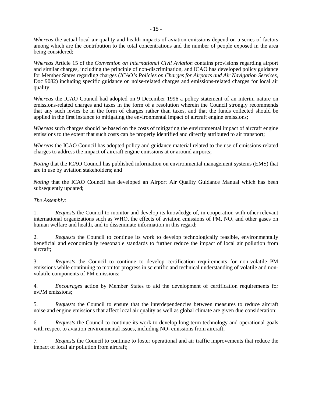*Whereas* the actual local air quality and health impacts of aviation emissions depend on a series of factors among which are the contribution to the total concentrations and the number of people exposed in the area being considered;

*Whereas* Article 15 of the *Convention on International Civil Aviation* contains provisions regarding airport and similar charges, including the principle of non-discrimination, and ICAO has developed policy guidance for Member States regarding charges (*ICAO's Policies on Charges for Airports and Air Navigation Services*, Doc 9082) including specific guidance on noise-related charges and emissions-related charges for local air quality;

*Whereas* the ICAO Council had adopted on 9 December 1996 a policy statement of an interim nature on emissions-related charges and taxes in the form of a resolution wherein the Council strongly recommends that any such levies be in the form of charges rather than taxes, and that the funds collected should be applied in the first instance to mitigating the environmental impact of aircraft engine emissions;

*Whereas* such charges should be based on the costs of mitigating the environmental impact of aircraft engine emissions to the extent that such costs can be properly identified and directly attributed to air transport;

*Whereas* the ICAO Council has adopted policy and guidance material related to the use of emissions-related charges to address the impact of aircraft engine emissions at or around airports;

*Noting* that the ICAO Council has published information on environmental management systems (EMS) that are in use by aviation stakeholders; and

*Noting* that the ICAO Council has developed an Airport Air Quality Guidance Manual which has been subsequently updated;

#### *The Assembly:*

1. *Requests* the Council to monitor and develop its knowledge of, in cooperation with other relevant international organizations such as WHO, the effects of aviation emissions of  $\overline{PM}$ ,  $\overline{NO}$ <sub>x</sub> and other gases on human welfare and health, and to disseminate information in this regard;

2. *Requests* the Council to continue its work to develop technologically feasible, environmentally beneficial and economically reasonable standards to further reduce the impact of local air pollution from aircraft;

3. *Requests* the Council to continue to develop certification requirements for non-volatile PM emissions while continuing to monitor progress in scientific and technical understanding of volatile and nonvolatile components of PM emissions;

4. *Encourages* action by Member States to aid the development of certification requirements for nvPM emissions;

5. *Requests* the Council to ensure that the interdependencies between measures to reduce aircraft noise and engine emissions that affect local air quality as well as global climate are given due consideration;

6*. Requests* the Council to continue its work to develop long-term technology and operational goals with respect to aviation environmental issues, including  $NO<sub>x</sub>$  emissions from aircraft;

7*. Requests* the Council to continue to foster operational and air traffic improvements that reduce the impact of local air pollution from aircraft;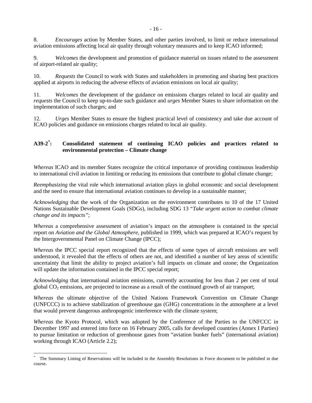8. *Encourages* action by Member States, and other parties involved, to limit or reduce international aviation emissions affecting local air quality through voluntary measures and to keep ICAO informed;

9. *Welcomes* the development and promotion of guidance material on issues related to the assessment of airport-related air quality;

10. *Requests* the Council to work with States and stakeholders in promoting and sharing best practices applied at airports in reducing the adverse effects of aviation emissions on local air quality;

11. *Welcomes* the development of the guidance on emissions charges related to local air quality and *requests* the Council to keep up-to-date such guidance and *urges* Member States to share information on the implementation of such charges; and

12. *Urges* Member States to ensure the highest practical level of consistency and take due account of ICAO policies and guidance on emissions charges related to local air quality.

#### **A39-2[\\*](#page-2-0) : Consolidated statement of continuing ICAO policies and practices related to environmental protection – Climate change**

*Whereas* ICAO and its member States recognize the critical importance of providing continuous leadership to international civil aviation in limiting or reducing its emissions that contribute to global climate change;

*Reemphasizing* the vital role which international aviation plays in global economic and social development and the need to ensure that international aviation continues to develop in a sustainable manner;

*Acknowledging* that the work of the Organization on the environment contributes to 10 of the 17 United Nations Sustainable Development Goals (SDGs), including SDG 13 "*Take urgent action to combat climate change and its impacts"*;

*Whereas* a comprehensive assessment of aviation's impact on the atmosphere is contained in the special report on *Aviation and the Global Atmosphere*, published in 1999, which was prepared at ICAO's request by the Intergovernmental Panel on Climate Change (IPCC);

*Whereas* the IPCC special report recognized that the effects of some types of aircraft emissions are well understood, it revealed that the effects of others are not, and identified a number of key areas of scientific uncertainty that limit the ability to project aviation's full impacts on climate and ozone; the Organization will update the information contained in the IPCC special report;

*Acknowledging* that international aviation emissions, currently accounting for less than 2 per cent of total global  $CO<sub>2</sub>$  emissions, are projected to increase as a result of the continued growth of air transport;

*Whereas* the ultimate objective of the United Nations Framework Convention on Climate Change (UNFCCC) is to achieve stabilization of greenhouse gas (GHG) concentrations in the atmosphere at a level that would prevent dangerous anthropogenic interference with the climate system;

*Whereas* the Kyoto Protocol, which was adopted by the Conference of the Parties to the UNFCCC in December 1997 and entered into force on 16 February 2005, calls for developed countries (Annex I Parties) to pursue limitation or reduction of greenhouse gases from "aviation bunker fuels" (international aviation) working through ICAO (Article 2.2);

 $\overline{\phantom{a}}$ 

<span id="page-19-0"></span>The Summary Listing of Reservations will be included in the Assembly Resolutions in Force document to be published in due course.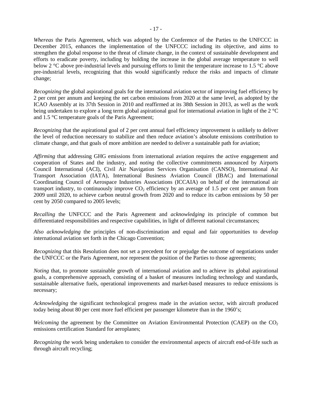*Whereas* the Paris Agreement, which was adopted by the Conference of the Parties to the UNFCCC in December 2015, enhances the implementation of the UNFCCC including its objective, and aims to strengthen the global response to the threat of climate change, in the context of sustainable development and efforts to eradicate poverty, including by holding the increase in the global average temperature to well below 2 °C above pre-industrial levels and pursuing efforts to limit the temperature increase to 1.5 °C above pre-industrial levels, recognizing that this would significantly reduce the risks and impacts of climate change;

*Recognizing* the global aspirational goals for the international aviation sector of improving fuel efficiency by 2 per cent per annum and keeping the net carbon emissions from 2020 at the same level, as adopted by the ICAO Assembly at its 37th Session in 2010 and reaffirmed at its 38th Session in 2013, as well as the work being undertaken to explore a long term global aspirational goal for international aviation in light of the 2 °C and 1.5 °C temperature goals of the Paris Agreement;

*Recognizing* that the aspirational goal of 2 per cent annual fuel efficiency improvement is unlikely to deliver the level of reduction necessary to stabilize and then reduce aviation's absolute emissions contribution to climate change, and that goals of more ambition are needed to deliver a sustainable path for aviation;

*Affirming* that addressing GHG emissions from international aviation requires the active engagement and cooperation of States and the industry, and *noting* the collective commitments announced by Airports Council International (ACI), Civil Air Navigation Services Organisation (CANSO), International Air Transport Association (IATA), International Business Aviation Council (IBAC) and International Coordinating Council of Aerospace Industries Associations (ICCAIA) on behalf of the international air transport industry, to continuously improve  $CO<sub>2</sub>$  efficiency by an average of 1.5 per cent per annum from 2009 until 2020, to achieve carbon neutral growth from 2020 and to reduce its carbon emissions by 50 per cent by 2050 compared to 2005 levels;

*Recalling* the UNFCCC and the Paris Agreement and *acknowledging* its principle of common but differentiated responsibilities and respective capabilities, in light of different national circumstances;

*Also acknowledging* the principles of non-discrimination and equal and fair opportunities to develop international aviation set forth in the Chicago Convention;

*Recognizing* that this Resolution does not set a precedent for or prejudge the outcome of negotiations under the UNFCCC or the Paris Agreement, nor represent the position of the Parties to those agreements;

*Noting* that, to promote sustainable growth of international aviation and to achieve its global aspirational goals, a comprehensive approach, consisting of a basket of measures including technology and standards, sustainable alternative fuels, operational improvements and market-based measures to reduce emissions is necessary;

*Acknowledging* the significant technological progress made in the aviation sector, with aircraft produced today being about 80 per cent more fuel efficient per passenger kilometre than in the 1960's;

*Welcoming* the agreement by the Committee on Aviation Environmental Protection (CAEP) on the CO<sub>2</sub> emissions certification Standard for aeroplanes;

*Recognizing* the work being undertaken to consider the environmental aspects of aircraft end-of-life such as through aircraft recycling;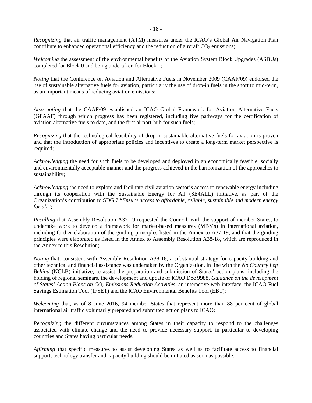*Recognizing* that air traffic management (ATM) measures under the ICAO's Global Air Navigation Plan contribute to enhanced operational efficiency and the reduction of aircraft  $CO<sub>2</sub>$  emissions;

*Welcoming* the assessment of the environmental benefits of the Aviation System Block Upgrades (ASBUs) completed for Block 0 and being undertaken for Block 1;

*Noting* that the Conference on Aviation and Alternative Fuels in November 2009 (CAAF/09) endorsed the use of sustainable alternative fuels for aviation, particularly the use of drop-in fuels in the short to mid-term, as an important means of reducing aviation emissions;

*Also noting* that the CAAF/09 established an ICAO Global Framework for Aviation Alternative Fuels (GFAAF) through which progress has been registered, including five pathways for the certification of aviation alternative fuels to date, and the first airport-hub for such fuels;

*Recognizing* that the technological feasibility of drop-in sustainable alternative fuels for aviation is proven and that the introduction of appropriate policies and incentives to create a long-term market perspective is required;

*Acknowledging* the need for such fuels to be developed and deployed in an economically feasible, socially and environmentally acceptable manner and the progress achieved in the harmonization of the approaches to sustainability;

*Acknowledging* the need to explore and facilitate civil aviation sector's access to renewable energy including through its cooperation with the Sustainable Energy for All (SE4ALL) initiative, as part of the Organization's contribution to SDG 7 "*Ensure access to affordable, reliable, sustainable and modern energy for all"*;

*Recalling* that Assembly Resolution A37-19 requested the Council, with the support of member States, to undertake work to develop a framework for market-based measures (MBMs) in international aviation, including further elaboration of the guiding principles listed in the Annex to A37-19, and that the guiding principles were elaborated as listed in the Annex to Assembly Resolution A38-18, which are reproduced in the Annex to this Resolution;

*Noting* that, consistent with Assembly Resolution A38-18, a substantial strategy for capacity building and other technical and financial assistance was undertaken by the Organization, in line with the *No Country Left Behind* (NCLB) initiative, to assist the preparation and submission of States' action plans, including the holding of regional seminars, the development and update of ICAO Doc 9988, *Guidance on the development*  of States' Action Plans on CO<sub>2</sub> *Emissions Reduction Activities*, an interactive web-interface, the ICAO Fuel Savings Estimation Tool (IFSET) and the ICAO Environmental Benefits Tool (EBT);

*Welcoming* that, as of 8 June 2016, 94 member States that represent more than 88 per cent of global international air traffic voluntarily prepared and submitted action plans to ICAO;

*Recognizing* the different circumstances among States in their capacity to respond to the challenges associated with climate change and the need to provide necessary support, in particular to developing countries and States having particular needs;

*Affirming* that specific measures to assist developing States as well as to facilitate access to financial support, technology transfer and capacity building should be initiated as soon as possible;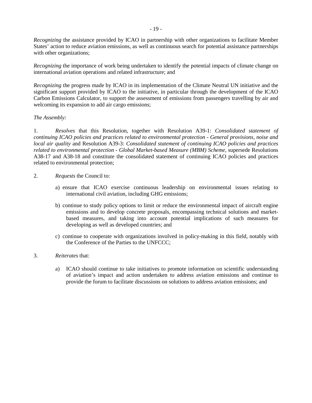*Recognizing* the assistance provided by ICAO in partnership with other organizations to facilitate Member States' action to reduce aviation emissions, as well as continuous search for potential assistance partnerships with other organizations;

*Recognizing* the importance of work being undertaken to identify the potential impacts of climate change on international aviation operations and related infrastructure; and

*Recognizing* the progress made by ICAO in its implementation of the Climate Neutral UN initiative and the significant support provided by ICAO to the initiative, in particular through the development of the ICAO Carbon Emissions Calculator, to support the assessment of emissions from passengers travelling by air and welcoming its expansion to add air cargo emissions;

#### *The Assembly:*

1. *Resolves* that this Resolution, together with Resolution A39-1: *Consolidated statement of continuing ICAO policies and practices related to environmental protection - General provisions, noise and local air quality* and Resolution A39-3: *Consolidated statement of continuing ICAO policies and practices related to environmental protection - Global Market-based Measure (MBM) Scheme*, supersede Resolutions A38-17 and A38-18 and constitute the consolidated statement of continuing ICAO policies and practices related to environmental protection;

- 2. *Requests* the Council to:
	- a) ensure that ICAO exercise continuous leadership on environmental issues relating to international civil aviation, including GHG emissions;
	- b) continue to study policy options to limit or reduce the environmental impact of aircraft engine emissions and to develop concrete proposals, encompassing technical solutions and marketbased measures, and taking into account potential implications of such measures for developing as well as developed countries; and
	- c) continue to cooperate with organizations involved in policy-making in this field, notably with the Conference of the Parties to the UNFCCC;
- 3. *Reiterates* that:
	- a) ICAO should continue to take initiatives to promote information on scientific understanding of aviation's impact and action undertaken to address aviation emissions and continue to provide the forum to facilitate discussions on solutions to address aviation emissions; and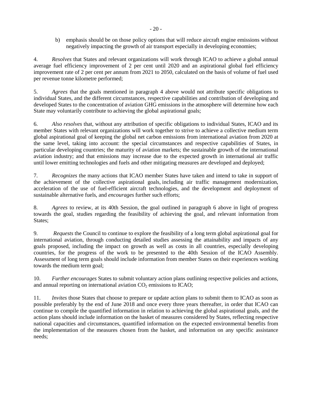b) emphasis should be on those policy options that will reduce aircraft engine emissions without negatively impacting the growth of air transport especially in developing economies;

4. *Resolves* that States and relevant organizations will work through ICAO to achieve a global annual average fuel efficiency improvement of 2 per cent until 2020 and an aspirational global fuel efficiency improvement rate of 2 per cent per annum from 2021 to 2050, calculated on the basis of volume of fuel used per revenue tonne kilometre performed;

5. *Agrees* that the goals mentioned in paragraph 4 above would not attribute specific obligations to individual States, and the different circumstances, respective capabilities and contribution of developing and developed States to the concentration of aviation GHG emissions in the atmosphere will determine how each State may voluntarily contribute to achieving the global aspirational goals;

6. *Also resolves* that, without any attribution of specific obligations to individual States, ICAO and its member States with relevant organizations will work together to strive to achieve a collective medium term global aspirational goal of keeping the global net carbon emissions from international aviation from 2020 at the same level, taking into account: the special circumstances and respective capabilities of States, in particular developing countries; the maturity of aviation markets; the sustainable growth of the international aviation industry; and that emissions may increase due to the expected growth in international air traffic until lower emitting technologies and fuels and other mitigating measures are developed and deployed;

7. *Recognizes* the many actions that ICAO member States have taken and intend to take in support of the achievement of the collective aspirational goals, including air traffic management modernization, acceleration of the use of fuel-efficient aircraft technologies, and the development and deployment of sustainable alternative fuels, and *encourages* further such efforts;

8. *Agrees* to review, at its 40th Session, the goal outlined in paragraph 6 above in light of progress towards the goal, studies regarding the feasibility of achieving the goal, and relevant information from States;

9. *Requests* the Council to continue to explore the feasibility of a long term global aspirational goal for international aviation, through conducting detailed studies assessing the attainability and impacts of any goals proposed, including the impact on growth as well as costs in all countries, especially developing countries, for the progress of the work to be presented to the 40th Session of the ICAO Assembly. Assessment of long term goals should include information from member States on their experiences working towards the medium term goal;

10. *Further encourages* States to submit voluntary action plans outlining respective policies and actions, and annual reporting on international aviation  $CO<sub>2</sub>$  emissions to ICAO;

11. *Invites* those States that choose to prepare or update action plans to submit them to ICAO as soon as possible preferably by the end of June 2018 and once every three years thereafter, in order that ICAO can continue to compile the quantified information in relation to achieving the global aspirational goals, and the action plans should include information on the basket of measures considered by States, reflecting respective national capacities and circumstances, quantified information on the expected environmental benefits from the implementation of the measures chosen from the basket, and information on any specific assistance needs;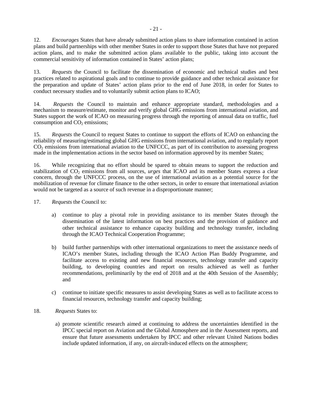12. *Encourages* States that have already submitted action plans to share information contained in action plans and build partnerships with other member States in order to support those States that have not prepared action plans, and to make the submitted action plans available to the public, taking into account the commercial sensitivity of information contained in States' action plans;

13. *Requests* the Council to facilitate the dissemination of economic and technical studies and best practices related to aspirational goals and to continue to provide guidance and other technical assistance for the preparation and update of States' action plans prior to the end of June 2018, in order for States to conduct necessary studies and to voluntarily submit action plans to ICAO;

14. *Requests* the Council to maintain and enhance appropriate standard, methodologies and a mechanism to measure/estimate, monitor and verify global GHG emissions from international aviation, and States support the work of ICAO on measuring progress through the reporting of annual data on traffic, fuel consumption and  $CO<sub>2</sub>$  emissions;

15. *Requests* the Council to request States to continue to support the efforts of ICAO on enhancing the reliability of measuring/estimating global GHG emissions from international aviation, and to regularly report CO<sub>2</sub> emissions from international aviation to the UNFCCC, as part of its contribution to assessing progress made in the implementation actions in the sector based on information approved by its member States;

16. While recognizing that no effort should be spared to obtain means to support the reduction and stabilization of CO<sub>2</sub> emissions from all sources, *urges* that ICAO and its member States express a clear concern, through the UNFCCC process, on the use of international aviation as a potential source for the mobilization of revenue for climate finance to the other sectors, in order to ensure that international aviation would not be targeted as a source of such revenue in a disproportionate manner;

- 17. *Requests* the Council to:
	- a) continue to play a pivotal role in providing assistance to its member States through the dissemination of the latest information on best practices and the provision of guidance and other technical assistance to enhance capacity building and technology transfer, including through the ICAO Technical Cooperation Programme;
	- b) build further partnerships with other international organizations to meet the assistance needs of ICAO's member States, including through the ICAO Action Plan Buddy Programme, and facilitate access to existing and new financial resources, technology transfer and capacity building, to developing countries and report on results achieved as well as further recommendations, preliminarily by the end of 2018 and at the 40th Session of the Assembly; and
	- c) continue to initiate specific measures to assist developing States as well as to facilitate access to financial resources, technology transfer and capacity building;
- 18. *Requests* States to:
	- a) promote scientific research aimed at continuing to address the uncertainties identified in the IPCC special report on Aviation and the Global Atmosphere and in the Assessment reports, and ensure that future assessments undertaken by IPCC and other relevant United Nations bodies include updated information, if any, on aircraft-induced effects on the atmosphere;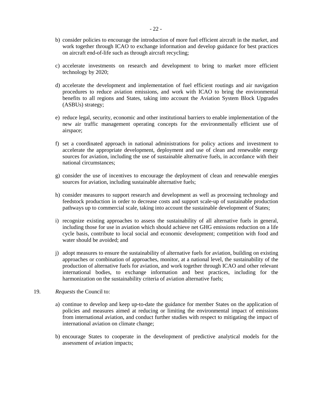- b) consider policies to encourage the introduction of more fuel efficient aircraft in the market, and work together through ICAO to exchange information and develop guidance for best practices on aircraft end-of-life such as through aircraft recycling;
- c) accelerate investments on research and development to bring to market more efficient technology by 2020;
- d) accelerate the development and implementation of fuel efficient routings and air navigation procedures to reduce aviation emissions, and work with ICAO to bring the environmental benefits to all regions and States, taking into account the Aviation System Block Upgrades (ASBUs) strategy;
- e) reduce legal, security, economic and other institutional barriers to enable implementation of the new air traffic management operating concepts for the environmentally efficient use of airspace;
- f) set a coordinated approach in national administrations for policy actions and investment to accelerate the appropriate development, deployment and use of clean and renewable energy sources for aviation, including the use of sustainable alternative fuels, in accordance with their national circumstances;
- g) consider the use of incentives to encourage the deployment of clean and renewable energies sources for aviation, including sustainable alternative fuels;
- h) consider measures to support research and development as well as processing technology and feedstock production in order to decrease costs and support scale-up of sustainable production pathways up to commercial scale, taking into account the sustainable development of States;
- i) recognize existing approaches to assess the sustainability of all alternative fuels in general, including those for use in aviation which should achieve net GHG emissions reduction on a life cycle basis, contribute to local social and economic development; competition with food and water should be avoided; and
- j) adopt measures to ensure the sustainability of alternative fuels for aviation, building on existing approaches or combination of approaches, monitor, at a national level, the sustainability of the production of alternative fuels for aviation, and work together through ICAO and other relevant international bodies, to exchange information and best practices, including for the harmonization on the sustainability criteria of aviation alternative fuels;
- 19. *Requests* the Council to:
	- a) continue to develop and keep up-to-date the guidance for member States on the application of policies and measures aimed at reducing or limiting the environmental impact of emissions from international aviation, and conduct further studies with respect to mitigating the impact of international aviation on climate change;
	- b) encourage States to cooperate in the development of predictive analytical models for the assessment of aviation impacts;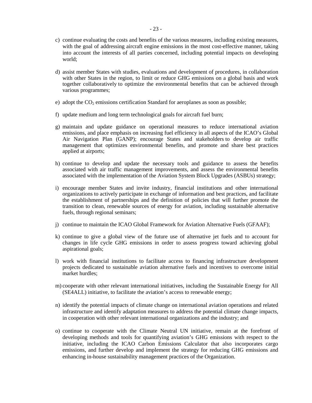- c) continue evaluating the costs and benefits of the various measures, including existing measures, with the goal of addressing aircraft engine emissions in the most cost-effective manner, taking into account the interests of all parties concerned, including potential impacts on developing world;
- d) assist member States with studies, evaluations and development of procedures, in collaboration with other States in the region, to limit or reduce GHG emissions on a global basis and work together collaboratively to optimize the environmental benefits that can be achieved through various programmes;
- e) adopt the  $CO<sub>2</sub>$  emissions certification Standard for aeroplanes as soon as possible;
- f) update medium and long term technological goals for aircraft fuel burn;
- g) maintain and update guidance on operational measures to reduce international aviation emissions, and place emphasis on increasing fuel efficiency in all aspects of the ICAO's Global Air Navigation Plan (GANP); encourage States and stakeholders to develop air traffic management that optimizes environmental benefits, and promote and share best practices applied at airports;
- h) continue to develop and update the necessary tools and guidance to assess the benefits associated with air traffic management improvements, and assess the environmental benefits associated with the implementation of the Aviation System Block Upgrades (ASBUs) strategy;
- i) encourage member States and invite industry, financial institutions and other international organizations to actively participate in exchange of information and best practices, and facilitate the establishment of partnerships and the definition of policies that will further promote the transition to clean, renewable sources of energy for aviation, including sustainable alternative fuels, through regional seminars;
- j) continue to maintain the ICAO Global Framework for Aviation Alternative Fuels (GFAAF);
- k) continue to give a global view of the future use of alternative jet fuels and to account for changes in life cycle GHG emissions in order to assess progress toward achieving global aspirational goals;
- l) work with financial institutions to facilitate access to financing infrastructure development projects dedicated to sustainable aviation alternative fuels and incentives to overcome initial market hurdles;
- m) cooperate with other relevant international initiatives, including the Sustainable Energy for All (SE4ALL) initiative, to facilitate the aviation's access to renewable energy;
- n) identify the potential impacts of climate change on international aviation operations and related infrastructure and identify adaptation measures to address the potential climate change impacts, in cooperation with other relevant international organizations and the industry; and
- o) continue to cooperate with the Climate Neutral UN initiative, remain at the forefront of developing methods and tools for quantifying aviation's GHG emissions with respect to the initiative, including the ICAO Carbon Emissions Calculator that also incorporates cargo emissions, and further develop and implement the strategy for reducing GHG emissions and enhancing in-house sustainability management practices of the Organization.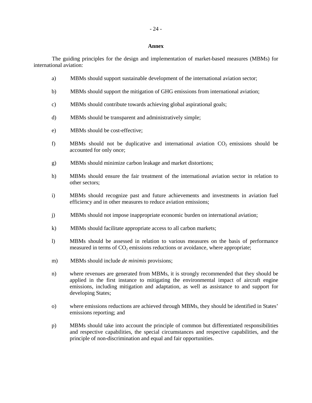#### **Annex**

The guiding principles for the design and implementation of market-based measures (MBMs) for international aviation:

- a) MBMs should support sustainable development of the international aviation sector;
- b) MBMs should support the mitigation of GHG emissions from international aviation;
- c) MBMs should contribute towards achieving global aspirational goals;
- d) MBMs should be transparent and administratively simple;
- e) MBMs should be cost-effective;
- f) MBMs should not be duplicative and international aviation  $CO<sub>2</sub>$  emissions should be accounted for only once;
- g) MBMs should minimize carbon leakage and market distortions;
- h) MBMs should ensure the fair treatment of the international aviation sector in relation to other sectors;
- i) MBMs should recognize past and future achievements and investments in aviation fuel efficiency and in other measures to reduce aviation emissions;
- j) MBMs should not impose inappropriate economic burden on international aviation;
- k) MBMs should facilitate appropriate access to all carbon markets;
- l) MBMs should be assessed in relation to various measures on the basis of performance measured in terms of  $CO<sub>2</sub>$  emissions reductions or avoidance, where appropriate;
- m) MBMs should include *de minimis* provisions;
- n) where revenues are generated from MBMs, it is strongly recommended that they should be applied in the first instance to mitigating the environmental impact of aircraft engine emissions, including mitigation and adaptation, as well as assistance to and support for developing States;
- o) where emissions reductions are achieved through MBMs, they should be identified in States' emissions reporting; and
- p) MBMs should take into account the principle of common but differentiated responsibilities and respective capabilities, the special circumstances and respective capabilities, and the principle of non-discrimination and equal and fair opportunities.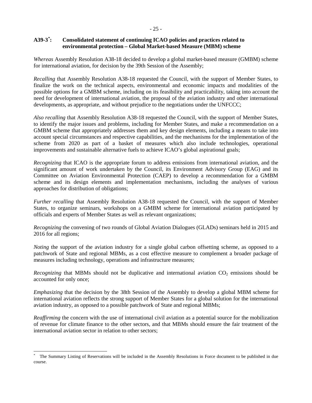#### **A39-3[\\*](#page-19-0) : Consolidated statement of continuing ICAO policies and practices related to environmental protection – Global Market-based Measure (MBM) scheme**

*Whereas* Assembly Resolution A38-18 decided to develop a global market-based measure (GMBM) scheme for international aviation, for decision by the 39th Session of the Assembly;

*Recalling* that Assembly Resolution A38-18 requested the Council, with the support of Member States, to finalize the work on the technical aspects, environmental and economic impacts and modalities of the possible options for a GMBM scheme, including on its feasibility and practicability, taking into account the need for development of international aviation, the proposal of the aviation industry and other international developments, as appropriate, and without prejudice to the negotiations under the UNFCCC;

*Also recalling* that Assembly Resolution A38-18 requested the Council, with the support of Member States, to identify the major issues and problems, including for Member States, and make a recommendation on a GMBM scheme that appropriately addresses them and key design elements, including a means to take into account special circumstances and respective capabilities, and the mechanisms for the implementation of the scheme from 2020 as part of a basket of measures which also include technologies, operational improvements and sustainable alternative fuels to achieve ICAO's global aspirational goals;

*Recognizing* that ICAO is the appropriate forum to address emissions from international aviation, and the significant amount of work undertaken by the Council, its Environment Advisory Group (EAG) and its Committee on Aviation Environmental Protection (CAEP) to develop a recommendation for a GMBM scheme and its design elements and implementation mechanisms, including the analyses of various approaches for distribution of obligations;

*Further recalling* that Assembly Resolution A38-18 requested the Council, with the support of Member States, to organize seminars, workshops on a GMBM scheme for international aviation participated by officials and experts of Member States as well as relevant organizations;

*Recognizing* the convening of two rounds of Global Aviation Dialogues (GLADs) seminars held in 2015 and 2016 for all regions;

*Noting* the support of the aviation industry for a single global carbon offsetting scheme, as opposed to a patchwork of State and regional MBMs, as a cost effective measure to complement a broader package of measures including technology, operations and infrastructure measures;

*Recognizing* that MBMs should not be duplicative and international aviation  $CO<sub>2</sub>$  emissions should be accounted for only once;

*Emphasizing* that the decision by the 38th Session of the Assembly to develop a global MBM scheme for international aviation reflects the strong support of Member States for a global solution for the international aviation industry, as opposed to a possible patchwork of State and regional MBMs;

*Reaffirming* the concern with the use of international civil aviation as a potential source for the mobilization of revenue for climate finance to the other sectors, and that MBMs should ensure the fair treatment of the international aviation sector in relation to other sectors;

<span id="page-28-0"></span> $\overline{\phantom{a}}$ \* The Summary Listing of Reservations will be included in the Assembly Resolutions in Force document to be published in due course.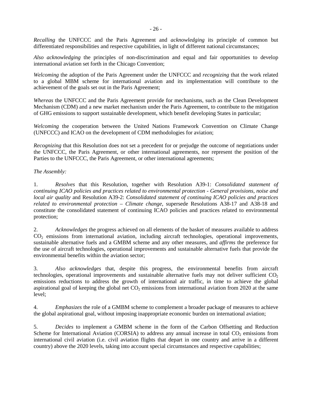*Recalling* the UNFCCC and the Paris Agreement and *acknowledging* its principle of common but differentiated responsibilities and respective capabilities, in light of different national circumstances;

*Also acknowledging* the principles of non-discrimination and equal and fair opportunities to develop international aviation set forth in the Chicago Convention;

*Welcoming* the adoption of the Paris Agreement under the UNFCCC and *recognizing* that the work related to a global MBM scheme for international aviation and its implementation will contribute to the achievement of the goals set out in the Paris Agreement;

*Whereas* the UNFCCC and the Paris Agreement provide for mechanisms, such as the Clean Development Mechanism (CDM) and a new market mechanism under the Paris Agreement, to contribute to the mitigation of GHG emissions to support sustainable development, which benefit developing States in particular;

*Welcoming* the cooperation between the United Nations Framework Convention on Climate Change (UNFCCC) and ICAO on the development of CDM methodologies for aviation;

*Recognizing* that this Resolution does not set a precedent for or prejudge the outcome of negotiations under the UNFCCC, the Paris Agreement, or other international agreements, nor represent the position of the Parties to the UNFCCC, the Paris Agreement, or other international agreements;

*The Assembly:*

1. *Resolves* that this Resolution, together with Resolution A39-1: *Consolidated statement of continuing ICAO policies and practices related to environmental protection - General provisions, noise and local air quality* and Resolution A39-2: *Consolidated statement of continuing ICAO policies and practices related to environmental protection – Climate change*, supersede Resolutions A38-17 and A38-18 and constitute the consolidated statement of continuing ICAO policies and practices related to environmental protection;

2. *Acknowledges* the progress achieved on all elements of the basket of measures available to address CO<sub>2</sub> emissions from international aviation, including aircraft technologies, operational improvements, sustainable alternative fuels and a GMBM scheme and any other measures, and *affirms* the preference for the use of aircraft technologies, operational improvements and sustainable alternative fuels that provide the environmental benefits within the aviation sector;

3. *Also acknowledges* that, despite this progress, the environmental benefits from aircraft technologies, operational improvements and sustainable alternative fuels may not deliver sufficient  $CO<sub>2</sub>$ emissions reductions to address the growth of international air traffic, in time to achieve the global aspirational goal of keeping the global net  $CO<sub>2</sub>$  emissions from international aviation from 2020 at the same level;

4. *Emphasizes* the role of a GMBM scheme to complement a broader package of measures to achieve the global aspirational goal, without imposing inappropriate economic burden on international aviation;

5. *Decides* to implement a GMBM scheme in the form of the Carbon Offsetting and Reduction Scheme for International Aviation (CORSIA) to address any annual increase in total  $CO<sub>2</sub>$  emissions from international civil aviation (i.e. civil aviation flights that depart in one country and arrive in a different country) above the 2020 levels, taking into account special circumstances and respective capabilities;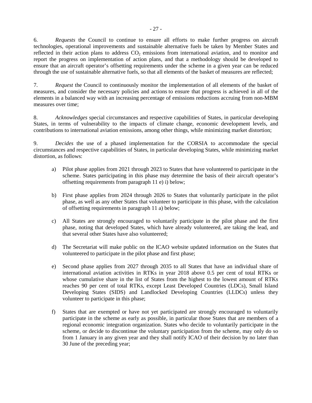6. *Requests* the Council to continue to ensure all efforts to make further progress on aircraft technologies, operational improvements and sustainable alternative fuels be taken by Member States and reflected in their action plans to address CO<sub>2</sub> emissions from international aviation, and to monitor and report the progress on implementation of action plans, and that a methodology should be developed to ensure that an aircraft operator's offsetting requirements under the scheme in a given year can be reduced through the use of sustainable alternative fuels, so that all elements of the basket of measures are reflected;

7. *Request* the Council to continuously monitor the implementation of all elements of the basket of measures, and consider the necessary policies and actions to ensure that progress is achieved in all of the elements in a balanced way with an increasing percentage of emissions reductions accruing from non-MBM measures over time;

8. *Acknowledges* special circumstances and respective capabilities of States, in particular developing States, in terms of vulnerability to the impacts of climate change, economic development levels, and contributions to international aviation emissions, among other things, while minimizing market distortion;

9. *Decides* the use of a phased implementation for the CORSIA to accommodate the special circumstances and respective capabilities of States, in particular developing States, while minimizing market distortion, as follows:

- a) Pilot phase applies from 2021 through 2023 to States that have volunteered to participate in the scheme. States participating in this phase may determine the basis of their aircraft operator's offsetting requirements from paragraph 11 e) i) below;
- b) First phase applies from 2024 through 2026 to States that voluntarily participate in the pilot phase, as well as any other States that volunteer to participate in this phase, with the calculation of offsetting requirements in paragraph 11 a) below;
- c) All States are strongly encouraged to voluntarily participate in the pilot phase and the first phase, noting that developed States, which have already volunteered, are taking the lead, and that several other States have also volunteered;
- d) The Secretariat will make public on the ICAO website updated information on the States that volunteered to participate in the pilot phase and first phase;
- e) Second phase applies from 2027 through 2035 to all States that have an individual share of international aviation activities in RTKs in year 2018 above 0.5 per cent of total RTKs or whose cumulative share in the list of States from the highest to the lowest amount of RTKs reaches 90 per cent of total RTKs, except Least Developed Countries (LDCs), Small Island Developing States (SIDS) and Landlocked Developing Countries (LLDCs) unless they volunteer to participate in this phase;
- f) States that are exempted or have not yet participated are strongly encouraged to voluntarily participate in the scheme as early as possible, in particular those States that are members of a regional economic integration organization. States who decide to voluntarily participate in the scheme, or decide to discontinue the voluntary participation from the scheme, may only do so from 1 January in any given year and they shall notify ICAO of their decision by no later than 30 June of the preceding year;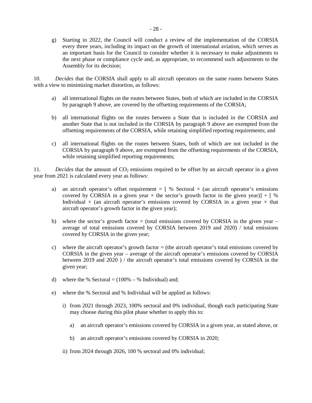g) Starting in 2022, the Council will conduct a review of the implementation of the CORSIA every three years, including its impact on the growth of international aviation, which serves as an important basis for the Council to consider whether it is necessary to make adjustments to the next phase or compliance cycle and, as appropriate, to recommend such adjustments to the Assembly for its decision;

10. *Decides* that the CORSIA shall apply to all aircraft operators on the same routes between States with a view to minimizing market distortion, as follows:

- a) all international flights on the routes between States, both of which are included in the CORSIA by paragraph 9 above, are covered by the offsetting requirements of the CORSIA;
- b) all international flights on the routes between a State that is included in the CORSIA and another State that is not included in the CORSIA by paragraph 9 above are exempted from the offsetting requirements of the CORSIA, while retaining simplified reporting requirements; and
- c) all international flights on the routes between States, both of which are not included in the CORSIA by paragraph 9 above, are exempted from the offsetting requirements of the CORSIA, while retaining simplified reporting requirements;

11. *Decides* that the amount of CO<sub>2</sub> emissions required to be offset by an aircraft operator in a given year from 2021 is calculated every year as follows:

- a) an aircraft operator's offset requirement  $=$  [ % Sectoral  $\times$  (an aircraft operator's emissions covered by CORSIA in a given year  $\times$  the sector's growth factor in the given year)] + [ % Individual  $\times$  (an aircraft operator's emissions covered by CORSIA in a given year  $\times$  that aircraft operator's growth factor in the given year);
- b) where the sector's growth factor  $=$  (total emissions covered by CORSIA in the given year  $$ average of total emissions covered by CORSIA between 2019 and 2020) / total emissions covered by CORSIA in the given year;
- c) where the aircraft operator's growth factor = (the aircraft operator's total emissions covered by CORSIA in the given year – average of the aircraft operator's emissions covered by CORSIA between 2019 and 2020 ) / the aircraft operator's total emissions covered by CORSIA in the given year;
- d) where the % Sectoral  $= (100\% \% \text{ Individual})$  and;
- e) where the % Sectoral and % Individual will be applied as follows:
	- i) from 2021 through 2023, 100% sectoral and 0% individual, though each participating State may choose during this pilot phase whether to apply this to:
		- a) an aircraft operator's emissions covered by CORSIA in a given year, as stated above, or
		- b) an aircraft operator's emissions covered by CORSIA in 2020;
	- ii) from 2024 through 2026, 100 % sectoral and 0% individual;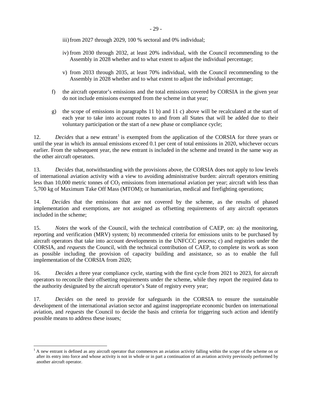iii) from 2027 through 2029, 100 % sectoral and 0% individual;

- iv) from 2030 through 2032, at least 20% individual, with the Council recommending to the Assembly in 2028 whether and to what extent to adjust the individual percentage;
- v) from 2033 through 2035, at least 70% individual, with the Council recommending to the Assembly in 2028 whether and to what extent to adjust the individual percentage;
- f) the aircraft operator's emissions and the total emissions covered by CORSIA in the given year do not include emissions exempted from the scheme in that year;
- g) the scope of emissions in paragraphs 11 b) and 11 c) above will be recalculated at the start of each year to take into account routes to and from all States that will be added due to their voluntary participation or the start of a new phase or compliance cycle;

[1](#page-28-0)2. *Decides* that a new entrant<sup>1</sup> is exempted from the application of the CORSIA for three years or until the year in which its annual emissions exceed 0.1 per cent of total emissions in 2020, whichever occurs earlier. From the subsequent year, the new entrant is included in the scheme and treated in the same way as the other aircraft operators.

13. *Decides* that, notwithstanding with the provisions above, the CORSIA does not apply to low levels of international aviation activity with a view to avoiding administrative burden: aircraft operators emitting less than 10,000 metric tonnes of CO<sub>2</sub> emissions from international aviation per year; aircraft with less than 5,700 kg of Maximum Take Off Mass (MTOM); or humanitarian, medical and firefighting operations;

14. *Decides* that the emissions that are not covered by the scheme, as the results of phased implementation and exemptions, are not assigned as offsetting requirements of any aircraft operators included in the scheme;

15. *Notes* the work of the Council, with the technical contribution of CAEP, on: a) the monitoring, reporting and verification (MRV) system; b) recommended criteria for emissions units to be purchased by aircraft operators that take into account developments in the UNFCCC process; c) and registries under the CORSIA, and *requests* the Council, with the technical contribution of CAEP, to complete its work as soon as possible including the provision of capacity building and assistance, so as to enable the full implementation of the CORSIA from 2020;

16. *Decides* a three year compliance cycle, starting with the first cycle from 2021 to 2023, for aircraft operators to reconcile their offsetting requirements under the scheme, while they report the required data to the authority designated by the aircraft operator's State of registry every year;

17*. Decides* on the need to provide for safeguards in the CORSIA to ensure the sustainable development of the international aviation sector and against inappropriate economic burden on international aviation, and *requests* the Council to decide the basis and criteria for triggering such action and identify possible means to address these issues*;* 

l

<sup>1</sup> A new entrant is defined as any aircraft operator that commences an aviation activity falling within the scope of the scheme on or after its entry into force and whose activity is not in whole or in part a continuation of an aviation activity previously performed by another aircraft operator.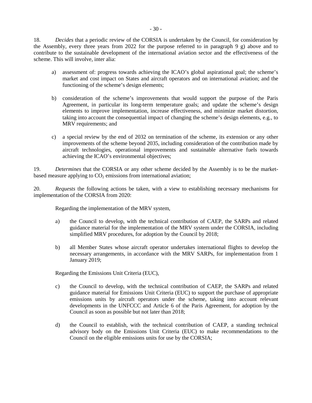- a) assessment of: progress towards achieving the ICAO's global aspirational goal; the scheme's market and cost impact on States and aircraft operators and on international aviation; and the functioning of the scheme's design elements;
- b) consideration of the scheme's improvements that would support the purpose of the Paris Agreement, in particular its long-term temperature goals; and update the scheme's design elements to improve implementation, increase effectiveness, and minimize market distortion, taking into account the consequential impact of changing the scheme's design elements, e.g., to MRV requirements; and
- c) a special review by the end of 2032 on termination of the scheme, its extension or any other improvements of the scheme beyond 2035, including consideration of the contribution made by aircraft technologies, operational improvements and sustainable alternative fuels towards achieving the ICAO's environmental objectives;

19. *Determines* that the CORSIA or any other scheme decided by the Assembly is to be the marketbased measure applying to  $CO<sub>2</sub>$  emissions from international aviation;

20. *Requests* the following actions be taken, with a view to establishing necessary mechanisms for implementation of the CORSIA from 2020:

Regarding the implementation of the MRV system,

- a) the Council to develop, with the technical contribution of CAEP, the SARPs and related guidance material for the implementation of the MRV system under the CORSIA, including simplified MRV procedures, for adoption by the Council by 2018;
- b) all Member States whose aircraft operator undertakes international flights to develop the necessary arrangements, in accordance with the MRV SARPs, for implementation from 1 January 2019;

Regarding the Emissions Unit Criteria (EUC),

- c) the Council to develop, with the technical contribution of CAEP, the SARPs and related guidance material for Emissions Unit Criteria (EUC) to support the purchase of appropriate emissions units by aircraft operators under the scheme, taking into account relevant developments in the UNFCCC and Article 6 of the Paris Agreement, for adoption by the Council as soon as possible but not later than 2018;
- d) the Council to establish, with the technical contribution of CAEP, a standing technical advisory body on the Emissions Unit Criteria (EUC) to make recommendations to the Council on the eligible emissions units for use by the CORSIA;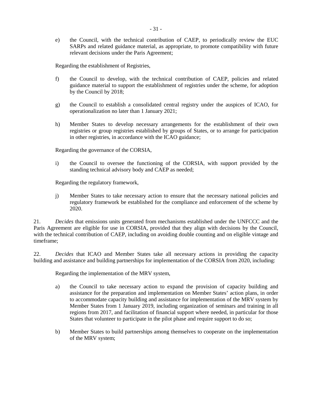e) the Council, with the technical contribution of CAEP, to periodically review the EUC SARPs and related guidance material, as appropriate, to promote compatibility with future relevant decisions under the Paris Agreement;

Regarding the establishment of Registries,

- f) the Council to develop, with the technical contribution of CAEP, policies and related guidance material to support the establishment of registries under the scheme, for adoption by the Council by 2018;
- g) the Council to establish a consolidated central registry under the auspices of ICAO, for operationalization no later than 1 January 2021;
- h) Member States to develop necessary arrangements for the establishment of their own registries or group registries established by groups of States, or to arrange for participation in other registries, in accordance with the ICAO guidance;

Regarding the governance of the CORSIA,

i) the Council to oversee the functioning of the CORSIA, with support provided by the standing technical advisory body and CAEP as needed;

Regarding the regulatory framework,

j) Member States to take necessary action to ensure that the necessary national policies and regulatory framework be established for the compliance and enforcement of the scheme by 2020.

21. *Decides* that emissions units generated from mechanisms established under the UNFCCC and the Paris Agreement are eligible for use in CORSIA, provided that they align with decisions by the Council, with the technical contribution of CAEP, including on avoiding double counting and on eligible vintage and timeframe;

22. *Decides* that ICAO and Member States take all necessary actions in providing the capacity building and assistance and building partnerships for implementation of the CORSIA from 2020, including:

Regarding the implementation of the MRV system,

- a) the Council to take necessary action to expand the provision of capacity building and assistance for the preparation and implementation on Member States' action plans, in order to accommodate capacity building and assistance for implementation of the MRV system by Member States from 1 January 2019, including organization of seminars and training in all regions from 2017, and facilitation of financial support where needed, in particular for those States that volunteer to participate in the pilot phase and require support to do so;
- b) Member States to build partnerships among themselves to cooperate on the implementation of the MRV system;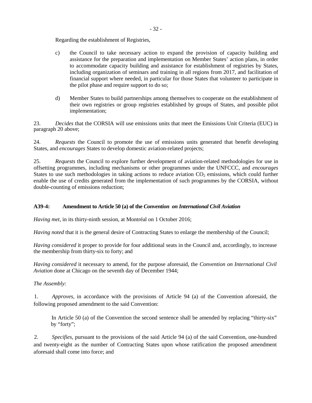Regarding the establishment of Registries,

- c) the Council to take necessary action to expand the provision of capacity building and assistance for the preparation and implementation on Member States' action plans, in order to accommodate capacity building and assistance for establishment of registries by States, including organization of seminars and training in all regions from 2017, and facilitation of financial support where needed, in particular for those States that volunteer to participate in the pilot phase and require support to do so;
- d) Member States to build partnerships among themselves to cooperate on the establishment of their own registries or group registries established by groups of States, and possible pilot implementation;

23. *Decides* that the CORSIA will use emissions units that meet the Emissions Unit Criteria (EUC) in paragraph 20 above;

24. *Requests* the Council to promote the use of emissions units generated that benefit developing States, and *encourages* States to develop domestic aviation-related projects;

25. *Requests* the Council to explore further development of aviation-related methodologies for use in offsetting programmes, including mechanisms or other programmes under the UNFCCC, and *encourages* States to use such methodologies in taking actions to reduce aviation  $CO<sub>2</sub>$  emissions, which could further enable the use of credits generated from the implementation of such programmes by the CORSIA, without double-counting of emissions reduction;

#### **A39-4: Amendment to Article 50 (a) of the** *Convention on International Civil Aviation*

*Having met,* in its thirty-ninth session, at Montréal on 1 October 2016;

*Having noted* that it is the general desire of Contracting States to enlarge the membership of the Council;

*Having considered* it proper to provide for four additional seats in the Council and, accordingly, to increase the membership from thirty-six to forty; and

*Having considered* it necessary to amend, for the purpose aforesaid, the *Convention on International Civil Aviation* done at Chicago on the seventh day of December 1944;

*The Assembly:* 

1. *Approves*, in accordance with the provisions of Article 94 (a) of the Convention aforesaid, the following proposed amendment to the said Convention:

In Article 50 (a) of the Convention the second sentence shall be amended by replacing "thirty-six" by "forty";

2. *Specifies*, pursuant to the provisions of the said Article 94 (a) of the said Convention, one-hundred and twenty-eight as the number of Contracting States upon whose ratification the proposed amendment aforesaid shall come into force; and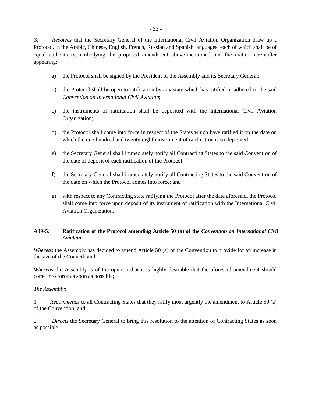3. *Resolves* that the Secretary General of the International Civil Aviation Organization draw up a Protocol, in the Arabic, Chinese, English, French, Russian and Spanish languages, each of which shall be of equal authenticity, embodying the proposed amendment above-mentioned and the matter hereinafter appearing:

- a) the Protocol shall be signed by the President of the Assembly and its Secretary General;
- b) the Protocol shall be open to ratification by any state which has ratified or adhered to the said *Convention on International Civil Aviation*;
- c) the instruments of ratification shall be deposited with the International Civil Aviation Organization;
- d) the Protocol shall come into force in respect of the States which have ratified it on the date on which the one-hundred and twenty-eighth instrument of ratification is so deposited;
- e) the Secretary General shall immediately notify all Contracting States to the said Convention of the date of deposit of each ratification of the Protocol;
- f) the Secretary General shall immediately notify all Contracting States to the said Convention of the date on which the Protocol comes into force; and
- g) with respect to any Contracting state ratifying the Protocol after the date aforesaid, the Protocol shall come into force upon deposit of its instrument of ratification with the International Civil Aviation Organization.

## **A39-5: Ratification of the Protocol amending Article 50 (a) of the** *Convention on International Civil Aviation*

*Whereas* the Assembly has decided to amend Article 50 (a) of the Convention to provide for an increase in the size of the Council; and

*Whereas* the Assembly is of the opinion that it is highly desirable that the aforesaid amendment should come into force as soon as possible;

*The Assembly:*

1. *Recommends* to all Contracting States that they ratify most urgently the amendment to Article 50 (a) of the Convention; and

2. *Directs* the Secretary General to bring this resolution to the attention of Contracting States as soon as possible.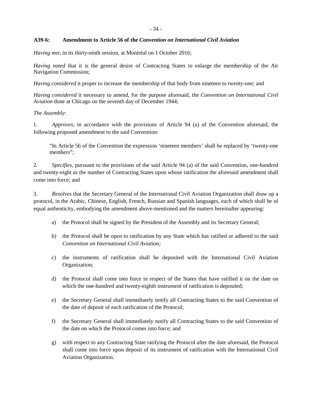### **A39-6: Amendment to Article 56 of the** *Convention on International Civil Aviation*

*Having met,* in its thirty-ninth session, at Montréal on 1 October 2016;

*Having noted* that it is the general desire of Contracting States to enlarge the membership of the Air Navigation Commission;

*Having considered* it proper to increase the membership of that body from nineteen to twenty-one; and

*Having considered* it necessary to amend, for the purpose aforesaid, the *Convention on International Civil Aviation* done at Chicago on the seventh day of December 1944;

### *The Assembly*:

1. *Approves*, in accordance with the provisions of Article 94 (a) of the Convention aforesaid, the following proposed amendment to the said Convention:

"In Article 56 of the Convention the expression 'nineteen members' shall be replaced by 'twenty-one members";

2. *Specifies*, pursuant to the provisions of the said Article 94 (a) of the said Convention, one-hundred and twenty-eight as the number of Contracting States upon whose ratification the aforesaid amendment shall come into force; and

3. *Resolves* that the Secretary General of the International Civil Aviation Organization shall draw up a protocol, in the Arabic, Chinese, English, French, Russian and Spanish languages, each of which shall be of equal authenticity, embodying the amendment above-mentioned and the matters hereinafter appearing:

- a) the Protocol shall be signed by the President of the Assembly and its Secretary General;
- *b)* the Protocol shall be open to ratification by any State which has ratified or adhered to the said *Convention on International Civil Aviation;*
- c) the instruments of ratification shall be deposited with the International Civil Aviation Organization;
- d) the Protocol shall come into force in respect of the States that have ratified it on the date on which the one-hundred and twenty-eighth instrument of ratification is deposited;
- e) the Secretary General shall immediately notify all Contracting States to the said Convention of the date of deposit of each ratification of the Protocol;
- f) the Secretary General shall immediately notify all Contracting States to the said Convention of the date on which the Protocol comes into force; and
- g) with respect to any Contracting State ratifying the Protocol after the date aforesaid, the Protocol shall come into force upon deposit of its instrument of ratification with the International Civil Aviation Organization.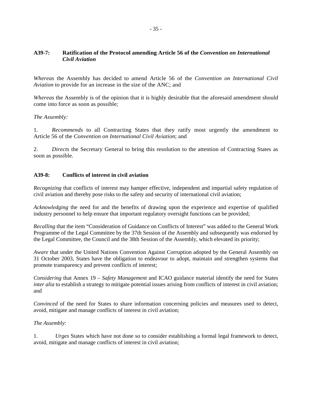### **A39-7: Ratification of the Protocol amending Article 56 of the** *Convention on International Civil Aviation*

*Whereas* the Assembly has decided to amend Article 56 of the *Convention on International Civil Aviation* to provide for an increase in the size of the ANC; and

*Whereas* the Assembly is of the opinion that it is highly desirable that the aforesaid amendment should come into force as soon as possible;

### *The Assembly:*

1. *Recommends* to all Contracting States that they ratify most urgently the amendment to Article 56 of the *Convention on International Civil Aviation*; and

2. *Directs* the Secretary General to bring this resolution to the attention of Contracting States as soon as possible.

### **A39-8: Conflicts of interest in civil aviation**

*Recognizing* that conflicts of interest may hamper effective, independent and impartial safety regulation of civil aviation and thereby pose risks to the safety and security of international civil aviation;

*Acknowledging* the need for and the benefits of drawing upon the experience and expertise of qualified industry personnel to help ensure that important regulatory oversight functions can be provided;

*Recalling* that the item "Consideration of Guidance on Conflicts of Interest" was added to the General Work Programme of the Legal Committee by the 37th Session of the Assembly and subsequently was endorsed by the Legal Committee, the Council and the 38th Session of the Assembly, which elevated its priority;

*Aware* that under the United Nations Convention Against Corruption adopted by the General Assembly on 31 October 2003, States have the obligation to endeavour to adopt, maintain and strengthen systems that promote transparency and prevent conflicts of interest;

*Considering* that Annex 19 – *Safety Management* and ICAO guidance material identify the need for States *inter alia* to establish a strategy to mitigate potential issues arising from conflicts of interest in civil aviation; and

*Convinced* of the need for States to share information concerning policies and measures used to detect, avoid, mitigate and manage conflicts of interest in civil aviation;

#### *The Assembly*:

1. *Urges* States which have not done so to consider establishing a formal legal framework to detect, avoid, mitigate and manage conflicts of interest in civil aviation;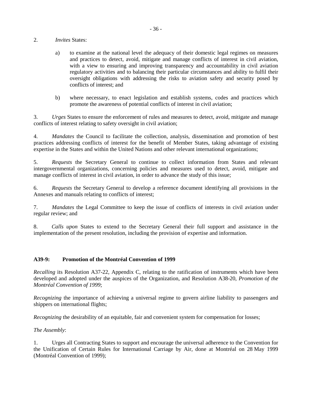### 2. *Invites* States:

- a) to examine at the national level the adequacy of their domestic legal regimes on measures and practices to detect, avoid, mitigate and manage conflicts of interest in civil aviation, with a view to ensuring and improving transparency and accountability in civil aviation regulatory activities and to balancing their particular circumstances and ability to fulfil their oversight obligations with addressing the risks to aviation safety and security posed by conflicts of interest; and
- b) where necessary, to enact legislation and establish systems, codes and practices which promote the awareness of potential conflicts of interest in civil aviation;

3. *Urges* States to ensure the enforcement of rules and measures to detect, avoid, mitigate and manage conflicts of interest relating to safety oversight in civil aviation;

4. *Mandates* the Council to facilitate the collection, analysis, dissemination and promotion of best practices addressing conflicts of interest for the benefit of Member States, taking advantage of existing expertise in the States and within the United Nations and other relevant international organizations;

5. *Requests* the Secretary General to continue to collect information from States and relevant intergovernmental organizations, concerning policies and measures used to detect, avoid, mitigate and manage conflicts of interest in civil aviation, in order to advance the study of this issue;

6. *Requests* the Secretary General to develop a reference document identifying all provisions in the Annexes and manuals relating to conflicts of interest;

7. *Mandates* the Legal Committee to keep the issue of conflicts of interests in civil aviation under regular review; and

8. *Calls upon* States to extend to the Secretary General their full support and assistance in the implementation of the present resolution, including the provision of expertise and information.

#### **A39-9: Promotion of the Montréal Convention of 1999**

*Recalling* its Resolution A37-22, Appendix C, relating to the ratification of instruments which have been developed and adopted under the auspices of the Organization, and Resolution A38-20, *Promotion of the Montréal Convention of 1999*;

*Recognizing* the importance of achieving a universal regime to govern airline liability to passengers and shippers on international flights;

*Recognizing* the desirability of an equitable, fair and convenient system for compensation for losses;

#### *The Assembly*:

1. Urges all Contracting States to support and encourage the universal adherence to the Convention for the Unification of Certain Rules for International Carriage by Air, done at Montréal on 28 May 1999 (Montréal Convention of 1999);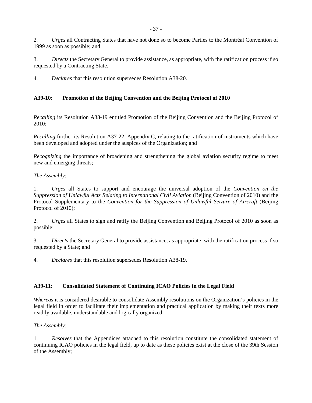2. *Urges* all Contracting States that have not done so to become Parties to the Montréal Convention of 1999 as soon as possible; and

3. *Directs* the Secretary General to provide assistance, as appropriate, with the ratification process if so requested by a Contracting State.

4. *Declares* that this resolution supersedes Resolution A38-20.

# **A39-10: Promotion of the Beijing Convention and the Beijing Protocol of 2010**

*Recalling* its Resolution A38-19 entitled Promotion of the Beijing Convention and the Beijing Protocol of 2010;

*Recalling further its Resolution A37-22, Appendix C, relating to the ratification of instruments which have* been developed and adopted under the auspices of the Organization; and

*Recognizing* the importance of broadening and strengthening the global aviation security regime to meet new and emerging threats;

## *The Assembly*:

1. *Urges* all States to support and encourage the universal adoption of the *Convention on the Suppression of Unlawful Acts Relating to International Civil Aviation* (Beijing Convention of 2010) and the Protocol Supplementary to the *Convention for the Suppression of Unlawful Seizure of Aircraft* (Beijing Protocol of 2010):

2. *Urges* all States to sign and ratify the Beijing Convention and Beijing Protocol of 2010 as soon as possible;

3. *Directs* the Secretary General to provide assistance, as appropriate, with the ratification process if so requested by a State; and

4. *Declares* that this resolution supersedes Resolution A38-19.

## **A39-11: Consolidated Statement of Continuing ICAO Policies in the Legal Field**

*Whereas* it is considered desirable to consolidate Assembly resolutions on the Organization's policies in the legal field in order to facilitate their implementation and practical application by making their texts more readily available, understandable and logically organized:

## *The Assembly:*

1. *Resolves* that the Appendices attached to this resolution constitute the consolidated statement of continuing ICAO policies in the legal field, up to date as these policies exist at the close of the 39th Session of the Assembly;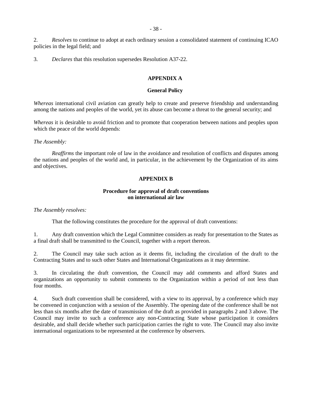2. *Resolves* to continue to adopt at each ordinary session a consolidated statement of continuing ICAO policies in the legal field; and

3. *Declares* that this resolution supersedes Resolution A37-22.

#### **APPENDIX A**

#### **General Policy**

*Whereas* international civil aviation can greatly help to create and preserve friendship and understanding among the nations and peoples of the world, yet its abuse can become a threat to the general security; and

*Whereas* it is desirable to avoid friction and to promote that cooperation between nations and peoples upon which the peace of the world depends:

#### *The Assembly:*

*Reaffirms* the important role of law in the avoidance and resolution of conflicts and disputes among the nations and peoples of the world and, in particular, in the achievement by the Organization of its aims and objectives.

## **APPENDIX B**

#### **Procedure for approval of draft conventions on international air law**

*The Assembly resolves:*

That the following constitutes the procedure for the approval of draft conventions:

1. Any draft convention which the Legal Committee considers as ready for presentation to the States as a final draft shall be transmitted to the Council, together with a report thereon.

2. The Council may take such action as it deems fit, including the circulation of the draft to the Contracting States and to such other States and International Organizations as it may determine.

3. In circulating the draft convention, the Council may add comments and afford States and organizations an opportunity to submit comments to the Organization within a period of not less than four months.

4. Such draft convention shall be considered, with a view to its approval, by a conference which may be convened in conjunction with a session of the Assembly. The opening date of the conference shall be not less than six months after the date of transmission of the draft as provided in paragraphs 2 and 3 above. The Council may invite to such a conference any non-Contracting State whose participation it considers desirable, and shall decide whether such participation carries the right to vote. The Council may also invite international organizations to be represented at the conference by observers.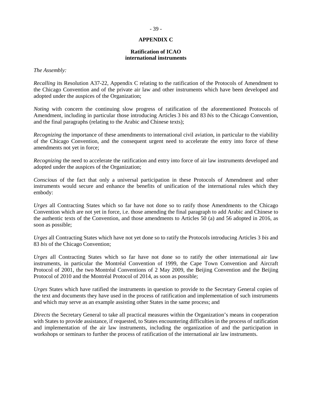#### **APPENDIX C**

#### **Ratification of ICAO international instruments**

*The Assembly:*

*Recalling* its Resolution A37-22, Appendix C relating to the ratification of the Protocols of Amendment to the Chicago Convention and of the private air law and other instruments which have been developed and adopted under the auspices of the Organization;

*Noting* with concern the continuing slow progress of ratification of the aforementioned Protocols of Amendment, including in particular those introducing Articles 3 *bis* and 83 *bis* to the Chicago Convention, and the final paragraphs (relating to the Arabic and Chinese texts);

*Recognizing* the importance of these amendments to international civil aviation, in particular to the viability of the Chicago Convention, and the consequent urgent need to accelerate the entry into force of these amendments not yet in force;

*Recognizing* the need to accelerate the ratification and entry into force of air law instruments developed and adopted under the auspices of the Organization;

*Conscious* of the fact that only a universal participation in these Protocols of Amendment and other instruments would secure and enhance the benefits of unification of the international rules which they embody:

*Urges* all Contracting States which so far have not done so to ratify those Amendments to the Chicago Convention which are not yet in force, i.e. those amending the final paragraph to add Arabic and Chinese to the authentic texts of the Convention, and those amendments to Articles 50 (a) and 56 adopted in 2016, as soon as possible;

*Urges* all Contracting States which have not yet done so to ratify the Protocols introducing Articles 3 *bis* and 83 *bis* of the Chicago Convention;

*Urges* all Contracting States which so far have not done so to ratify the other international air law instruments, in particular the Montréal Convention of 1999, the Cape Town Convention and Aircraft Protocol of 2001, the two Montréal Conventions of 2 May 2009, the Beijing Convention and the Beijing Protocol of 2010 and the Montréal Protocol of 2014, as soon as possible;

*Urges* States which have ratified the instruments in question to provide to the Secretary General copies of the text and documents they have used in the process of ratification and implementation of such instruments and which may serve as an example assisting other States in the same process; and

*Directs* the Secretary General to take all practical measures within the Organization's means in cooperation with States to provide assistance, if requested, to States encountering difficulties in the process of ratification and implementation of the air law instruments, including the organization of and the participation in workshops or seminars to further the process of ratification of the international air law instruments.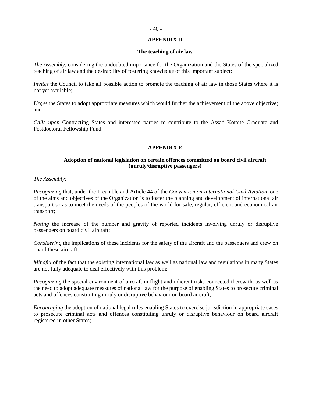#### **APPENDIX D**

#### **The teaching of air law**

*The Assembly*, considering the undoubted importance for the Organization and the States of the specialized teaching of air law and the desirability of fostering knowledge of this important subject:

*Invites* the Council to take all possible action to promote the teaching of air law in those States where it is not yet available;

*Urges* the States to adopt appropriate measures which would further the achievement of the above objective; and

*Calls upon* Contracting States and interested parties to contribute to the Assad Kotaite Graduate and Postdoctoral Fellowship Fund.

#### **APPENDIX E**

#### **Adoption of national legislation on certain offences committed on board civil aircraft (unruly/disruptive passengers)**

*The Assembly:*

*Recognizing* that, under the Preamble and Article 44 of the *Convention on International Civil Aviation,* one of the aims and objectives of the Organization is to foster the planning and development of international air transport so as to meet the needs of the peoples of the world for safe, regular, efficient and economical air transport;

*Noting* the increase of the number and gravity of reported incidents involving unruly or disruptive passengers on board civil aircraft;

*Considering* the implications of these incidents for the safety of the aircraft and the passengers and crew on board these aircraft;

*Mindful* of the fact that the existing international law as well as national law and regulations in many States are not fully adequate to deal effectively with this problem;

*Recognizing* the special environment of aircraft in flight and inherent risks connected therewith, as well as the need to adopt adequate measures of national law for the purpose of enabling States to prosecute criminal acts and offences constituting unruly or disruptive behaviour on board aircraft;

*Encouraging* the adoption of national legal rules enabling States to exercise jurisdiction in appropriate cases to prosecute criminal acts and offences constituting unruly or disruptive behaviour on board aircraft registered in other States;

#### $-40-$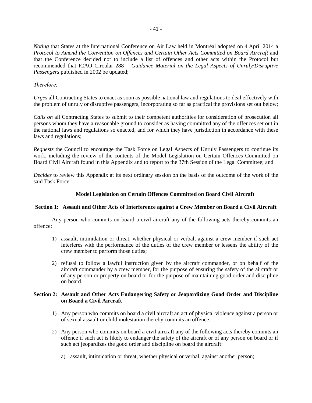*Noting* that States at the International Conference on Air Law held in Montréal adopted on 4 April 2014 a *Protocol to Amend the Convention on Offences and Certain Other Acts Committed on Board Aircraft* and that the Conference decided not to include a list of offences and other acts within the Protocol but recommended that ICAO Circular 288 – *Guidance Material on the Legal Aspects of Unruly/Disruptive Passengers* published in 2002 be updated;

### *Therefore:*

*Urges* all Contracting States to enact as soon as possible national law and regulations to deal effectively with the problem of unruly or disruptive passengers, incorporating so far as practical the provisions set out below;

*Calls on* all Contracting States to submit to their competent authorities for consideration of prosecution all persons whom they have a reasonable ground to consider as having committed any of the offences set out in the national laws and regulations so enacted, and for which they have jurisdiction in accordance with these laws and regulations;

*Requests* the Council to encourage the Task Force on Legal Aspects of Unruly Passengers to continue its work, including the review of the contents of the Model Legislation on Certain Offences Committed on Board Civil Aircraft found in this Appendix and to report to the 37th Session of the Legal Committee; and

*Decides* to review this Appendix at its next ordinary session on the basis of the outcome of the work of the said Task Force.

### **Model Legislation on Certain Offences Committed on Board Civil Aircraft**

#### **Section 1: Assault and Other Acts of Interference against a Crew Member on Board a Civil Aircraft**

Any person who commits on board a civil aircraft any of the following acts thereby commits an offence:

- 1) assault, intimidation or threat, whether physical or verbal, against a crew member if such act interferes with the performance of the duties of the crew member or lessens the ability of the crew member to perform those duties;
- 2) refusal to follow a lawful instruction given by the aircraft commander, or on behalf of the aircraft commander by a crew member, for the purpose of ensuring the safety of the aircraft or of any person or property on board or for the purpose of maintaining good order and discipline on board.

#### **Section 2: Assault and Other Acts Endangering Safety or Jeopardizing Good Order and Discipline on Board a Civil Aircraft**

- 1) Any person who commits on board a civil aircraft an act of physical violence against a person or of sexual assault or child molestation thereby commits an offence.
- 2) Any person who commits on board a civil aircraft any of the following acts thereby commits an offence if such act is likely to endanger the safety of the aircraft or of any person on board or if such act jeopardizes the good order and discipline on board the aircraft:
	- a) assault, intimidation or threat, whether physical or verbal, against another person;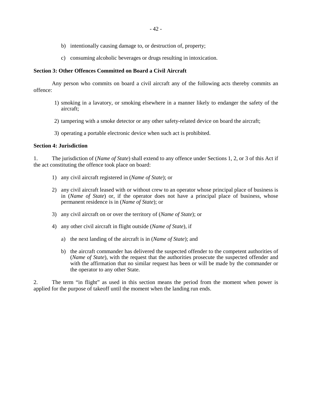- b) intentionally causing damage to, or destruction of, property;
- c) consuming alcoholic beverages or drugs resulting in intoxication.

#### **Section 3: Other Offences Committed on Board a Civil Aircraft**

Any person who commits on board a civil aircraft any of the following acts thereby commits an offence:

- 1) smoking in a lavatory, or smoking elsewhere in a manner likely to endanger the safety of the aircraft;
- 2) tampering with a smoke detector or any other safety-related device on board the aircraft;
- 3) operating a portable electronic device when such act is prohibited.

#### **Section 4: Jurisdiction**

1. The jurisdiction of (*Name of State*) shall extend to any offence under Sections 1, 2, or 3 of this Act if the act constituting the offence took place on board:

- 1) any civil aircraft registered in (*Name of State*); or
- 2) any civil aircraft leased with or without crew to an operator whose principal place of business is in (*Name of State*) or, if the operator does not have a principal place of business, whose permanent residence is in (*Name of State*); or
- 3) any civil aircraft on or over the territory of (*Name of State*); or
- 4) any other civil aircraft in flight outside (*Name of State*), if
	- a) the next landing of the aircraft is in (*Name of State*); and
	- b) the aircraft commander has delivered the suspected offender to the competent authorities of (*Name of State*), with the request that the authorities prosecute the suspected offender and with the affirmation that no similar request has been or will be made by the commander or the operator to any other State.

2. The term "in flight" as used in this section means the period from the moment when power is applied for the purpose of takeoff until the moment when the landing run ends.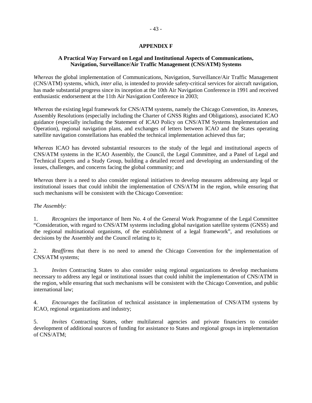### **APPENDIX F**

### **A Practical Way Forward on Legal and Institutional Aspects of Communications, Navigation, Surveillance/Air Traffic Management (CNS/ATM) Systems**

*Whereas* the global implementation of Communications, Navigation, Surveillance/Air Traffic Management (CNS/ATM) systems, which, *inter alia*, is intended to provide safety-critical services for aircraft navigation, has made substantial progress since its inception at the 10th Air Navigation Conference in 1991 and received enthusiastic endorsement at the 11th Air Navigation Conference in 2003;

*Whereas* the existing legal framework for CNS/ATM systems, namely the Chicago Convention, its Annexes, Assembly Resolutions (especially including the Charter of GNSS Rights and Obligations), associated ICAO guidance (especially including the Statement of ICAO Policy on CNS/ATM Systems Implementation and Operation), regional navigation plans, and exchanges of letters between ICAO and the States operating satellite navigation constellations has enabled the technical implementation achieved thus far;

*Whereas* ICAO has devoted substantial resources to the study of the legal and institutional aspects of CNS/ATM systems in the ICAO Assembly, the Council, the Legal Committee, and a Panel of Legal and Technical Experts and a Study Group, building a detailed record and developing an understanding of the issues, challenges, and concerns facing the global community; and

*Whereas* there is a need to also consider regional initiatives to develop measures addressing any legal or institutional issues that could inhibit the implementation of CNS/ATM in the region, while ensuring that such mechanisms will be consistent with the Chicago Convention:

#### *The Assembly:*

1. *Recognizes* the importance of Item No. 4 of the General Work Programme of the Legal Committee "Consideration, with regard to CNS/ATM systems including global navigation satellite systems (GNSS) and the regional multinational organisms, of the establishment of a legal framework", and resolutions or decisions by the Assembly and the Council relating to it;

2. *Reaffirms* that there is no need to amend the Chicago Convention for the implementation of CNS/ATM systems;

3. *Invites* Contracting States to also consider using regional organizations to develop mechanisms necessary to address any legal or institutional issues that could inhibit the implementation of CNS/ATM in the region, while ensuring that such mechanisms will be consistent with the Chicago Convention, and public international law;

4. *Encourages* the facilitation of technical assistance in implementation of CNS/ATM systems by ICAO, regional organizations and industry;

5. *Invites* Contracting States, other multilateral agencies and private financiers to consider development of additional sources of funding for assistance to States and regional groups in implementation of CNS/ATM;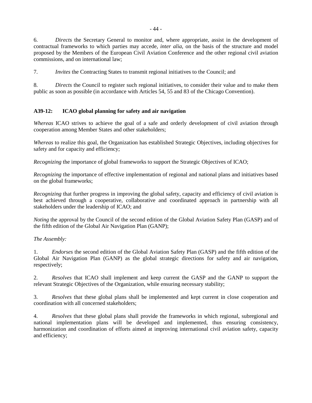6. *Directs* the Secretary General to monitor and, where appropriate, assist in the development of contractual frameworks to which parties may accede, *inter alia*, on the basis of the structure and model proposed by the Members of the European Civil Aviation Conference and the other regional civil aviation commissions, and on international law;

7. *Invites* the Contracting States to transmit regional initiatives to the Council; and

8. *Directs* the Council to register such regional initiatives, to consider their value and to make them public as soon as possible (in accordance with Articles 54, 55 and 83 of the Chicago Convention).

# **A39-12: ICAO global planning for safety and air navigation**

*Whereas* ICAO strives to achieve the goal of a safe and orderly development of civil aviation through cooperation among Member States and other stakeholders;

*Whereas* to realize this goal, the Organization has established Strategic Objectives, including objectives for safety and for capacity and efficiency;

*Recognizing* the importance of global frameworks to support the Strategic Objectives of ICAO;

*Recognizing* the importance of effective implementation of regional and national plans and initiatives based on the global frameworks;

*Recognizing* that further progress in improving the global safety, capacity and efficiency of civil aviation is best achieved through a cooperative, collaborative and coordinated approach in partnership with all stakeholders under the leadership of ICAO; and

*Noting* the approval by the Council of the second edition of the Global Aviation Safety Plan (GASP) and of the fifth edition of the Global Air Navigation Plan (GANP);

## *The Assembly:*

1. *Endorses* the second edition of the Global Aviation Safety Plan (GASP) and the fifth edition of the Global Air Navigation Plan (GANP) as the global strategic directions for safety and air navigation, respectively;

2. *Resolves* that ICAO shall implement and keep current the GASP and the GANP to support the relevant Strategic Objectives of the Organization, while ensuring necessary stability;

3. *Resolves* that these global plans shall be implemented and kept current in close cooperation and coordination with all concerned stakeholders;

4. *Resolves* that these global plans shall provide the frameworks in which regional, subregional and national implementation plans will be developed and implemented, thus ensuring consistency, harmonization and coordination of efforts aimed at improving international civil aviation safety, capacity and efficiency;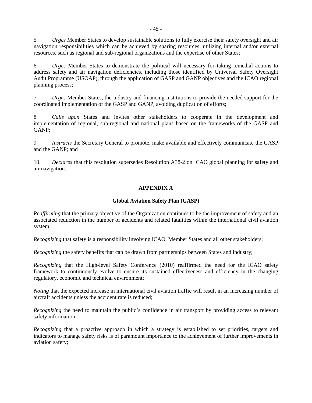5. *Urges* Member States to develop sustainable solutions to fully exercise their safety oversight and air navigation responsibilities which can be achieved by sharing resources, utilizing internal and/or external resources, such as regional and sub-regional organizations and the expertise of other States;

6. *Urges* Member States to demonstrate the political will necessary for taking remedial actions to address safety and air navigation deficiencies, including those identified by Universal Safety Oversight Audit Programme (USOAP), through the application of GASP and GANP objectives and the ICAO regional planning process;

7. *Urges* Member States, the industry and financing institutions to provide the needed support for the coordinated implementation of the GASP and GANP, avoiding duplication of efforts;

8. *Calls upon* States and invites other stakeholders to cooperate in the development and implementation of regional, sub-regional and national plans based on the frameworks of the GASP and GANP;

9. *Instructs* the Secretary General to promote, make available and effectively communicate the GASP and the GANP; and

10. *Declares* that this resolution supersedes Resolution A38-2 on ICAO global planning for safety and air navigation.

## **APPENDIX A**

#### **Global Aviation Safety Plan (GASP)**

*Reaffirming* that the primary objective of the Organization continues to be the improvement of safety and an associated reduction in the number of accidents and related fatalities within the international civil aviation system;

*Recognizing* that safety is a responsibility involving ICAO, Member States and all other stakeholders;

*Recognizing* the safety benefits that can be drawn from partnerships between States and industry;

*Recognizing* that the High-level Safety Conference (2010) reaffirmed the need for the ICAO safety framework to continuously evolve to ensure its sustained effectiveness and efficiency in the changing regulatory, economic and technical environment;

*Noting* that the expected increase in international civil aviation traffic will result in an increasing number of aircraft accidents unless the accident rate is reduced;

*Recognizing* the need to maintain the public's confidence in air transport by providing access to relevant safety information;

*Recognizing* that a proactive approach in which a strategy is established to set priorities, targets and indicators to manage safety risks is of paramount importance to the achievement of further improvements in aviation safety;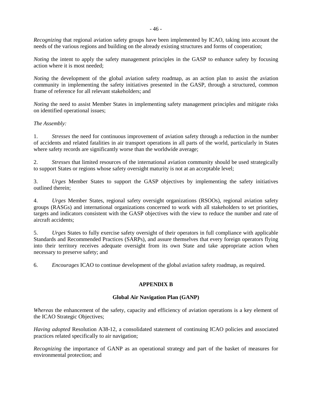*Recognizing* that regional aviation safety groups have been implemented by ICAO, taking into account the needs of the various regions and building on the already existing structures and forms of cooperation;

*Noting* the intent to apply the safety management principles in the GASP to enhance safety by focusing action where it is most needed;

*Noting* the development of the global aviation safety roadmap, as an action plan to assist the aviation community in implementing the safety initiatives presented in the GASP, through a structured, common frame of reference for all relevant stakeholders; and

*Noting* the need to assist Member States in implementing safety management principles and mitigate risks on identified operational issues;

### *The Assembly:*

1. *Stresses* the need for continuous improvement of aviation safety through a reduction in the number of accidents and related fatalities in air transport operations in all parts of the world, particularly in States where safety records are significantly worse than the worldwide average;

2. *Stresses* that limited resources of the international aviation community should be used strategically to support States or regions whose safety oversight maturity is not at an acceptable level;

3. *Urges* Member States to support the GASP objectives by implementing the safety initiatives outlined therein;

4. *Urges* Member States, regional safety oversight organizations (RSOOs), regional aviation safety groups (RASGs) and international organizations concerned to work with all stakeholders to set priorities, targets and indicators consistent with the GASP objectives with the view to reduce the number and rate of aircraft accidents;

5. *Urges* States to fully exercise safety oversight of their operators in full compliance with applicable Standards and Recommended Practices (SARPs), and assure themselves that every foreign operators flying into their territory receives adequate oversight from its own State and take appropriate action when necessary to preserve safety; and

6. *Encourages* ICAO to continue development of the global aviation safety roadmap, as required.

## **APPENDIX B**

#### **Global Air Navigation Plan (GANP)**

*Whereas* the enhancement of the safety, capacity and efficiency of aviation operations is a key element of the ICAO Strategic Objectives;

*Having adopted* Resolution A38-12, a consolidated statement of continuing ICAO policies and associated practices related specifically to air navigation;

*Recognizing* the importance of GANP as an operational strategy and part of the basket of measures for environmental protection; and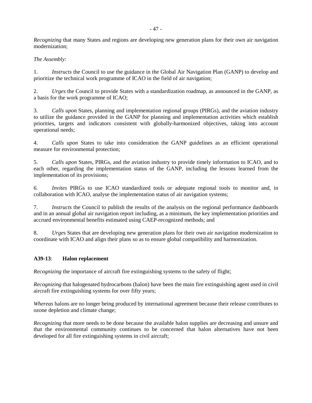*Recognizing* that many States and regions are developing new generation plans for their own air navigation modernization;

## *The Assembly:*

1. *Instructs* the Council to use the guidance in the Global Air Navigation Plan (GANP) to develop and prioritize the technical work programme of ICAO in the field of air navigation;

2. *Urges* the Council to provide States with a standardization roadmap, as announced in the GANP, as a basis for the work programme of ICAO;

3. *Calls upon* States, planning and implementation regional groups (PIRGs), and the aviation industry to utilize the guidance provided in the GANP for planning and implementation activities which establish priorities, targets and indicators consistent with globally-harmonized objectives, taking into account operational needs;

4. *Calls upon* States to take into consideration the GANP guidelines as an efficient operational measure for environmental protection;

5. *Calls upon* States, PIRGs, and the aviation industry to provide timely information to ICAO, and to each other, regarding the implementation status of the GANP, including the lessons learned from the implementation of its provisions;

*6. Invites* PIRGs to use ICAO standardized tools or adequate regional tools to monitor and, in collaboration with ICAO, analyse the implementation status of air navigation systems;

7. *Instructs* the Council to publish the results of the analysis on the regional performance dashboards and in an annual global air navigation report including, as a minimum, the key implementation priorities and accrued environmental benefits estimated using CAEP-recognized methods; and

8. *Urge*s States that are developing new generation plans for their own air navigation modernization to coordinate with ICAO and align their plans so as to ensure global compatibility and harmonization.

## **A39-13**: **Halon replacement**

*Recognizing* the importance of aircraft fire extinguishing systems to the safety of flight:

*Recognizing* that halogenated hydrocarbons (halon) have been the main fire extinguishing agent used in civil aircraft fire extinguishing systems for over fifty years;

*Whereas* halons are no longer being produced by international agreement because their release contributes to ozone depletion and climate change;

*Recognizing* that more needs to be done because the available halon supplies are decreasing and unsure and that the environmental community continues to be concerned that halon alternatives have not been developed for all fire extinguishing systems in civil aircraft;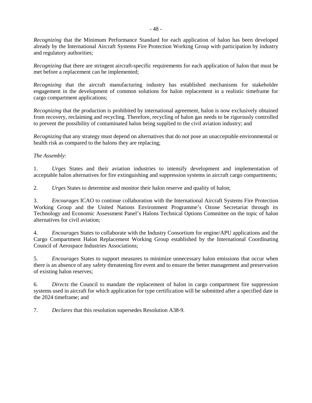*Recognizing* that the Minimum Performance Standard for each application of halon has been developed already by the International Aircraft Systems Fire Protection Working Group with participation by industry and regulatory authorities;

*Recognizing* that there are stringent aircraft-specific requirements for each application of halon that must be met before a replacement can be implemented;

*Recognizing* that the aircraft manufacturing industry has established mechanisms for stakeholder engagement in the development of common solutions for halon replacement in a realistic timeframe for cargo compartment applications;

*Recognizing* that the production is prohibited by international agreement, halon is now exclusively obtained from recovery, reclaiming and recycling. Therefore, recycling of halon gas needs to be rigorously controlled to prevent the possibility of contaminated halon being supplied to the civil aviation industry; and

*Recognizing* that any strategy must depend on alternatives that do not pose an unacceptable environmental or health risk as compared to the halons they are replacing;

### *The Assembly*:

1. *Urges* States and their aviation industries to intensify development and implementation of acceptable halon alternatives for fire extinguishing and suppression systems in aircraft cargo compartments;

2. *Urges* States to determine and monitor their halon reserve and quality of halon;

3. *Encourages* ICAO to continue collaboration with the International Aircraft Systems Fire Protection Working Group and the United Nations Environment Programme's Ozone Secretariat through its Technology and Economic Assessment Panel's Halons Technical Options Committee on the topic of halon alternatives for civil aviation;

4. *Encourages* States to collaborate with the Industry Consortium for engine/APU applications and the Cargo Compartment Halon Replacement Working Group established by the International Coordinating Council of Aerospace Industries Associations;

5. *Encourages* States to support measures to minimize unnecessary halon emissions that occur when there is an absence of any safety threatening fire event and to ensure the better management and preservation of existing halon reserves;

6. *Directs* the Council to mandate the replacement of halon in cargo compartment fire suppression systems used in aircraft for which application for type certification will be submitted after a specified date in the 2024 timeframe; and

7. *Declares* that this resolution supersedes Resolution A38-9.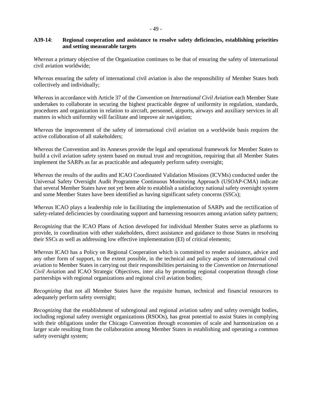### **A39-14**: **Regional cooperation and assistance to resolve safety deficiencies, establishing priorities and setting measurable targets**

*Whereas* a primary objective of the Organization continues to be that of ensuring the safety of international civil aviation worldwide;

*Whereas* ensuring the safety of international civil aviation is also the responsibility of Member States both collectively and individually;

*Whereas* in accordance with Article 37 of the *Convention on International Civil Aviation* each Member State undertakes to collaborate in securing the highest practicable degree of uniformity in regulation, standards, procedures and organization in relation to aircraft, personnel, airports, airways and auxiliary services in all matters in which uniformity will facilitate and improve air navigation;

*Whereas* the improvement of the safety of international civil aviation on a worldwide basis requires the active collaboration of all stakeholders;

*Whereas* the Convention and its Annexes provide the legal and operational framework for Member States to build a civil aviation safety system based on mutual trust and recognition, requiring that all Member States implement the SARPs as far as practicable and adequately perform safety oversight;

*Whereas* the results of the audits and ICAO Coordinated Validation Missions (ICVMs) conducted under the Universal Safety Oversight Audit Programme Continuous Monitoring Approach (USOAP-CMA) indicate that several Member States have not yet been able to establish a satisfactory national safety oversight system and some Member States have been identified as having significant safety concerns (SSCs);

*Whereas* ICAO plays a leadership role in facilitating the implementation of SARPs and the rectification of safety-related deficiencies by coordinating support and harnessing resources among aviation safety partners;

*Recognizing* that the ICAO Plans of Action developed for individual Member States serve as platforms to provide, in coordination with other stakeholders, direct assistance and guidance to those States in resolving their SSCs as well as addressing low effective implementation (EI) of critical elements;

*Whereas* ICAO has a Policy on Regional Cooperation which is committed to render assistance, advice and any other form of support, to the extent possible, in the technical and policy aspects of international civil aviation to Member States in carrying out their responsibilities pertaining to the *Convention on International Civil Aviatio*n and ICAO Strategic Objectives, inter alia by promoting regional cooperation through close partnerships with regional organizations and regional civil aviation bodies;

*Recognizing* that not all Member States have the requisite human, technical and financial resources to adequately perform safety oversight;

*Recognizing* that the establishment of subregional and regional aviation safety and safety oversight bodies, including regional safety oversight organizations (RSOOs), has great potential to assist States in complying with their obligations under the Chicago Convention through economies of scale and harmonization on a larger scale resulting from the collaboration among Member States in establishing and operating a common safety oversight system;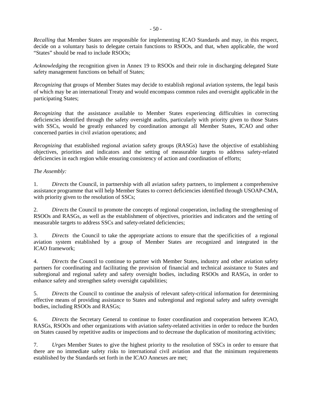*Recalling* that Member States are responsible for implementing ICAO Standards and may, in this respect, decide on a voluntary basis to delegate certain functions to RSOOs, and that, when applicable, the word "States" should be read to include RSOOs;

*Acknowledging* the recognition given in Annex 19 to RSOOs and their role in discharging delegated State safety management functions on behalf of States;

*Recognizing* that groups of Member States may decide to establish regional aviation systems, the legal basis of which may be an international Treaty and would encompass common rules and oversight applicable in the participating States;

*Recognizing* that the assistance available to Member States experiencing difficulties in correcting deficiencies identified through the safety oversight audits, particularly with priority given to those States with SSCs, would be greatly enhanced by coordination amongst all Member States, ICAO and other concerned parties in civil aviation operations; and

*Recognizing* that established regional aviation safety groups (RASGs) have the objective of establishing objectives, priorities and indicators and the setting of measurable targets to address safety-related deficiencies in each region while ensuring consistency of action and coordination of efforts;

### *The Assembly:*

1. *Directs* the Council, in partnership with all aviation safety partners, to implement a comprehensive assistance programme that will help Member States to correct deficiencies identified through USOAP-CMA, with priority given to the resolution of SSCs;

2. *Directs* the Council to promote the concepts of regional cooperation, including the strengthening of RSOOs and RASGs, as well as the establishment of objectives, priorities and indicators and the setting of measurable targets to address SSCs and safety-related deficiencies;

3. *Directs* the Council to take the appropriate actions to ensure that the specificities of a regional aviation system established by a group of Member States are recognized and integrated in the ICAO framework;

4. *Directs* the Council to continue to partner with Member States, industry and other aviation safety partners for coordinating and facilitating the provision of financial and technical assistance to States and subregional and regional safety and safety oversight bodies, including RSOOs and RASGs, in order to enhance safety and strengthen safety oversight capabilities;

5. *Directs* the Council to continue the analysis of relevant safety-critical information for determining effective means of providing assistance to States and subregional and regional safety and safety oversight bodies, including RSOOs and RASGs;

6. *Directs* the Secretary General to continue to foster coordination and cooperation between ICAO, RASGs, RSOOs and other organizations with aviation safety-related activities in order to reduce the burden on States caused by repetitive audits or inspections and to decrease the duplication of monitoring activities;

7. *Urges* Member States to give the highest priority to the resolution of SSCs in order to ensure that there are no immediate safety risks to international civil aviation and that the minimum requirements established by the Standards set forth in the ICAO Annexes are met;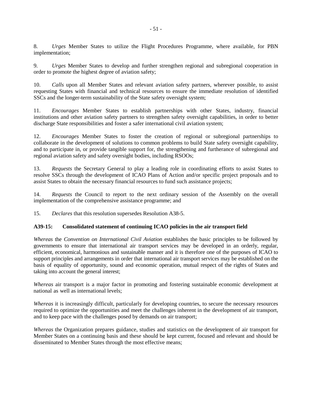8. *Urges* Member States to utilize the Flight Procedures Programme, where available, for PBN implementation;

9. *Urges* Member States to develop and further strengthen regional and subregional cooperation in order to promote the highest degree of aviation safety;

10. *Calls* upon all Member States and relevant aviation safety partners, wherever possible, to assist requesting States with financial and technical resources to ensure the immediate resolution of identified SSCs and the longer-term sustainability of the State safety oversight system;

11. *Encourages* Member States to establish partnerships with other States, industry, financial institutions and other aviation safety partners to strengthen safety oversight capabilities, in order to better discharge State responsibilities and foster a safer international civil aviation system;

12. *Encourages* Member States to foster the creation of regional or subregional partnerships to collaborate in the development of solutions to common problems to build State safety oversight capability, and to participate in, or provide tangible support for, the strengthening and furtherance of subregional and regional aviation safety and safety oversight bodies, including RSOOs;

13. *Requests* the Secretary General to play a leading role in coordinating efforts to assist States to resolve SSCs through the development of ICAO Plans of Action and/or specific project proposals and to assist States to obtain the necessary financial resources to fund such assistance projects;

14. *Requests* the Council to report to the next ordinary session of the Assembly on the overall implementation of the comprehensive assistance programme; and

15. *Declares* that this resolution supersedes Resolution A38-5.

#### **A39-15: Consolidated statement of continuing ICAO policies in the air transport field**

*Whereas* the *Convention on International Civil Aviation* establishes the basic principles to be followed by governments to ensure that international air transport services may be developed in an orderly, regular, efficient, economical, harmonious and sustainable manner and it is therefore one of the purposes of ICAO to support principles and arrangements in order that international air transport services may be established on the basis of equality of opportunity, sound and economic operation, mutual respect of the rights of States and taking into account the general interest;

*Whereas* air transport is a major factor in promoting and fostering sustainable economic development at national as well as international levels;

*Whereas* it is increasingly difficult, particularly for developing countries, to secure the necessary resources required to optimize the opportunities and meet the challenges inherent in the development of air transport, and to keep pace with the challenges posed by demands on air transport;

*Whereas* the Organization prepares guidance, studies and statistics on the development of air transport for Member States on a continuing basis and these should be kept current, focused and relevant and should be disseminated to Member States through the most effective means;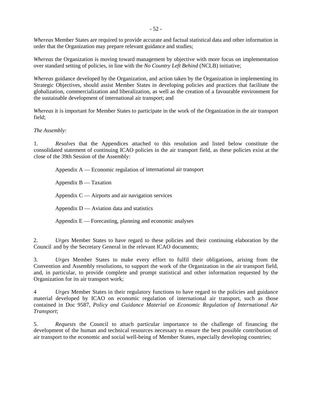*Whereas* Member States are required to provide accurate and factual statistical data and other information in order that the Organization may prepare relevant guidance and studies;

*Whereas* the Organization is moving toward management by objective with more focus on implementation over standard setting of policies, in line with the *No Country Left Behind* (NCLB) initiative;

*Whereas* guidance developed by the Organization, and action taken by the Organization in implementing its Strategic Objectives, should assist Member States in developing policies and practices that facilitate the globalization, commercialization and liberalization, as well as the creation of a favourable environment for the sustainable development of international air transport; and

*Whereas* it is important for Member States to participate in the work of the Organization in the air transport field;

#### *The Assembly:*

1. *Resolves* that the Appendices attached to this resolution and listed below constitute the consolidated statement of continuing ICAO policies in the air transport field, as these policies exist at the close of the 39th Session of the Assembly:

Appendix A — Economic regulation of international air transport

Appendix  $B - T$ axation

Appendix  $C -$  Airports and air navigation services

Appendix  $D$  — Aviation data and statistics

Appendix E — Forecasting, planning and economic analyses

2. *Urges* Member States to have regard to these policies and their continuing elaboration by the Council and by the Secretary General in the relevant ICAO documents;

3. *Urges* Member States to make every effort to fulfil their obligations, arising from the Convention and Assembly resolutions, to support the work of the Organization in the air transport field, and, in particular, to provide complete and prompt statistical and other information requested by the Organization for its air transport work;

4 *Urges* Member States in their regulatory functions to have regard to the policies and guidance material developed by ICAO on economic regulation of international air transport, such as those contained in Doc 9587, *Policy and Guidance Material on Economic Regulation of International Air Transport*;

5. *Requests* the Council to attach particular importance to the challenge of financing the development of the human and technical resources necessary to ensure the best possible contribution of air transport to the economic and social well-being of Member States, especially developing countries;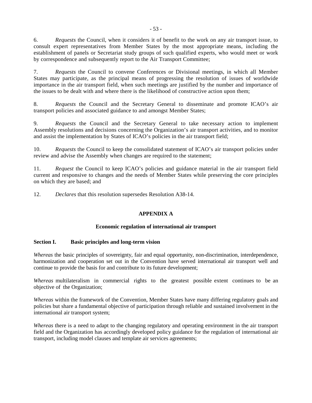6. *Requests* the Council, when it considers it of benefit to the work on any air transport issue, to consult expert representatives from Member States by the most appropriate means, including the establishment of panels or Secretariat study groups of such qualified experts, who would meet or work by correspondence and subsequently report to the Air Transport Committee;

7. *Requests* the Council to convene Conferences or Divisional meetings, in which all Member States may participate, as the principal means of progressing the resolution of issues of worldwide importance in the air transport field, when such meetings are justified by the number and importance of the issues to be dealt with and where there is the likelihood of constructive action upon them;

8. *Requests* the Council and the Secretary General to disseminate and promote ICAO's air transport policies and associated guidance to and amongst Member States;

9. *Requests* the Council and the Secretary General to take necessary action to implement Assembly resolutions and decisions concerning the Organization's air transport activities, and to monitor and assist the implementation by States of ICAO's policies in the air transport field;

10. *Requests* the Council to keep the consolidated statement of ICAO's air transport policies under review and advise the Assembly when changes are required to the statement;

11. *Request* the Council to keep ICAO's policies and guidance material in the air transport field current and responsive to changes and the needs of Member States while preserving the core principles on which they are based; and

12. *Declares* that this resolution supersedes Resolution A38-14.

## **APPENDIX A**

#### **Economic regulation of international air transport**

#### **Section I. Basic principles and long-term vision**

*Whereas* the basic principles of sovereignty, fair and equal opportunity, non-discrimination, interdependence, harmonization and cooperation set out in the Convention have served international air transport well and continue to provide the basis for and contribute to its future development;

*Whereas* multilateralism in commercial rights to the greatest possible extent continues to be an objective of the Organization;

*Whereas* within the framework of the Convention, Member States have many differing regulatory goals and policies but share a fundamental objective of participation through reliable and sustained involvement in the international air transport system;

*Whereas* there is a need to adapt to the changing regulatory and operating environment in the air transport field and the Organization has accordingly developed policy guidance for the regulation of international air transport, including model clauses and template air services agreements;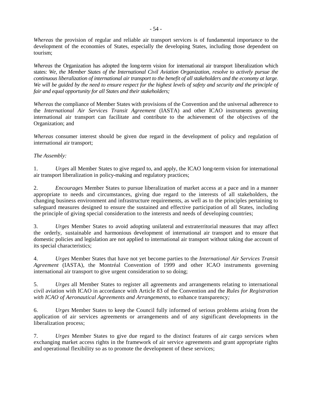*Whereas* the provision of regular and reliable air transport services is of fundamental importance to the development of the economies of States, especially the developing States, including those dependent on tourism;

*Whereas* the Organization has adopted the long-term vision for international air transport liberalization which states: *We, the Member States of the International Civil Aviation Organization, resolve to actively pursue the continuous liberalization of international air transport to the benefit of all stakeholders and the economy at large.*  We will be guided by the need to ensure respect for the highest levels of safety and security and the principle of *fair and equal opportunity for all States and their stakeholders;* 

*Whereas* the compliance of Member States with provisions of the Convention and the universal adherence to the *International Air Services Transit Agreement* (IASTA) and other ICAO instruments governing international air transport can facilitate and contribute to the achievement of the objectives of the Organization; and

*Whereas* consumer interest should be given due regard in the development of policy and regulation of international air transport;

## *The Assembly:*

1. *Urges* all Member States to give regard to, and apply, the ICAO long-term vision for international air transport liberalization in policy-making and regulatory practices;

2. *Encourages* Member States to pursue liberalization of market access at a pace and in a manner appropriate to needs and circumstances, giving due regard to the interests of all stakeholders, the changing business environment and infrastructure requirements, as well as to the principles pertaining to safeguard measures designed to ensure the sustained and effective participation of all States, including the principle of giving special consideration to the interests and needs of developing countries;

3. *Urges* Member States to avoid adopting unilateral and extraterritorial measures that may affect the orderly, sustainable and harmonious development of international air transport and to ensure that domestic policies and legislation are not applied to international air transport without taking due account of its special characteristics;

4. *Urges* Member States that have not yet become parties to the *International Air Services Transit Agreement* (IASTA), the Montréal Convention of 1999 and other ICAO instruments governing international air transport to give urgent consideration to so doing;

5. *Urges* all Member States to register all agreements and arrangements relating to international civil aviation with ICAO in accordance with Article 83 of the Convention and the *Rules for Registration with ICAO of Aeronautical Agreements and Arrangements,* to enhance transparency*;*

6. *Urges* Member States to keep the Council fully informed of serious problems arising from the application of air services agreements or arrangements and of any significant developments in the liberalization process;

7. *Urges* Member States to give due regard to the distinct features of air cargo services when exchanging market access rights in the framework of air service agreements and grant appropriate rights and operational flexibility so as to promote the development of these services;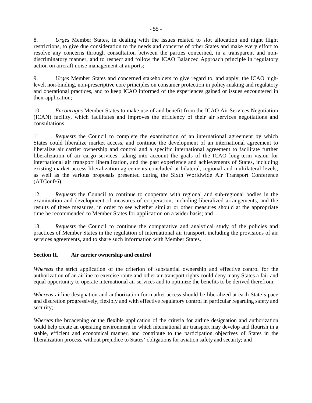8. *Urges* Member States, in dealing with the issues related to slot allocation and night flight restrictions, to give due consideration to the needs and concerns of other States and make every effort to resolve any concerns through consultation between the parties concerned, in a transparent and nondiscriminatory manner, and to respect and follow the ICAO Balanced Approach principle in regulatory action on aircraft noise management at airports;

9. *Urges* Member States and concerned stakeholders to give regard to, and apply, the ICAO highlevel, non-binding, non-prescriptive core principles on consumer protection in policy-making and regulatory and operational practices, and to keep ICAO informed of the experiences gained or issues encountered in their application;

10. *Encourages* Member States to make use of and benefit from the ICAO Air Services Negotiation (ICAN) facility, which facilitates and improves the efficiency of their air services negotiations and consultations;

11. *Requests* the Council to complete the examination of an international agreement by which States could liberalize market access, and continue the development of an international agreement to liberalize air carrier ownership and control and a specific international agreement to facilitate further liberalization of air cargo services, taking into account the goals of the ICAO long-term vision for international air transport liberalization, and the past experience and achievements of States, including existing market access liberalization agreements concluded at bilateral, regional and multilateral levels, as well as the various proposals presented during the Sixth Worldwide Air Transport Conference  $(ATConf/6);$ 

12. *Requests* the Council to continue to cooperate with regional and sub-regional bodies in the examination and development of measures of cooperation, including liberalized arrangements, and the results of these measures, in order to see whether similar or other measures should at the appropriate time be recommended to Member States for application on a wider basis; and

13. *Requests* the Council to continue the comparative and analytical study of the policies and practices of Member States in the regulation of international air transport, including the provisions of air services agreements, and to share such information with Member States.

# **Section II. Air carrier ownership and control**

*Whereas* the strict application of the criterion of substantial ownership and effective control for the authorization of an airline to exercise route and other air transport rights could deny many States a fair and equal opportunity to operate international air services and to optimize the benefits to be derived therefrom;

*Whereas* airline designation and authorization for market access should be liberalized at each State's pace and discretion progressively, flexibly and with effective regulatory control in particular regarding safety and security;

*Whereas* the broadening or the flexible application of the criteria for airline designation and authorization could help create an operating environment in which international air transport may develop and flourish in a stable, efficient and economical manner, and contribute to the participation objectives of States in the liberalization process, without prejudice to States' obligations for aviation safety and security; and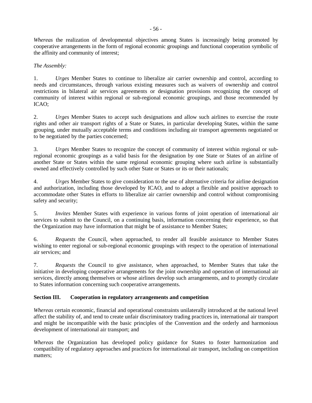*Whereas* the realization of developmental objectives among States is increasingly being promoted by cooperative arrangements in the form of regional economic groupings and functional cooperation symbolic of the affinity and community of interest;

## *The Assembly:*

1. *Urges* Member States to continue to liberalize air carrier ownership and control, according to needs and circumstances, through various existing measures such as waivers of ownership and control restrictions in bilateral air services agreements or designation provisions recognizing the concept of community of interest within regional or sub-regional economic groupings, and those recommended by ICAO;

2. *Urges* Member States to accept such designations and allow such airlines to exercise the route rights and other air transport rights of a State or States, in particular developing States, within the same grouping, under mutually acceptable terms and conditions including air transport agreements negotiated or to be negotiated by the parties concerned;

3. *Urges* Member States to recognize the concept of community of interest within regional or subregional economic groupings as a valid basis for the designation by one State or States of an airline of another State or States within the same regional economic grouping where such airline is substantially owned and effectively controlled by such other State or States or its or their nationals;

4. *Urges* Member States to give consideration to the use of alternative criteria for airline designation and authorization, including those developed by ICAO, and to adopt a flexible and positive approach to accommodate other States in efforts to liberalize air carrier ownership and control without compromising safety and security;

5. *Invites* Member States with experience in various forms of joint operation of international air services to submit to the Council, on a continuing basis, information concerning their experience, so that the Organization may have information that might be of assistance to Member States;

6. *Requests* the Council, when approached, to render all feasible assistance to Member States wishing to enter regional or sub-regional economic groupings with respect to the operation of international air services; and

7. *Requests* the Council to give assistance, when approached, to Member States that take the initiative in developing cooperative arrangements for the joint ownership and operation of international air services, directly among themselves or whose airlines develop such arrangements, and to promptly circulate to States information concerning such cooperative arrangements.

## **Section III. Cooperation in regulatory arrangements and competition**

*Whereas* certain economic, financial and operational constraints unilaterally introduced at the national level affect the stability of, and tend to create unfair discriminatory trading practices in, international air transport and might be incompatible with the basic principles of the Convention and the orderly and harmonious development of international air transport; and

*Whereas* the Organization has developed policy guidance for States to foster harmonization and compatibility of regulatory approaches and practices for international air transport, including on competition matters;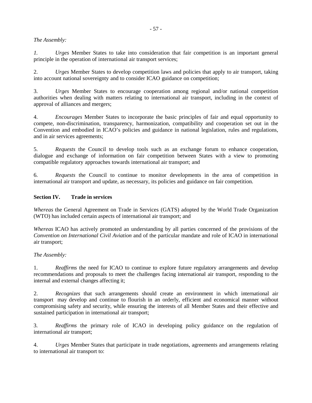#### *The Assembly:*

*1. Urges* Member States to take into consideration that fair competition is an important general principle in the operation of international air transport services;

2. *Urges* Member States to develop competition laws and policies that apply to air transport, taking into account national sovereignty and to consider ICAO guidance on competition;

3. *Urges* Member States to encourage cooperation among regional and/or national competition authorities when dealing with matters relating to international air transport, including in the context of approval of alliances and mergers;

4. *Encourages* Member States to incorporate the basic principles of fair and equal opportunity to compete, non-discrimination, transparency, harmonization, compatibility and cooperation set out in the Convention and embodied in ICAO's policies and guidance in national legislation, rules and regulations, and in air services agreements;

5. *Requests* the Council to develop tools such as an exchange forum to enhance cooperation, dialogue and exchange of information on fair competition between States with a view to promoting compatible regulatory approaches towards international air transport; and

6. *Requests* the Council to continue to monitor developments in the area of competition in international air transport and update, as necessary, its policies and guidance on fair competition.

### **Section IV. Trade in services**

*Whereas* the General Agreement on Trade in Services (GATS) adopted by the World Trade Organization (WTO) has included certain aspects of international air transport; and

*Whereas* ICAO has actively promoted an understanding by all parties concerned of the provisions of the *Convention on International Civil Aviation* and of the particular mandate and role of ICAO in international air transport;

## *The Assembly:*

1. *Reaffirms* the need for ICAO to continue to explore future regulatory arrangements and develop recommendations and proposals to meet the challenges facing international air transport, responding to the internal and external changes affecting it;

2. *Recognizes* that such arrangements should create an environment in which international air transport may develop and continue to flourish in an orderly, efficient and economical manner without compromising safety and security, while ensuring the interests of all Member States and their effective and sustained participation in international air transport;

3. *Reaffirms* the primary role of ICAO in developing policy guidance on the regulation of international air transport;

4. *Urges* Member States that participate in trade negotiations, agreements and arrangements relating to international air transport to: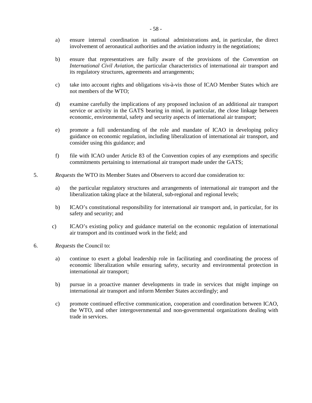- a) ensure internal coordination in national administrations and, in particular, the direct involvement of aeronautical authorities and the aviation industry in the negotiations;
- b) ensure that representatives are fully aware of the provisions of the *Convention on International Civil Aviation*, the particular characteristics of international air transport and its regulatory structures, agreements and arrangements;
- c) take into account rights and obligations vis-à-vis those of ICAO Member States which are not members of the WTO;
- d) examine carefully the implications of any proposed inclusion of an additional air transport service or activity in the GATS bearing in mind, in particular, the close linkage between economic, environmental, safety and security aspects of international air transport;
- e) promote a full understanding of the role and mandate of ICAO in developing policy guidance on economic regulation, including liberalization of international air transport, and consider using this guidance; and
- f) file with ICAO under Article 83 of the Convention copies of any exemptions and specific commitments pertaining to international air transport made under the GATS;
- 5. *Requests* the WTO its Member States and Observers to accord due consideration to:
	- a) the particular regulatory structures and arrangements of international air transport and the liberalization taking place at the bilateral, sub-regional and regional levels;
	- b) ICAO's constitutional responsibility for international air transport and, in particular, for its safety and security; and
	- c) ICAO's existing policy and guidance material on the economic regulation of international air transport and its continued work in the field; and
- 6. *Requests* the Council to:
	- a) continue to exert a global leadership role in facilitating and coordinating the process of economic liberalization while ensuring safety, security and environmental protection in international air transport;
	- b) pursue in a proactive manner developments in trade in services that might impinge on international air transport and inform Member States accordingly; and
	- c) promote continued effective communication, cooperation and coordination between ICAO, the WTO, and other intergovernmental and non-governmental organizations dealing with trade in services.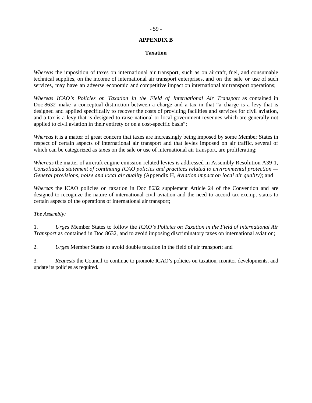### **APPENDIX B**

#### **Taxation**

*Whereas* the imposition of taxes on international air transport, such as on aircraft, fuel, and consumable technical supplies, on the income of international air transport enterprises, and on the sale or use of such services, may have an adverse economic and competitive impact on international air transport operations;

*Whereas ICAO's Policies on Taxation in the Field of International Air Transport* as contained in Doc 8632 make a conceptual distinction between a charge and a tax in that "a charge is a levy that is designed and applied specifically to recover the costs of providing facilities and services for civil aviation, and a tax is a levy that is designed to raise national or local government revenues which are generally not applied to civil aviation in their entirety or on a cost-specific basis";

*Whereas* it is a matter of great concern that taxes are increasingly being imposed by some Member States in respect of certain aspects of international air transport and that levies imposed on air traffic, several of which can be categorized as taxes on the sale or use of international air transport, are proliferating;

*Whereas* the matter of aircraft engine emission-related levies is addressed in Assembly Resolution A39-1, *Consolidated statement of continuing ICAO policies and practices related to environmental protection — General provisions, noise and local air quality (*Appendix H*, Aviation impact on local air quality)*; and

*Whereas* the ICAO policies on taxation in Doc 8632 supplement Article 24 of the Convention and are designed to recognize the nature of international civil aviation and the need to accord tax-exempt status to certain aspects of the operations of international air transport;

#### *The Assembly:*

1. *Urges* Member States to follow the *ICAO's Policies on Taxation in the Field of International Air Transport* as contained in Doc 8632, and to avoid imposing discriminatory taxes on international aviation;

2. *Urges* Member States to avoid double taxation in the field of air transport; and

3. *Requests* the Council to continue to promote ICAO's policies on taxation, monitor developments, and update its policies as required.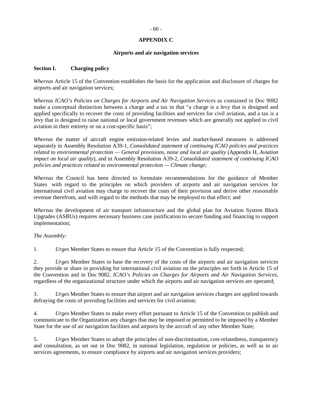### **APPENDIX C**

#### **Airports and air navigation services**

#### **Section I. Charging policy**

*Whereas* Article 15 of the Convention establishes the basis for the application and disclosure of charges for airports and air navigation services;

*Whereas ICAO's Policies on Charges for Airports and Air Navigation Services* as contained in Doc 9082 make a conceptual distinction between a charge and a tax in that "a charge is a levy that is designed and applied specifically to recover the costs of providing facilities and services for civil aviation, and a tax is a levy that is designed to raise national or local government revenues which are generally not applied to civil aviation in their entirety or on a cost-specific basis";

*Whereas* the matter of aircraft engine emission-related levies and market-based measures is addressed separately in Assembly Resolution A39-1, *Consolidated statement of continuing ICAO policies and practices related to environmental protection — General provisions, noise and local air quality* (Appendix H*, Aviation impact on local air quality*)*,* and in Assembly Resolution A39-2, *Consolidated statement of continuing ICAO policies and practices related to environmental protection — Climate change*;

*Whereas* the Council has been directed to formulate recommendations for the guidance of Member States with regard to the principles on which providers of airports and air navigation services for international civil aviation may charge to recover the costs of their provision and derive other reasonable revenue therefrom, and with regard to the methods that may be employed to that effect; and

*Whereas* the development of air transport infrastructure and the global plan for Aviation System Block Upgrades (ASBUs) requires necessary business case justification to secure funding and financing to support implementation;

#### *The Assembly:*

1. *Urges* Member States to ensure that Article 15 of the Convention is fully respected;

2. *Urges* Member States to base the recovery of the costs of the airports and air navigation services they provide or share in providing for international civil aviation on the principles set forth in Article 15 of the Convention and in Doc 9082, *ICAO's Policies on Charges for Airports and Air Navigation Services*, regardless of the organizational structure under which the airports and air navigation services are operated;

3. *Urges* Member States to ensure that airport and air navigation services charges are applied towards defraying the costs of providing facilities and services for civil aviation;

4. *Urges* Member States to make every effort pursuant to Article 15 of the Convention to publish and communicate to the Organization any charges that may be imposed or permitted to be imposed by a Member State for the use of air navigation facilities and airports by the aircraft of any other Member State;

5. *Urges* Member States to adopt the principles of non-discrimination, cost-relatedness, transparency and consultation, as set out in Doc 9082, in national legislation, regulation or policies, as well as in air services agreements, to ensure compliance by airports and air navigation services providers;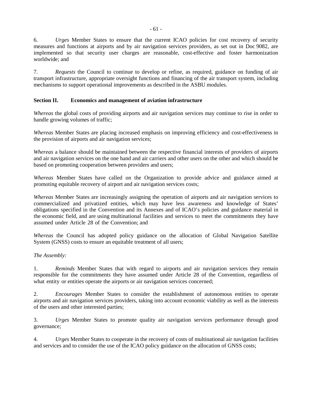6. *Urges* Member States to ensure that the current ICAO policies for cost recovery of security measures and functions at airports and by air navigation services providers, as set out in Doc 9082, are implemented so that security user charges are reasonable, cost-effective and foster harmonization worldwide; and

7. *Requests* the Council to continue to develop or refine, as required, guidance on funding of air transport infrastructure, appropriate oversight functions and financing of the air transport system, including mechanisms to support operational improvements as described in the ASBU modules.

### **Section II. Economics and management of aviation infrastructure**

*Whereas* the global costs of providing airports and air navigation services may continue to rise in order to handle growing volumes of traffic;

*Whereas* Member States are placing increased emphasis on improving efficiency and cost-effectiveness in the provision of airports and air navigation services;

*Whereas* a balance should be maintained between the respective financial interests of providers of airports and air navigation services on the one hand and air carriers and other users on the other and which should be based on promoting cooperation between providers and users;

*Whereas* Member States have called on the Organization to provide advice and guidance aimed at promoting equitable recovery of airport and air navigation services costs;

*Whereas* Member States are increasingly assigning the operation of airports and air navigation services to commercialized and privatized entities, which may have less awareness and knowledge of States' obligations specified in the Convention and its Annexes and of ICAO's policies and guidance material in the economic field, and are using multinational facilities and services to meet the commitments they have assumed under Article 28 of the Convention; and

*Whereas* the Council has adopted policy guidance on the allocation of Global Navigation Satellite System (GNSS) costs to ensure an equitable treatment of all users;

#### *The Assembly:*

1. *Reminds* Member States that with regard to airports and air navigation services they remain responsible for the commitments they have assumed under Article 28 of the Convention, regardless of what entity or entities operate the airports or air navigation services concerned;

2. *Encourages* Member States to consider the establishment of autonomous entities to operate airports and air navigation services providers, taking into account economic viability as well as the interests of the users and other interested parties;

3. *Urges* Member States to promote quality air navigation services performance through good governance;

4. *Urges* Member States to cooperate in the recovery of costs of multinational air navigation facilities and services and to consider the use of the ICAO policy guidance on the allocation of GNSS costs;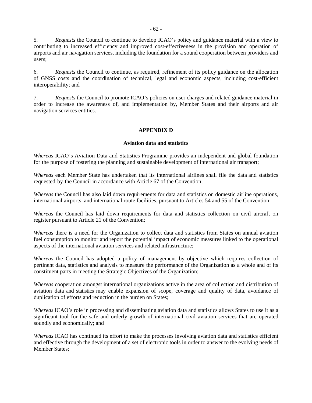5. *Requests* the Council to continue to develop ICAO's policy and guidance material with a view to contributing to increased efficiency and improved cost-effectiveness in the provision and operation of airports and air navigation services, including the foundation for a sound cooperation between providers and users;

6. *Requests* the Council to continue, as required, refinement of its policy guidance on the allocation of GNSS costs and the coordination of technical, legal and economic aspects, including cost-efficient interoperability; and

7. *Requests* the Council to promote ICAO's policies on user charges and related guidance material in order to increase the awareness of, and implementation by, Member States and their airports and air navigation services entities.

### **APPENDIX D**

#### **Aviation data and statistics**

*Whereas* ICAO's Aviation Data and Statistics Programme provides an independent and global foundation for the purpose of fostering the planning and sustainable development of international air transport;

*Whereas* each Member State has undertaken that its international airlines shall file the data and statistics requested by the Council in accordance with Article 67 of the Convention;

*Whereas* the Council has also laid down requirements for data and statistics on domestic airline operations, international airports, and international route facilities, pursuant to Articles 54 and 55 of the Convention;

*Whereas* the Council has laid down requirements for data and statistics collection on civil aircraft on register pursuant to Article 21 of the Convention;

*Whereas* there is a need for the Organization to collect data and statistics from States on annual aviation fuel consumption to monitor and report the potential impact of economic measures linked to the operational aspects of the international aviation services and related infrastructure;

*Whereas* the Council has adopted a policy of management by objective which requires collection of pertinent data, statistics and analysis to measure the performance of the Organization as a whole and of its constituent parts in meeting the Strategic Objectives of the Organization;

*Whereas* cooperation amongst international organizations active in the area of collection and distribution of aviation data and statistics may enable expansion of scope, coverage and quality of data, avoidance of duplication of efforts and reduction in the burden on States;

*Whereas* ICAO's role in processing and disseminating aviation data and statistics allows States to use it as a significant tool for the safe and orderly growth of international civil aviation services that are operated soundly and economically; and

*Whereas* ICAO has continued its effort to make the processes involving aviation data and statistics efficient and effective through the development of a set of electronic tools in order to answer to the evolving needs of Member States;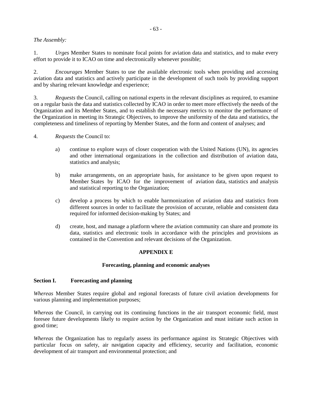### *The Assembly:*

1. *Urges* Member States to nominate focal points for aviation data and statistics, and to make every effort to provide it to ICAO on time and electronically whenever possible;

2. *Encourages* Member States to use the available electronic tools when providing and accessing aviation data and statistics and actively participate in the development of such tools by providing support and by sharing relevant knowledge and experience;

3. *Requests* the Council, calling on national experts in the relevant disciplines as required, to examine on a regular basis the data and statistics collected by ICAO in order to meet more effectively the needs of the Organization and its Member States, and to establish the necessary metrics to monitor the performance of the Organization in meeting its Strategic Objectives, to improve the uniformity of the data and statistics, the completeness and timeliness of reporting by Member States, and the form and content of analyses; and

4. *Requests* the Council to:

- a) continue to explore ways of closer cooperation with the United Nations (UN), its agencies and other international organizations in the collection and distribution of aviation data, statistics and analysis;
- b) make arrangements, on an appropriate basis, for assistance to be given upon request to Member States by ICAO for the improvement of aviation data, statistics and analysis and statistical reporting to the Organization;
- c) develop a process by which to enable harmonization of aviation data and statistics from different sources in order to facilitate the provision of accurate, reliable and consistent data required for informed decision-making by States; and
- d) create, host, and manage a platform where the aviation community can share and promote its data, statistics and electronic tools in accordance with the principles and provisions as contained in the Convention and relevant decisions of the Organization.

# **APPENDIX E**

#### **Forecasting, planning and economic analyses**

#### **Section I. Forecasting and planning**

*Whereas* Member States require global and regional forecasts of future civil aviation developments for various planning and implementation purposes;

*Whereas* the Council, in carrying out its continuing functions in the air transport economic field, must foresee future developments likely to require action by the Organization and must initiate such action in good time;

*Whereas* the Organization has to regularly assess its performance against its Strategic Objectives with particular focus on safety, air navigation capacity and efficiency, security and facilitation, economic development of air transport and environmental protection; and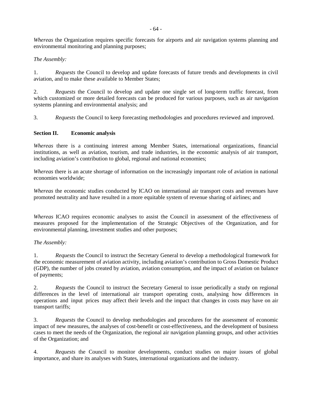*Whereas* the Organization requires specific forecasts for airports and air navigation systems planning and environmental monitoring and planning purposes;

## *The Assembly:*

1. *Requests* the Council to develop and update forecasts of future trends and developments in civil aviation, and to make these available to Member States;

2. *Requests* the Council to develop and update one single set of long-term traffic forecast, from which customized or more detailed forecasts can be produced for various purposes, such as air navigation systems planning and environmental analysis; and

3. *Requests* the Council to keep forecasting methodologies and procedures reviewed and improved.

#### **Section II. Economic analysis**

*Whereas* there is a continuing interest among Member States, international organizations, financial institutions, as well as aviation, tourism, and trade industries, in the economic analysis of air transport, including aviation's contribution to global, regional and national economies;

*Whereas* there is an acute shortage of information on the increasingly important role of aviation in national economies worldwide;

*Whereas* the economic studies conducted by ICAO on international air transport costs and revenues have promoted neutrality and have resulted in a more equitable system of revenue sharing of airlines; and

*Whereas* ICAO requires economic analyses to assist the Council in assessment of the effectiveness of measures proposed for the implementation of the Strategic Objectives of the Organization, and for environmental planning, investment studies and other purposes;

#### *The Assembly:*

1. *Requests* the Council to instruct the Secretary General to develop a methodological framework for the economic measurement of aviation activity, including aviation's contribution to Gross Domestic Product (GDP), the number of jobs created by aviation, aviation consumption, and the impact of aviation on balance of payments;

2. *Requests* the Council to instruct the Secretary General to issue periodically a study on regional differences in the level of international air transport operating costs, analysing how differences in operations and input prices may affect their levels and the impact that changes in costs may have on air transport tariffs;

3. *Requests* the Council to develop methodologies and procedures for the assessment of economic impact of new measures, the analyses of cost-benefit or cost-effectiveness, and the development of business cases to meet the needs of the Organization, the regional air navigation planning groups, and other activities of the Organization; and

4. *Requests* the Council to monitor developments, conduct studies on major issues of global importance, and share its analyses with States, international organizations and the industry.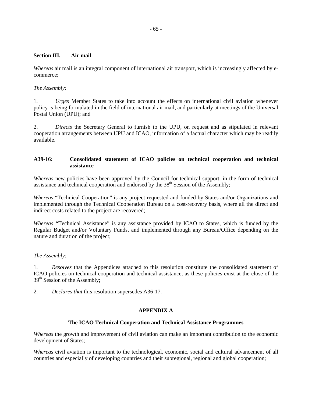#### **Section III. Air mail**

*Whereas* air mail is an integral component of international air transport, which is increasingly affected by ecommerce;

### *The Assembly:*

1. *Urges* Member States to take into account the effects on international civil aviation whenever policy is being formulated in the field of international air mail, and particularly at meetings of the Universal Postal Union (UPU); and

2. *Directs* the Secretary General to furnish to the UPU, on request and as stipulated in relevant cooperation arrangements between UPU and ICAO, information of a factual character which may be readily available.

### **A39-16: Consolidated statement of ICAO policies on technical cooperation and technical assistance**

*Whereas* new policies have been approved by the Council for technical support, in the form of technical assistance and technical cooperation and endorsed by the  $38<sup>th</sup>$  Session of the Assembly;

*Whereas* "Technical Cooperation" is any project requested and funded by States and/or Organizations and implemented through the Technical Cooperation Bureau on a cost-recovery basis, where all the direct and indirect costs related to the project are recovered;

*Whereas* **"**Technical Assistance" is any assistance provided by ICAO to States, which is funded by the Regular Budget and/or Voluntary Funds, and implemented through any Bureau/Office depending on the nature and duration of the project;

#### *The Assembly:*

1. *Resolves* that the Appendices attached to this resolution constitute the consolidated statement of ICAO policies on technical cooperation and technical assistance, as these policies exist at the close of the 39<sup>th</sup> Session of the Assembly;

2. *Declares that* this resolution supersedes A36-17.

## **APPENDIX A**

#### **The ICAO Technical Cooperation and Technical Assistance Programmes**

*Whereas* the growth and improvement of civil aviation can make an important contribution to the economic development of States;

*Whereas* civil aviation is important to the technological, economic, social and cultural advancement of all countries and especially of developing countries and their subregional, regional and global cooperation;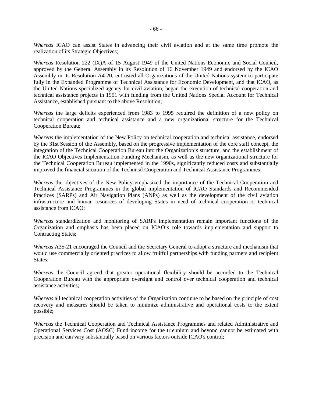*Whereas* ICAO can assist States in advancing their civil aviation and at the same time promote the realization of its Strategic Objectives;

*Whereas* Resolution 222 (IX)A of 15 August 1949 of the United Nations Economic and Social Council, approved by the General Assembly in its Resolution of 16 November 1949 and endorsed by the ICAO Assembly in its Resolution A4-20, entrusted all Organizations of the United Nations system to participate fully in the Expanded Programme of Technical Assistance for Economic Development, and that ICAO, as the United Nations specialized agency for civil aviation, began the execution of technical cooperation and technical assistance projects in 1951 with funding from the United Nations Special Account for Technical Assistance, established pursuant to the above Resolution;

*Whereas* the large deficits experienced from 1983 to 1995 required the definition of a new policy on technical cooperation and technical assistance and a new organizational structure for the Technical Cooperation Bureau;

*Whereas* the implementation of the New Policy on technical cooperation and technical assistance, endorsed by the 31st Session of the Assembly, based on the progressive implementation of the core staff concept, the integration of the Technical Cooperation Bureau into the Organization's structure, and the establishment of the ICAO Objectives Implementation Funding Mechanism, as well as the new organizational structure for the Technical Cooperation Bureau implemented in the 1990s, significantly reduced costs and substantially improved the financial situation of the Technical Cooperation and Technical Assistance Programmes;

*Whereas* the objectives of the New Policy emphasized the importance of the Technical Cooperation and Technical Assistance Programmes in the global implementation of ICAO Standards and Recommended Practices (SARPs) and Air Navigation Plans (ANPs) as well as the development of the civil aviation infrastructure and human resources of developing States in need of technical cooperation or technical assistance from ICAO;

*Whereas* standardization and monitoring of SARPs implementation remain important functions of the Organization and emphasis has been placed on ICAO's role towards implementation and support to Contracting States;

*Whereas* A35-21 encouraged the Council and the Secretary General to adopt a structure and mechanism that would use commercially oriented practices to allow fruitful partnerships with funding partners and recipient States:

*Whereas* the Council agreed that greater operational flexibility should be accorded to the Technical Cooperation Bureau with the appropriate oversight and control over technical cooperation and technical assistance activities;

*Whereas* all technical cooperation activities of the Organization continue to be based on the principle of cost recovery and measures should be taken to minimize administrative and operational costs to the extent possible;

*Whereas* the Technical Cooperation and Technical Assistance Programmes and related Administrative and Operational Services Cost (AOSC) Fund income for the triennium and beyond cannot be estimated with precision and can vary substantially based on various factors outside ICAO's control;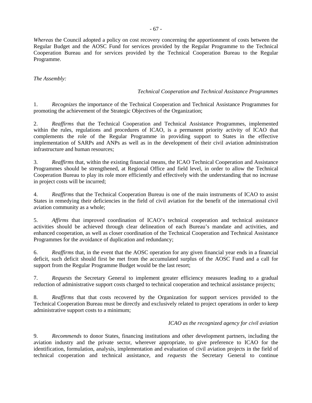*Whereas* the Council adopted a policy on cost recovery concerning the apportionment of costs between the Regular Budget and the AOSC Fund for services provided by the Regular Programme to the Technical Cooperation Bureau and for services provided by the Technical Cooperation Bureau to the Regular Programme.

*The Assembly:* 

### *Technical Cooperation and Technical Assistance Programmes*

1. *Recognizes* the importance of the Technical Cooperation and Technical Assistance Programmes for promoting the achievement of the Strategic Objectives of the Organization;

2. *Reaffirms* that the Technical Cooperation and Technical Assistance Programmes, implemented within the rules, regulations and procedures of ICAO, is a permanent priority activity of ICAO that complements the role of the Regular Programme in providing support to States in the effective implementation of SARPs and ANPs as well as in the development of their civil aviation administration infrastructure and human resources;

3. *Reaffirms* that, within the existing financial means, the ICAO Technical Cooperation and Assistance Programmes should be strengthened, at Regional Office and field level, in order to allow the Technical Cooperation Bureau to play its role more efficiently and effectively with the understanding that no increase in project costs will be incurred;

4. *Reaffirms* that the Technical Cooperation Bureau is one of the main instruments of ICAO to assist States in remedying their deficiencies in the field of civil aviation for the benefit of the international civil aviation community as a whole;

5. *Affirms* that improved coordination of ICAO's technical cooperation and technical assistance activities should be achieved through clear delineation of each Bureau's mandate and activities, and enhanced cooperation, as well as closer coordination of the Technical Cooperation and Technical Assistance Programmes for the avoidance of duplication and redundancy;

6. *Reaffirms* that, in the event that the AOSC operation for any given financial year ends in a financial deficit, such deficit should first be met from the accumulated surplus of the AOSC Fund and a call for support from the Regular Programme Budget would be the last resort;

7. *Requests* the Secretary General to implement greater efficiency measures leading to a gradual reduction of administrative support costs charged to technical cooperation and technical assistance projects;

8. *Reaffirms* that that costs recovered by the Organization for support services provided to the Technical Cooperation Bureau must be directly and exclusively related to project operations in order to keep administrative support costs to a minimum;

#### *ICAO as the recognized agency for civil aviation*

9. *Recommends* to donor States, financing institutions and other development partners, including the aviation industry and the private sector, wherever appropriate, to give preference to ICAO for the identification, formulation, analysis, implementation and evaluation of civil aviation projects in the field of technical cooperation and technical assistance, and *requests* the Secretary General to continue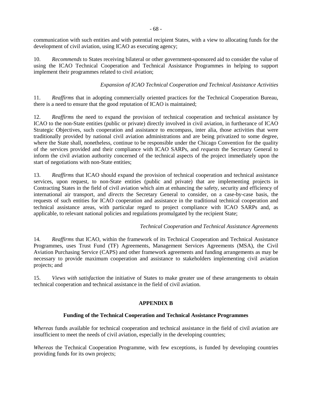communication with such entities and with potential recipient States, with a view to allocating funds for the development of civil aviation, using ICAO as executing agency;

10. *Recommends* to States receiving bilateral or other government-sponsored aid to consider the value of using the ICAO Technical Cooperation and Technical Assistance Programmes in helping to support implement their programmes related to civil aviation;

## *Expansion of ICAO Technical Cooperation and Technical Assistance Activities*

11. *Reaffirms* that in adopting commercially oriented practices for the Technical Cooperation Bureau, there is a need to ensure that the good reputation of ICAO is maintained;

12. *Reaffirms* the need to expand the provision of technical cooperation and technical assistance by ICAO to the non-State entities (public or private) directly involved in civil aviation, in furtherance of ICAO Strategic Objectives, such cooperation and assistance to encompass, inter alia*,* those activities that were traditionally provided by national civil aviation administrations and are being privatized to some degree, where the State shall, nonetheless, continue to be responsible under the Chicago Convention for the quality of the services provided and their compliance with ICAO SARPs, and *requests* the Secretary General to inform the civil aviation authority concerned of the technical aspects of the project immediately upon the start of negotiations with non-State entities;

13. *Reaffirms* that ICAO should expand the provision of technical cooperation and technical assistance services, upon request, to non-State entities (public and private) that are implementing projects in Contracting States in the field of civil aviation which aim at enhancing the safety, security and efficiency of international air transport, and *directs* the Secretary General to consider, on a case-by-case basis, the requests of such entities for ICAO cooperation and assistance in the traditional technical cooperation and technical assistance areas, with particular regard to project compliance with ICAO SARPs and, as applicable, to relevant national policies and regulations promulgated by the recipient State;

#### *Technical Cooperation and Technical Assistance Agreements*

14*. Reaffirms* that ICAO, within the framework of its Technical Cooperation and Technical Assistance Programmes, uses Trust Fund (TF) Agreements, Management Services Agreements (MSA), the Civil Aviation Purchasing Service (CAPS) and other framework agreements and funding arrangements as may be necessary to provide maximum cooperation and assistance to stakeholders implementing civil aviation projects; and

15. *Views with satisfaction* the initiative of States to make greater use of these arrangements to obtain technical cooperation and technical assistance in the field of civil aviation.

#### **APPENDIX B**

## **Funding of the Technical Cooperation and Technical Assistance Programmes**

*Whereas* funds available for technical cooperation and technical assistance in the field of civil aviation are insufficient to meet the needs of civil aviation, especially in the developing countries;

*Whereas* the Technical Cooperation Programme, with few exceptions, is funded by developing countries providing funds for its own projects;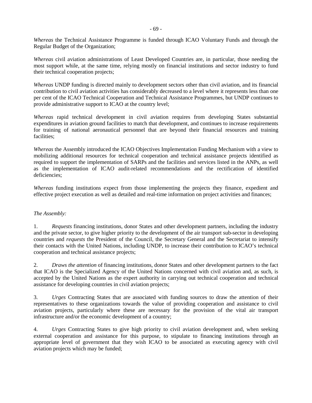*Whereas* the Technical Assistance Programme is funded through ICAO Voluntary Funds and through the Regular Budget of the Organization;

*Whereas* civil aviation administrations of Least Developed Countries are, in particular, those needing the most support while, at the same time, relying mostly on financial institutions and sector industry to fund their technical cooperation projects;

*Whereas* UNDP funding is directed mainly to development sectors other than civil aviation, and its financial contribution to civil aviation activities has considerably decreased to a level where it represents less than one per cent of the ICAO Technical Cooperation and Technical Assistance Programmes*,* but UNDP continues to provide administrative support to ICAO at the country level;

*Whereas* rapid technical development in civil aviation requires from developing States substantial expenditures in aviation ground facilities to match that development, and continues to increase requirements for training of national aeronautical personnel that are beyond their financial resources and training facilities;

*Whereas* the Assembly introduced the ICAO Objectives Implementation Funding Mechanism with a view to mobilizing additional resources for technical cooperation and technical assistance projects identified as required to support the implementation of SARPs and the facilities and services listed in the ANPs, as well as the implementation of ICAO audit-related recommendations and the rectification of identified deficiencies;

*Whereas* funding institutions expect from those implementing the projects they finance, expedient and effective project execution as well as detailed and real-time information on project activities and finances;

### *The Assembly:*

1. *Requests* financing institutions, donor States and other development partners, including the industry and the private sector, to give higher priority to the development of the air transport sub-sector in developing countries and *requests* the President of the Council, the Secretary General and the Secretariat to intensify their contacts with the United Nations, including UNDP, to increase their contribution to ICAO's technical cooperation and technical assistance projects;

2. *Draws the attention* of financing institutions, donor States and other development partners to the fact that ICAO is the Specialized Agency of the United Nations concerned with civil aviation and, as such, is accepted by the United Nations as the expert authority in carrying out technical cooperation and technical assistance for developing countries in civil aviation projects;

3. *Urges* Contracting States that are associated with funding sources to draw the attention of their representatives to these organizations towards the value of providing cooperation and assistance to civil aviation projects, particularly where these are necessary for the provision of the vital air transport infrastructure and/or the economic development of a country;

4. *Urges* Contracting States to give high priority to civil aviation development and, when seeking external cooperation and assistance for this purpose, to stipulate to financing institutions through an appropriate level of government that they wish ICAO to be associated as executing agency with civil aviation projects which may be funded;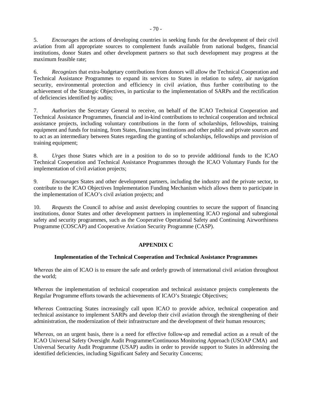5. *Encourages* the actions of developing countries in seeking funds for the development of their civil aviation from all appropriate sources to complement funds available from national budgets, financial institutions, donor States and other development partners so that such development may progress at the maximum feasible rate;

6. *Recognizes* that extra-budgetary contributions from donors will allow the Technical Cooperation and Technical Assistance Programmes to expand its services to States in relation to safety, air navigation security, environmental protection and efficiency in civil aviation, thus further contributing to the achievement of the Strategic Objectives, in particular to the implementation of SARPs and the rectification of deficiencies identified by audits;

7. *Authorizes* the Secretary General to receive, on behalf of the ICAO Technical Cooperation and Technical Assistance Programmes, financial and in-kind contributions to technical cooperation and technical assistance projects, including voluntary contributions in the form of scholarships, fellowships, training equipment and funds for training, from States, financing institutions and other public and private sources and to act as an intermediary between States regarding the granting of scholarships, fellowships and provision of training equipment;

8. *Urges* those States which are in a position to do so to provide additional funds to the ICAO Technical Cooperation and Technical Assistance Programmes through the ICAO Voluntary Funds for the implementation of civil aviation projects;

9. *Encourages* States and other development partners, including the industry and the private sector, to contribute to the ICAO Objectives Implementation Funding Mechanism which allows them to participate in the implementation of ICAO's civil aviation projects; and

10. *Requests* the Council to advise and assist developing countries to secure the support of financing institutions, donor States and other development partners in implementing ICAO regional and subregional safety and security programmes, such as the Cooperative Operational Safety and Continuing Airworthiness Programme (COSCAP) and Cooperative Aviation Security Programme (CASP).

## **APPENDIX C**

## **Implementation of the Technical Cooperation and Technical Assistance Programmes**

*Whereas* the aim of ICAO is to ensure the safe and orderly growth of international civil aviation throughout the world;

*Whereas* the implementation of technical cooperation and technical assistance projects complements the Regular Programme efforts towards the achievements of ICAO's Strategic Objectives;

*Whereas* Contracting States increasingly call upon ICAO to provide advice, technical cooperation and technical assistance to implement SARPs and develop their civil aviation through the strengthening of their administration, the modernization of their infrastructure and the development of their human resources;

*Whereas*, on an urgent basis, there is a need for effective follow-up and remedial action as a result of the ICAO Universal Safety Oversight Audit Programme/Continuous Monitoring Approach (USOAP CMA) and Universal Security Audit Programme (USAP) audits in order to provide support to States in addressing the identified deficiencies, including Significant Safety and Security Concerns;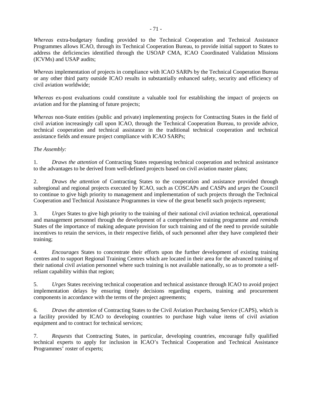*Whereas* extra-budgetary funding provided to the Technical Cooperation and Technical Assistance Programmes allows ICAO, through its Technical Cooperation Bureau, to provide initial support to States to address the deficiencies identified through the USOAP CMA, ICAO Coordinated Validation Missions (ICVMs) and USAP audits;

*Whereas* implementation of projects in compliance with ICAO SARPs by the Technical Cooperation Bureau or any other third party outside ICAO results in substantially enhanced safety, security and efficiency of civil aviation worldwide;

*Whereas* ex-post evaluations could constitute a valuable tool for establishing the impact of projects on aviation and for the planning of future projects;

*Whereas* non-State entities (public and private) implementing projects for Contracting States in the field of civil aviation increasingly call upon ICAO, through the Technical Cooperation Bureau, to provide advice, technical cooperation and technical assistance in the traditional technical cooperation and technical assistance fields and ensure project compliance with ICAO SARPs;

### *The Assembly:*

1*. Draws the attention* of Contracting States requesting technical cooperation and technical assistance to the advantages to be derived from well-defined projects based on civil aviation master plans;

2. *Draws the attention* of Contracting States to the cooperation and assistance provided through subregional and regional projects executed by ICAO, such as COSCAPs and CASPs and *urges* the Council to continue to give high priority to management and implementation of such projects through the Technical Cooperation and Technical Assistance Programmes in view of the great benefit such projects represent;

3. *Urges* States to give high priority to the training of their national civil aviation technical, operational and management personnel through the development of a comprehensive training programme and *reminds*  States of the importance of making adequate provision for such training and of the need to provide suitable incentives to retain the services, in their respective fields, of such personnel after they have completed their training;

4. *Encourages* States to concentrate their efforts upon the further development of existing training centres and to support Regional Training Centres which are located in their area for the advanced training of their national civil aviation personnel where such training is not available nationally, so as to promote a selfreliant capability within that region;

5. *Urges* States receiving technical cooperation and technical assistance through ICAO to avoid project implementation delays by ensuring timely decisions regarding experts, training and procurement components in accordance with the terms of the project agreements;

6. *Draws the attention* of Contracting States to the Civil Aviation Purchasing Service (CAPS), which is a facility provided by ICAO to developing countries to purchase high value items of civil aviation equipment and to contract for technical services;

7. *Requests* that Contracting States, in particular, developing countries, encourage fully qualified technical experts to apply for inclusion in ICAO's Technical Cooperation and Technical Assistance Programmes' roster of experts;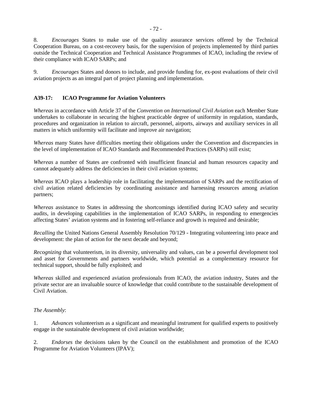8. *Encourages* States to make use of the quality assurance services offered by the Technical Cooperation Bureau, on a cost-recovery basis, for the supervision of projects implemented by third parties outside the Technical Cooperation and Technical Assistance Programmes of ICAO, including the review of their compliance with ICAO SARPs; and

9. *Encourages* States and donors to include, and provide funding for, ex-post evaluations of their civil aviation projects as an integral part of project planning and implementation.

### **A39-17: ICAO Programme for Aviation Volunteers**

*Whereas* in accordance with Article 37 of the *Convention on International Civil Aviation* each Member State undertakes to collaborate in securing the highest practicable degree of uniformity in regulation, standards, procedures and organization in relation to aircraft, personnel, airports, airways and auxiliary services in all matters in which uniformity will facilitate and improve air navigation;

*Whereas* many States have difficulties meeting their obligations under the Convention and discrepancies in the level of implementation of ICAO Standards and Recommended Practices (SARPs) still exist;

*Whereas* a number of States are confronted with insufficient financial and human resources capacity and cannot adequately address the deficiencies in their civil aviation systems;

*Whereas* ICAO plays a leadership role in facilitating the implementation of SARPs and the rectification of civil aviation related deficiencies by coordinating assistance and harnessing resources among aviation partners;

*Whereas* assistance to States in addressing the shortcomings identified during ICAO safety and security audits, in developing capabilities in the implementation of ICAO SARPs, in responding to emergencies affecting States' aviation systems and in fostering self-reliance and growth is required and desirable;

*Recalling* the United Nations General Assembly Resolution 70/129 - Integrating volunteering into peace and development: the plan of action for the next decade and beyond;

*Recognizing* that volunteerism, in its diversity, universality and values, can be a powerful development tool and asset for Governments and partners worldwide, which potential as a complementary resource for technical support, should be fully exploited; and

*Whereas* skilled and experienced aviation professionals from ICAO, the aviation industry, States and the private sector are an invaluable source of knowledge that could contribute to the sustainable development of Civil Aviation.

#### *The Assembly*:

1. *Advances* volunteerism as a significant and meaningful instrument for qualified experts to positively engage in the sustainable development of civil aviation worldwide;

2. *Endorses* the decisions taken by the Council on the establishment and promotion of the ICAO Programme for Aviation Volunteers (IPAV);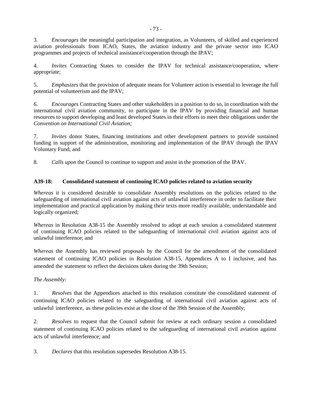3. *Encourages* the meaningful participation and integration, as Volunteers, of skilled and experienced aviation professionals from ICAO, States, the aviation industry and the private sector into ICAO programmes and projects of technical assistance/cooperation through the IPAV;

4. *Invites* Contracting States to consider the IPAV for technical assistance/cooperation, where appropriate;

5. *Emphasizes* that the provision of adequate means for Volunteer action is essential to leverage the full potential of volunteerism and the IPAV;

*6. Encourages* Contracting States and other stakeholders in a position to do so, in coordination with the international civil aviation community, to participate in the IPAV by providing financial and human resources to support developing and least developed States in their efforts to meet their obligations under the *Convention on International Civil Aviation;* 

7. *Invites* donor States, financing institutions and other development partners to provide sustained funding in support of the administration, monitoring and implementation of the IPAV through the IPAV Voluntary Fund; and

8. *Calls upon* the Council to continue to support and assist in the promotion of the IPAV.

### **A39-18: Consolidated statement of continuing ICAO policies related to aviation security**

*Whereas* it is considered desirable to consolidate Assembly resolutions on the policies related to the safeguarding of international civil aviation against acts of unlawful interference in order to facilitate their implementation and practical application by making their texts more readily available, understandable and logically organized;

*Whereas* in Resolution A38-15 the Assembly resolved to adopt at each session a consolidated statement of continuing ICAO policies related to the safeguarding of international civil aviation against acts of unlawful interference; and

*Whereas* the Assembly has reviewed proposals by the Council for the amendment of the consolidated statement of continuing ICAO policies in Resolution A38-15, Appendices A to I inclusive, and has amended the statement to reflect the decisions taken during the 39th Session;

### *The Assembly:*

1. *Resolves* that the Appendices attached to this resolution constitute the consolidated statement of continuing ICAO policies related to the safeguarding of international civil aviation against acts of unlawful interference, as these policies exist at the close of the 39th Session of the Assembly;

2. *Resolves* to request that the Council submit for review at each ordinary session a consolidated statement of continuing ICAO policies related to the safeguarding of international civil aviation against acts of unlawful interference; and

3. *Declares* that this resolution supersedes Resolution A38-15.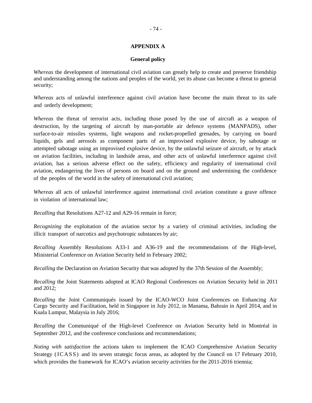#### - 74 -

#### **APPENDIX A**

#### **General policy**

*Whereas* the development of international civil aviation can greatly help to create and preserve friendship and understanding among the nations and peoples of the world, yet its abuse can become a threat to general security;

*Whereas* acts of unlawful interference against civil aviation have become the main threat to its safe and orderly development;

*Whereas* the threat of terrorist acts, including those posed by the use of aircraft as a weapon of destruction, by the targeting of aircraft by man-portable air defence systems (MANPADS), other surface-to-air missiles systems, light weapons and rocket-propelled grenades, by carrying on board liquids, gels and aerosols as component parts of an improvised explosive device, by sabotage or attempted sabotage using an improvised explosive device, by the unlawful seizure of aircraft, or by attack on aviation facilities, including in landside areas, and other acts of unlawful interference against civil aviation, has a serious adverse effect on the safety, efficiency and regularity of international civil aviation, endangering the lives of persons on board and on the ground and undermining the confidence of the peoples of the world in the safety of international civil aviation;

*Whereas* all acts of unlawful interference against international civil aviation constitute a grave offence in violation of international law;

*Recalling* that Resolutions A27-12 and A29-16 remain in force;

*Recognizing* the exploitation of the aviation sector by a variety of criminal activities, including the illicit transport of narcotics and psychotropic substances by air;

*Recalling* Assembly Resolutions A33-1 and A36-19 and the recommendations of the High-level, Ministerial Conference on Aviation Security held in February 2002;

*Recalling* the Declaration on Aviation Security that was adopted by the 37th Session of the Assembly;

*Recalling* the Joint Statements adopted at ICAO Regional Conferences on Aviation Security held in 2011 and 2012;

*Recalling* the Joint Communiqués issued by the ICAO-WCO Joint Conferences on Enhancing Air Cargo Security and Facilitation, held in Singapore in July 2012, in Manama, Bahrain in April 2014, and in Kuala Lumpur, Malaysia in July 2016;

*Recalling* the Communiqué of the High-level Conference on Aviation Security held in Montréal in September 2012, and the conference conclusions and recommendations;

*Noting with satisfaction* the actions taken to implement the ICAO Comprehensive Aviation Security Strategy (ICASS) and its seven strategic focus areas, as adopted by the Council on 17 February 2010, which provides the framework for ICAO's aviation security activities for the 2011-2016 triennia;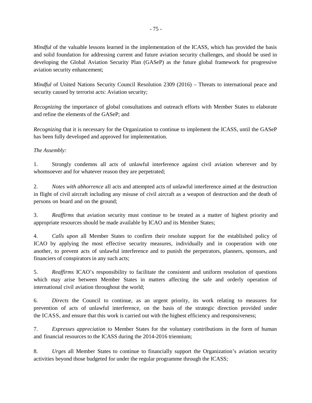*Mindful* of the valuable lessons learned in the implementation of the ICASS, which has provided the basis and solid foundation for addressing current and future aviation security challenges, and should be used in developing the Global Aviation Security Plan (GASeP) as the future global framework for progressive aviation security enhancement;

*Mindful* of United Nations Security Council Resolution 2309 (2016) – Threats to international peace and security caused by terrorist acts: Aviation security;

*Recognizing* the importance of global consultations and outreach efforts with Member States to elaborate and refine the elements of the GASeP; and

*Recognizing* that it is necessary for the Organization to continue to implement the ICASS, until the GASeP has been fully developed and approved for implementation.

### *The Assembly:*

1. Strongly condemns all acts of unlawful interference against civil aviation wherever and by whomsoever and for whatever reason they are perpetrated;

2. *Notes with abhorrence* all acts and attempted acts of unlawful interference aimed at the destruction in flight of civil aircraft including any misuse of civil aircraft as a weapon of destruction and the death of persons on board and on the ground;

3. *Reaffirms* that aviation security must continue to be treated as a matter of highest priority and appropriate resources should be made available by ICAO and its Member States;

4. *Calls upon* all Member States to confirm their resolute support for the established policy of ICAO by applying the most effective security measures, individually and in cooperation with one another, to prevent acts of unlawful interference and to punish the perpetrators, planners, sponsors, and financiers of conspirators in any such acts;

5. *Reaffirms* ICAO's responsibility to facilitate the consistent and uniform resolution of questions which may arise between Member States in matters affecting the safe and orderly operation of international civil aviation throughout the world;

6. *Directs* the Council to continue, as an urgent priority, its work relating to measures for prevention of acts of unlawful interference, on the basis of the strategic direction provided under the ICASS, and ensure that this work is carried out with the highest efficiency and responsiveness;

7. *Expresses appreciation* to Member States for the voluntary contributions in the form of human and financial resources to the ICASS during the 2014-2016 triennium;

8. *Urges* all Member States to continue to financially support the Organization's aviation security activities beyond those budgeted for under the regular programme through the ICASS;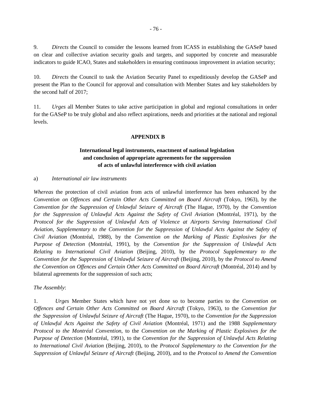9. *Directs* the Council to consider the lessons learned from ICASS in establishing the GASeP based on clear and collective aviation security goals and targets, and supported by concrete and measurable indicators to guide ICAO, States and stakeholders in ensuring continuous improvement in aviation security;

10. *Directs* the Council to task the Aviation Security Panel to expeditiously develop the GASeP and present the Plan to the Council for approval and consultation with Member States and key stakeholders by the second half of 2017;

11. *Urges* all Member States to take active participation in global and regional consultations in order for the GASeP to be truly global and also reflect aspirations, needs and priorities at the national and regional levels.

#### **APPENDIX B**

## **International legal instruments, enactment of national legislation and conclusion of appropriate agreements for the suppression of acts of unlawful interference with civil aviation**

#### a) *International air law instruments*

*Whereas* the protection of civil aviation from acts of unlawful interference has been enhanced by the *Convention on Offences and Certain Other Acts Committed on Board Aircraft* (Tokyo, 1963), by the *Convention for the Suppression of Unlawful Seizure of Aircraft* (The Hague, 1970), by the *Convention for the Suppression of Unlawful Acts Against the Safety of Civil Aviation* (Montréal, 1971), by the *Protocol for the Suppression of Unlawful Acts of Violence at Airports Serving International Civil Aviation*, *Supplementary to the Convention for the Suppression of Unlawful Acts Against the Safety of Civil Aviation* (Montréal, 1988), by the *Convention on the Marking of Plastic Explosives for the Purpose of Detection* (Montréal, 1991), by the *Convention for the Suppression of Unlawful Acts Relating to International Civil Aviation* (Beijing, 2010), by the *Protocol Supplementary to the Convention for the Suppression of Unlawful Seizure of Aircraft* (Beijing, 2010), by the *Protocol to Amend the Convention on Offences and Certain Other Acts Committed on Board Aircraft (Montréal, 2014) and by* bilateral agreements for the suppression of such acts;

#### *The Assembly*:

1. *Urges* Member States which have not yet done so to become parties to the *Convention on Offences and Certain Other Acts Committed on Board Aircraft* (Tokyo, 1963), to the *Convention for the Suppression of Unlawful Seizure of Aircraft* (The Hague, 1970), to the *Convention for the Suppression of Unlawful Acts Against the Safety of Civil Aviation* (Montréal, 1971) and the 1988 *Supplementary Protocol to the Montréal Convention*, to the *Convention on the Marking of Plastic Explosives for the Purpose of Detection* (Montréal, 1991), to the *Convention for the Suppression of Unlawful Acts Relating to International Civil Aviation* (Beijing, 2010), to the *Protocol Supplementary to the Convention for the Suppression of Unlawful Seizure of Aircraft* (Beijing, 2010), and to the *Protocol to Amend the Convention*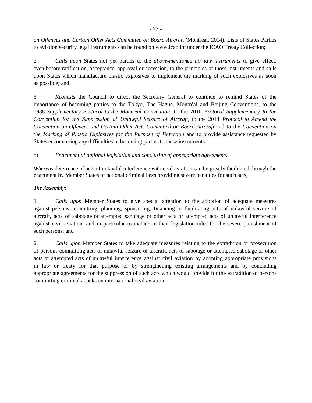*on Offences and Certain Other Acts Committed on Board Aircraft* (Montréal, 2014). Lists of States Parties to aviation security legal instruments can be found on [www.icao.i](http://www.icao.int/)nt under the ICAO Treaty Collection;

2. *Calls upon* States not yet parties to the *above-mentioned air law instruments* to give effect, even before ratification, acceptance, approval or accession, to the principles of those instruments and calls upon States which manufacture plastic explosives to implement the marking of such explosives as soon as possible; and

3. *Requests* the Council to direct the Secretary General to continue to remind States of the importance of becoming parties to the Tokyo, The Hague, Montréal and Beijing Conventions, to the 1988 *Supplementary Protocol to the Montréal Convention*, to the 2010 *Protocol Supplementary to the Convention for the Suppression of Unlawful Seizure of Aircraft,* to the 2014 *Protocol to Amend the Convention on Offences and Certain Other Acts Committed on Board Aircraft* and to the *Convention on the Marking of Plastic Explosives for the Purpose of Detection* and to provide assistance requested by States encountering any difficulties in becoming parties to these instruments.

## b) *Enactment of national legislation and conclusion of appropriate agreements*

*Whereas* deterrence of acts of unlawful interference with civil aviation can be greatly facilitated through the enactment by Member States of national criminal laws providing severe penalties for such acts;

### *The Assembly*:

1. *Calls upon* Member States to give special attention to the adoption of adequate measures against persons committing, planning, sponsoring, financing or facilitating acts of unlawful seizure of aircraft, acts of sabotage or attempted sabotage or other acts or attempted acts of unlawful interference against civil aviation, and in particular to include in their legislation rules for the severe punishment of such persons; and

2. *Calls upon* Member States to take adequate measures relating to the extradition or prosecution of persons committing acts of unlawful seizure of aircraft, acts of sabotage or attempted sabotage or other acts or attempted acts of unlawful interference against civil aviation by adopting appropriate provisions in law or treaty for that purpose or by strengthening existing arrangements and by concluding appropriate agreements for the suppression of such acts which would provide for the extradition of persons committing criminal attacks on international civil aviation.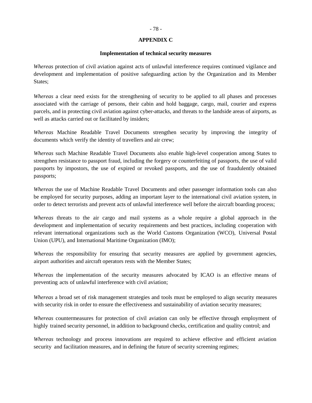#### **APPENDIX C**

#### **Implementation of technical security measures**

*Whereas* protection of civil aviation against acts of unlawful interference requires continued vigilance and development and implementation of positive safeguarding action by the Organization and its Member States;

*Whereas* a clear need exists for the strengthening of security to be applied to all phases and processes associated with the carriage of persons, their cabin and hold baggage, cargo, mail, courier and express parcels, and in protecting civil aviation against cyber-attacks, and threats to the landside areas of airports, as well as attacks carried out or facilitated by insiders;

*Whereas* Machine Readable Travel Documents strengthen security by improving the integrity of documents which verify the identity of travellers and air crew;

*Whereas* such Machine Readable Travel Documents also enable high-level cooperation among States to strengthen resistance to passport fraud, including the forgery or counterfeiting of passports, the use of valid passports by impostors, the use of expired or revoked passports, and the use of fraudulently obtained passports;

*Whereas* the use of Machine Readable Travel Documents and other passenger information tools can also be employed for security purposes, adding an important layer to the international civil aviation system, in order to detect terrorists and prevent acts of unlawful interference well before the aircraft boarding process;

*Whereas* threats to the air cargo and mail systems as a whole require a global approach in the development and implementation of security requirements and best practices, including cooperation with relevant international organizations such as the World Customs Organization (WCO), Universal Postal Union (UPU), and International Maritime Organization (IMO);

*Whereas* the responsibility for ensuring that security measures are applied by government agencies, airport authorities and aircraft operators rests with the Member States;

*Whereas* the implementation of the security measures advocated by ICAO is an effective means of preventing acts of unlawful interference with civil aviation;

*Whereas* a broad set of risk management strategies and tools must be employed to align security measures with security risk in order to ensure the effectiveness and sustainability of aviation security measures;

*Whereas* countermeasures for protection of civil aviation can only be effective through employment of highly trained security personnel, in addition to background checks, certification and quality control; and

*Whereas* technology and process innovations are required to achieve effective and efficient aviation security and facilitation measures, and in defining the future of security screening regimes;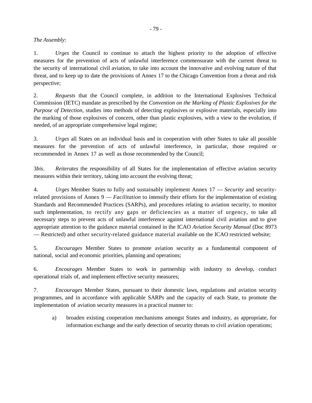#### *The Assembly*:

1. *Urges* the Council to continue to attach the highest priority to the adoption of effective measures for the prevention of acts of unlawful interference commensurate with the current threat to the security of international civil aviation, to take into account the innovative and evolving nature of that threat, and to keep up to date the provisions of Annex 17 to the Chicago Convention from a threat and risk perspective;

2. *Requests* that the Council complete, in addition to the International Explosives Technical Commission (IETC) mandate as prescribed by the *Convention on the Marking of Plastic Explosives for the Purpose of Detection*, studies into methods of detecting explosives or explosive materials, especially into the marking of those explosives of concern, other than plastic explosives, with a view to the evolution, if needed, of an appropriate comprehensive legal regime;

3. *Urges* all States on an individual basis and in cooperation with other States to take all possible measures for the prevention of acts of unlawful interference, in particular, those required or recommended in Annex 17 as well as those recommended by the Council;

3*bis*. *Reiterates* the responsibility of all States for the implementation of effective aviation security measures within their territory, taking into account the evolving threat;

4. *Urges* Member States to fully and sustainably implement Annex 17 — *Security* and securityrelated provisions of Annex 9 — *Facilitation* to intensify their efforts for the implementation of existing Standards and Recommended Practices (SARPs), and procedures relating to aviation security, to monitor such implementation, to rectify any gaps or deficiencies as a matter of urgency, to take all necessary steps to prevent acts of unlawful interference against international civil aviation and to give appropriate attention to the guidance material contained in the ICAO *Aviation Security Manual* (Doc 8973 — Restricted) and other security-related guidance material available on the ICAO restricted website;

5. *Encourages* Member States to promote aviation security as a fundamental component of national, social and economic priorities, planning and operations;

6. *Encourages* Member States to work in partnership with industry to develop, conduct operational trials of, and implement effective security measures;

7. *Encourages* Member States, pursuant to their domestic laws, regulations and aviation security programmes, and in accordance with applicable SARPs and the capacity of each State, to promote the implementation of aviation security measures in a practical manner to:

a) broaden existing cooperation mechanisms amongst States and industry, as appropriate, for information exchange and the early detection of security threats to civil aviation operations;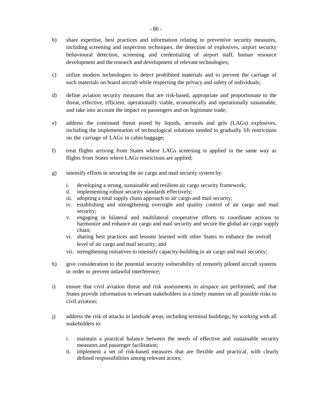- b) share expertise, best practices and information relating to preventive security measures, including screening and inspection techniques, the detection of explosives, airport security behavioural detection, screening and credentialing of airport staff, human resource development and the research and development of relevant technologies;
- c) utilize modern technologies to detect prohibited materials and to prevent the carriage of such materials on board aircraft while respecting the privacy and safety of individuals;
- d) define aviation security measures that are risk-based, appropriate and proportionate to the threat, effective, efficient, operationally viable, economically and operationally sustainable, and take into account the impact on passengers and on legitimate trade;
- e) address the continued threat posed by liquids, aerosols and gels (LAGs) explosives, including the implementation of technological solutions needed to gradually lift restrictions on the carriage of LAGs in cabin baggage;
- f) treat flights arriving from States where LAGs screening is applied in the same way as flights from States where LAGs restrictions are applied;
- g) intensify efforts in securing the air cargo and mail security system by:
	- i. developing a strong, sustainable and resilient air cargo security framework;
	- ii. implementing robust security standards effectively;
	- iii. adopting a total supply chain approach to air cargo and mail security;
	- iv. establishing and strengthening oversight and quality control of air cargo and mail security;
	- v. engaging in bilateral and multilateral cooperative efforts to coordinate actions to harmonize and enhance air cargo and mail security and secure the global air cargo supply chain;
	- vi. sharing best practices and lessons learned with other States to enhance the overall level of air cargo and mail security; and
	- vii. strengthening initiatives to intensify capacity-building in air cargo and mail security;
- h) give consideration to the potential security vulnerability of remotely piloted aircraft systems in order to prevent unlawful interference;
- i) ensure that civil aviation threat and risk assessments in airspace are performed, and that States provide information to relevant stakeholders in a timely manner on all possible risks to civil aviation;
- j) address the risk of attacks in landside areas, including terminal buildings, by working with all stakeholders to:
	- i. maintain a practical balance between the needs of effective and sustainable security measures and passenger facilitation;
	- ii. implement a set of risk-based measures that are flexible and practical, with clearly defined responsibilities among relevant actors;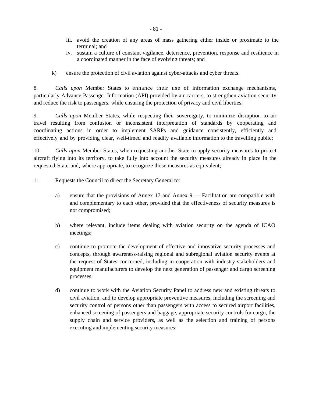- iii. avoid the creation of any areas of mass gathering either inside or proximate to the terminal; and
- iv. sustain a culture of constant vigilance, deterrence, prevention, response and resilience in a coordinated manner in the face of evolving threats; and
- k) ensure the protection of civil aviation against cyber-attacks and cyber threats.

8. *Calls upon* Member States to enhance their use of information exchange mechanisms, particularly Advance Passenger Information (API) provided by air carriers, to strengthen aviation security and reduce the risk to passengers, while ensuring the protection of privacy and civil liberties;

9. *Calls upon* Member States, while respecting their sovereignty, to minimize disruption to air travel resulting from confusion or inconsistent interpretation of standards by cooperating and coordinating actions in order to implement SARPs and guidance consistently, efficiently and effectively and by providing clear, well-timed and readily available information to the travelling public;

10. *Calls upon* Member States, when requesting another State to apply security measures to protect aircraft flying into its territory, to take fully into account the security measures already in place in the requested State and, where appropriate, to recognize those measures as equivalent;

11. Requests the Council to direct the Secretary General to:

- a) ensure that the provisions of Annex 17 and Annex 9 Facilitation are compatible with and complementary to each other, provided that the effectiveness of security measures is not compromised;
- b) where relevant, include items dealing with aviation security on the agenda of ICAO meetings;
- c) continue to promote the development of effective and innovative security processes and concepts, through awareness-raising regional and subregional aviation security events at the request of States concerned, including in cooperation with industry stakeholders and equipment manufacturers to develop the next generation of passenger and cargo screening processes;
- d) continue to work with the Aviation Security Panel to address new and existing threats to civil aviation, and to develop appropriate preventive measures, including the screening and security control of persons other than passengers with access to secured airport facilities, enhanced screening of passengers and baggage, appropriate security controls for cargo, the supply chain and service providers, as well as the selection and training of persons executing and implementing security measures;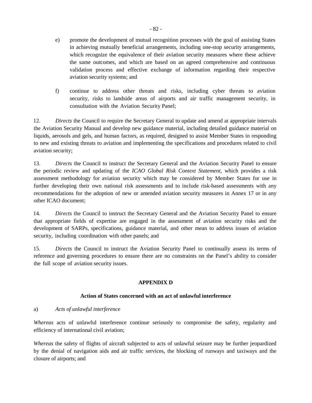- e) promote the development of mutual recognition processes with the goal of assisting States in achieving mutually beneficial arrangements, including one-stop security arrangements, which recognize the equivalence of their aviation security measures where these achieve the same outcomes, and which are based on an agreed comprehensive and continuous validation process and effective exchange of information regarding their respective aviation security systems; and
- f) continue to address other threats and risks, including cyber threats to aviation security, risks to landside areas of airports and air traffic management security, in consultation with the Aviation Security Panel;

12. *Directs* the Council to require the Secretary General to update and amend at appropriate intervals the Aviation Security Manual and develop new guidance material, including detailed guidance material on liquids, aerosols and gels, and human factors, as required, designed to assist Member States in responding to new and existing threats to aviation and implementing the specifications and procedures related to civil aviation security;

13. *Directs* the Council to instruct the Secretary General and the Aviation Security Panel to ensure the periodic review and updating of the *ICAO Global Risk Context Statement,* which provides a risk assessment methodology for aviation security which may be considered by Member States for use in further developing their own national risk assessments and to include risk-based assessments with any recommendations for the adoption of new or amended aviation security measures in Annex 17 or in any other ICAO document;

14. *Directs* the Council to instruct the Secretary General and the Aviation Security Panel to ensure that appropriate fields of expertise are engaged in the assessment of aviation security risks and the development of SARPs, specifications, guidance material, and other mean to address issues of aviation security, including coordination with other panels; and

15. *Directs* the Council to instruct the Aviation Security Panel to continually assess its terms of reference and governing procedures to ensure there are no constraints on the Panel's ability to consider the full scope of aviation security issues.

### **APPENDIX D**

### **Action of States concerned with an act of unlawful interference**

### a) *Acts of unlawful interference*

*Whereas* acts of unlawful interference continue seriously to compromise the safety, regularity and efficiency of international civil aviation;

*Whereas* the safety of flights of aircraft subjected to acts of unlawful seizure may be further jeopardized by the denial of navigation aids and air traffic services, the blocking of runways and taxiways and the closure of airports; and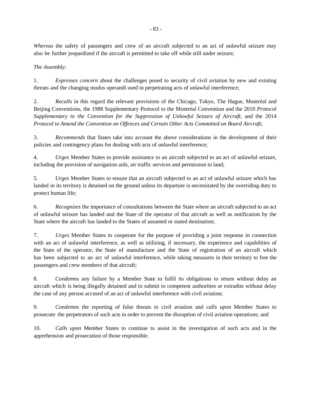*Whereas* the safety of passengers and crew of an aircraft subjected to an act of unlawful seizure may also be further jeopardized if the aircraft is permitted to take off while still under seizure;

*The Assembly:*

1. *Expresses concern* about the challenges posed to security of civil aviation by new and existing threats and the changing modus operandi used in perpetrating acts of unlawful interference;

2. *Recalls* in this regard the relevant provisions of the Chicago, Tokyo, The Hague, Montréal and Beijing Conventions, the 1988 Supplementary Protocol to the Montréal Convention and the 2010 *Protocol Supplementary to the Convention for the Suppression of Unlawful Seizure of Aircraft*, and the 2014 *Protocol to Amend the Convention on Offences and Certain Other Acts Committed on Board Aircraft*;

3. *Recommends* that States take into account the above considerations in the development of their policies and contingency plans for dealing with acts of unlawful interference;

4. *Urges* Member States to provide assistance to an aircraft subjected to an act of unlawful seizure, including the provision of navigation aids, air traffic services and permission to land;

5. *Urges* Member States to ensure that an aircraft subjected to an act of unlawful seizure which has landed in its territory is detained on the ground unless its departure is necessitated by the overriding duty to protect human life;

6. *Recognizes* the importance of consultations between the State where an aircraft subjected to an act of unlawful seizure has landed and the State of the operator of that aircraft as well as notification by the State where the aircraft has landed to the States of assumed or stated destination;

7. *Urges* Member States to cooperate for the purpose of providing a joint response in connection with an act of unlawful interference, as well as utilizing, if necessary, the experience and capabilities of the State of the operator, the State of manufacture and the State of registration of an aircraft which has been subjected to an act of unlawful interference, while taking measures in their territory to free the passengers and crew members of that aircraft;

8. *Condemns* any failure by a Member State to fulfil its obligations to return without delay an aircraft which is being illegally detained and to submit to competent authorities or extradite without delay the case of any person accused of an act of unlawful interference with civil aviation;

9. *Condemns* the reporting of false threats to civil aviation and *calls upon* Member States to prosecute the perpetrators of such acts in order to prevent the disruption of civil aviation operations; and

10. *Calls upon* Member States to continue to assist in the investigation of such acts and in the apprehension and prosecution of those responsible.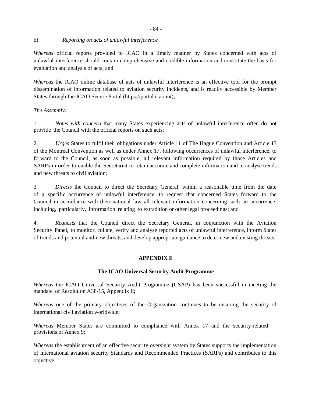#### b) *Reporting on acts of unlawful interference*

*Whereas* official reports provided to ICAO in a timely manner by States concerned with acts of unlawful interference should contain comprehensive and credible information and constitute the basis for evaluation and analysis of acts; and

*Whereas* the ICAO online database of acts of unlawful interference is an effective tool for the prompt dissemination of information related to aviation security incidents, and is readily accessible by Member States through the ICAO Secure Portal (https://portal.icao.int);

### *The Assembly:*

1. *Notes with concern* that many States experiencing acts of unlawful interference often do not provide the Council with the official reports on such acts;

2. *Urges* States to fulfil their obligations under Article 11 of The Hague Convention and Article 13 of the Montréal Convention as well as under Annex 17, following occurrences of unlawful interference, to forward to the Council, as soon as possible, all relevant information required by those Articles and SARPs in order to enable the Secretariat to retain accurate and complete information and to analyse trends and new threats to civil aviation;

3. *Directs* the Council to direct the Secretary General, within a reasonable time from the date of a specific occurrence of unlawful interference, to request that concerned States forward to the Council in accordance with their national law all relevant information concerning such an occurrence, including, particularly, information relating to extradition or other legal proceedings; and

4. *Requests* that the Council direct the Secretary General, in conjunction with the Aviation Security Panel, to monitor, collate, verify and analyse reported acts of unlawful interference, inform States of trends and potential and new threats, and develop appropriate guidance to deter new and existing threats.

### **APPENDIX E**

### **The ICAO Universal Security Audit Programme**

*Whereas* the ICAO Universal Security Audit Programme (USAP) has been successful in meeting the mandate of Resolution A38-15, Appendix E;

*Whereas* one of the primary objectives of the Organization continues to be ensuring the security of international civil aviation worldwide;

*Whereas* Member States are committed to compliance with Annex 17 and the security-related provisions of Annex 9;

*Whereas* the establishment of an effective security oversight system by States supports the implementation of international aviation security Standards and Recommended Practices (SARPs) and contributes to this objective;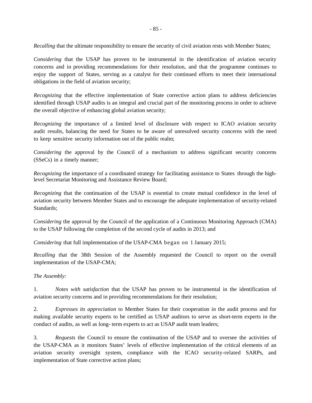*Recalling* that the ultimate responsibility to ensure the security of civil aviation rests with Member States;

*Considering* that the USAP has proven to be instrumental in the identification of aviation security concerns and in providing recommendations for their resolution, and that the programme continues to enjoy the support of States, serving as a catalyst for their continued efforts to meet their international obligations in the field of aviation security;

*Recognizing* that the effective implementation of State corrective action plans to address deficiencies identified through USAP audits is an integral and crucial part of the monitoring process in order to achieve the overall objective of enhancing global aviation security;

*Recognizing* the importance of a limited level of disclosure with respect to ICAO aviation security audit results, balancing the need for States to be aware of unresolved security concerns with the need to keep sensitive security information out of the public realm;

*Considering* the approval by the Council of a mechanism to address significant security concerns (SSeCs) in a timely manner;

*Recognizing* the importance of a coordinated strategy for facilitating assistance to States through the highlevel Secretariat Monitoring and Assistance Review Board;

*Recognizing* that the continuation of the USAP is essential to create mutual confidence in the level of aviation security between Member States and to encourage the adequate implementation of security-related Standards;

*Considering* the approval by the Council of the application of a Continuous Monitoring Approach (CMA) to the USAP following the completion of the second cycle of audits in 2013; and

*Considering* that full implementation of the USAP-CMA began on 1 January 2015;

*Recalling* that the 38th Session of the Assembly requested the Council to report on the overall implementation of the USAP-CMA;

### *The Assembly:*

1. *Notes with satisfaction* that the USAP has proven to be instrumental in the identification of aviation security concerns and in providing recommendations for their resolution;

2. *Expresses its appreciation* to Member States for their cooperation in the audit process and for making available security experts to be certified as USAP auditors to serve as short-term experts in the conduct of audits, as well as long- term experts to act as USAP audit team leaders;

3. *Requests* the Council to ensure the continuation of the USAP and to oversee the activities of the USAP-CMA as it monitors States' levels of effective implementation of the critical elements of an aviation security oversight system, compliance with the ICAO security-related SARPs, and implementation of State corrective action plans;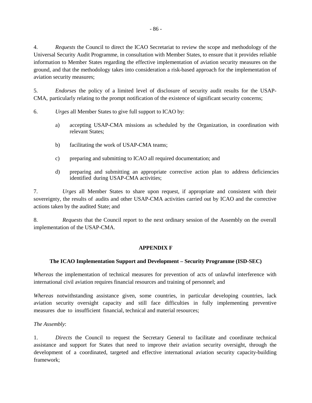4. *Requests* the Council to direct the ICAO Secretariat to review the scope and methodology of the Universal Security Audit Programme, in consultation with Member States, to ensure that it provides reliable information to Member States regarding the effective implementation of aviation security measures on the ground, and that the methodology takes into consideration a risk-based approach for the implementation of aviation security measures;

5. *Endorses* the policy of a limited level of disclosure of security audit results for the USAP-CMA, particularly relating to the prompt notification of the existence of significant security concerns;

6. *Urges* all Member States to give full support to ICAO by:

- a) accepting USAP-CMA missions as scheduled by the Organization, in coordination with relevant States;
- b) facilitating the work of USAP-CMA teams;
- c) preparing and submitting to ICAO all required documentation; and
- d) preparing and submitting an appropriate corrective action plan to address deficiencies identified during USAP-CMA activities;

7. *Urges* all Member States to share upon request, if appropriate and consistent with their sovereignty, the results of audits and other USAP-CMA activities carried out by ICAO and the corrective actions taken by the audited State; and

8. *Requests* that the Council report to the next ordinary session of the Assembly on the overall implementation of the USAP-CMA.

#### **APPENDIX F**

#### **The ICAO Implementation Support and Development – Security Programme (ISD-SEC)**

*Whereas* the implementation of technical measures for prevention of acts of unlawful interference with international civil aviation requires financial resources and training of personnel; and

*Whereas* notwithstanding assistance given, some countries, in particular developing countries, lack aviation security oversight capacity and still face difficulties in fully implementing preventive measures due to insufficient financial, technical and material resources;

*The Assembly*:

1. *Directs* the Council to request the Secretary General to facilitate and coordinate technical assistance and support for States that need to improve their aviation security oversight, through the development of a coordinated, targeted and effective international aviation security capacity-building framework;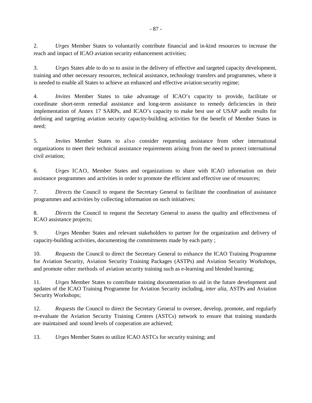2. *Urges* Member States to voluntarily contribute financial and in-kind resources to increase the reach and impact of ICAO aviation security enhancement activities;

3. *Urges* States able to do so to assist in the delivery of effective and targeted capacity development, training and other necessary resources, technical assistance, technology transfers and programmes, where it is needed to enable all States to achieve an enhanced and effective aviation security regime;

4. *Invites* Member States to take advantage of ICAO's capacity to provide, facilitate or coordinate short-term remedial assistance and long-term assistance to remedy deficiencies in their implementation of Annex 17 SARPs, and ICAO's capacity to make best use of USAP audit results for defining and targeting aviation security capacity-building activities for the benefit of Member States in need;

5. *Invites* Member States to also consider requesting assistance from other international organizations to meet their technical assistance requirements arising from the need to protect international civil aviation;

6. *Urges* ICAO, Member States and organizations to share with ICAO information on their assistance programmes and activities in order to promote the efficient and effective use of resources;

7. *Directs* the Council to request the Secretary General to facilitate the coordination of assistance programmes and activities by collecting information on such initiatives;

8. *Directs* the Council to request the Secretary General to assess the quality and effectiveness of ICAO assistance projects;

9. *Urges* Member States and relevant stakeholders to partner for the organization and delivery of capacity-building activities, documenting the commitments made by each party ;

10. *Requests* the Council to direct the Secretary General to enhance the ICAO Training Programme for Aviation Security, Aviation Security Training Packages (ASTPs) and Aviation Security Workshops, and promote other methods of aviation security training such as e-learning and blended learning;

11. *Urges* Member States to contribute training documentation to aid in the future development and updates of the ICAO Training Programme for Aviation Security including, *inter alia*, ASTPs and Aviation Security Workshops;

12. *Requests* the Council to direct the Secretary General to oversee, develop, promote, and regularly re-evaluate the Aviation Security Training Centres (ASTCs) network to ensure that training standards are maintained and sound levels of cooperation are achieved;

13. *Urges* Member States to utilize ICAO ASTCs for security training; and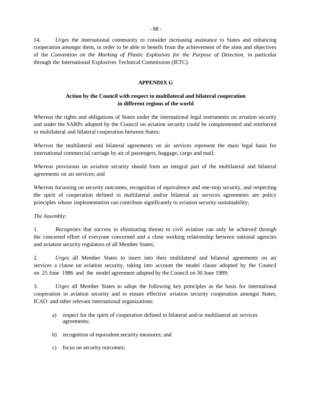14. *Urges* the international community to consider increasing assistance to States and enhancing cooperation amongst them, in order to be able to benefit from the achievement of the aims and objectives of the *Convention on the Marking of Plastic Explosives for the Purpose of Detection*, in particular through the International Explosives Technical Commission (IETC).

### **APPENDIX G**

### **Action by the Council with respect to multilateral and bilateral cooperation in different regions of the world**

*Whereas* the rights and obligations of States under the international legal instruments on aviation security and under the SARPs adopted by the Council on aviation security could be complemented and reinforced in multilateral and bilateral cooperation between States;

*Whereas* the multilateral and bilateral agreements on air services represent the main legal basis for international commercial carriage by air of passengers, baggage, cargo and mail;

*Whereas* provisions on aviation security should form an integral part of the multilateral and bilateral agreements on air services; and

*Whereas* focussing on security outcomes, recognition of equivalence and one-stop security, and respecting the spirit of cooperation defined in multilateral and/or bilateral air services agreements are policy principles whose implementation can contribute significantly to aviation security sustainability;

#### *The Assembly*:

1. *Recognizes* that success in eliminating threats to civil aviation can only be achieved through the concerted effort of everyone concerned and a close working relationship between national agencies and aviation security regulators of all Member States;

2. *Urges* all Member States to insert into their multilateral and bilateral agreements on air services a clause on aviation security, taking into account the model clause adopted by the Council on 25 June 1986 and the model agreement adopted by the Council on 30 June 1989;

3. *Urges* all Member States to adopt the following key principles as the basis for international cooperation in aviation security and to ensure effective aviation security cooperation amongst States, ICAO and other relevant international organizations:

- a) respect for the spirit of cooperation defined in bilateral and/or multilateral air services agreements;
- b) recognition of equivalent security measures; and
- c) focus on security outcomes;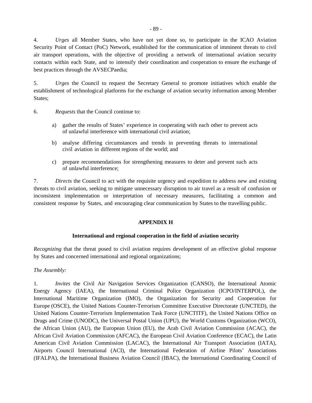4. *Urges* all Member States, who have not yet done so, to participate in the ICAO Aviation Security Point of Contact (PoC) Network, established for the communication of imminent threats to civil air transport operations, with the objective of providing a network of international aviation security contacts within each State, and to intensify their coordination and cooperation to ensure the exchange of best practices through the AVSECPaedia;

5. *Urges* the Council to request the Secretary General to promote initiatives which enable the establishment of technological platforms for the exchange of aviation security information among Member States;

- 6. *Requests* that the Council continue to:
	- a) gather the results of States' experience in cooperating with each other to prevent acts of unlawful interference with international civil aviation;
	- b) analyse differing circumstances and trends in preventing threats to international civil aviation in different regions of the world; and
	- c) prepare recommendations for strengthening measures to deter and prevent such acts of unlawful interference;

7. *Directs* the Council to act with the requisite urgency and expedition to address new and existing threats to civil aviation, seeking to mitigate unnecessary disruption to air travel as a result of confusion or inconsistent implementation or interpretation of necessary measures, facilitating a common and consistent response by States, and encouraging clear communication by States to the travelling public.

### **APPENDIX H**

#### **International and regional cooperation in the field of aviation security**

*Recognizing* that the threat posed to civil aviation requires development of an effective global response by States and concerned international and regional organizations;

### *The Assembly:*

1. *Invites* the Civil Air Navigation Services Organization (CANSO), the International Atomic Energy Agency (IAEA), the International Criminal Police Organization (ICPO/INTERPOL), the International Maritime Organization (IMO), the Organization for Security and Cooperation for Europe (OSCE), the United Nations Counter-Terrorism Committee Executive Directorate (UNCTED), the United Nations Counter-Terrorism Implementation Task Force (UNCTITF), the United Nations Office on Drugs and Crime (UNODC), the Universal Postal Union (UPU), the World Customs Organization (WCO), the African Union (AU), the European Union (EU), the Arab Civil Aviation Commission (ACAC), the African Civil Aviation Commission (AFCAC), the European Civil Aviation Conference (ECAC), the Latin American Civil Aviation Commission (LACAC), the International Air Transport Association (IATA), Airports Council International (ACI), the International Federation of Airline Pilots' Associations (IFALPA), the International Business Aviation Council (IBAC), the International Coordinating Council of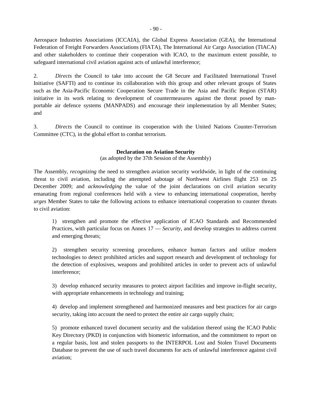Aerospace Industries Associations (ICCAIA), the Global Express Association (GEA), the International Federation of Freight Forwarders Associations (FIATA), The International Air Cargo Association (TIACA) and other stakeholders to continue their cooperation with ICAO, to the maximum extent possible, to safeguard international civil aviation against acts of unlawful interference;

2. *Directs* the Council to take into account the G8 Secure and Facilitated International Travel Initiative (SAFTI) and to continue its collaboration with this group and other relevant groups of States such as the Asia-Pacific Economic Cooperation Secure Trade in the Asia and Pacific Region (STAR) initiative in its work relating to development of countermeasures against the threat posed by manportable air defence systems (MANPADS) and encourage their implementation by all Member States; and

3. *Directs* the Council to continue its cooperation with the United Nations Counter-Terrorism Committee (CTC), in the global effort to combat terrorism.

#### **Declaration on Aviation Security**

(as adopted by the 37th Session of the Assembly)

The Assembly*, recognizing* the need to strengthen aviation security worldwide, in light of the continuing threat to civil aviation, including the attempted sabotage of Northwest Airlines flight 253 on 25 December 2009; and *acknowledging* the value of the joint declarations on civil aviation security emanating from regional conferences held with a view to enhancing international cooperation, hereby *urges* Member States to take the following actions to enhance international cooperation to counter threats to civil aviation:

1) strengthen and promote the effective application of ICAO Standards and Recommended Practices, with particular focus on Annex 17 — *Security,* and develop strategies to address current and emerging threats;

2) strengthen security screening procedures, enhance human factors and utilize modern technologies to detect prohibited articles and support research and development of technology for the detection of explosives, weapons and prohibited articles in order to prevent acts of unlawful interference;

3) develop enhanced security measures to protect airport facilities and improve in-flight security, with appropriate enhancements in technology and training;

4) develop and implement strengthened and harmonized measures and best practices for air cargo security, taking into account the need to protect the entire air cargo supply chain;

5) promote enhanced travel document security and the validation thereof using the ICAO Public Key Directory (PKD) in conjunction with biometric information, and the commitment to report on a regular basis, lost and stolen passports to the INTERPOL Lost and Stolen Travel Documents Database to prevent the use of such travel documents for acts of unlawful interference against civil aviation;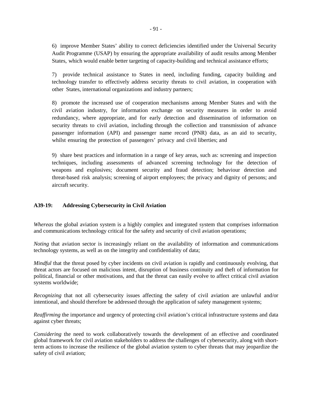6) improve Member States' ability to correct deficiencies identified under the Universal Security Audit Programme (USAP) by ensuring the appropriate availability of audit results among Member States, which would enable better targeting of capacity-building and technical assistance efforts;

7) provide technical assistance to States in need, including funding, capacity building and technology transfer to effectively address security threats to civil aviation, in cooperation with other States, international organizations and industry partners;

8) promote the increased use of cooperation mechanisms among Member States and with the civil aviation industry, for information exchange on security measures in order to avoid redundancy, where appropriate, and for early detection and dissemination of information on security threats to civil aviation, including through the collection and transmission of advance passenger information (API) and passenger name record (PNR) data, as an aid to security, whilst ensuring the protection of passengers' privacy and civil liberties; and

9) share best practices and information in a range of key areas, such as: screening and inspection techniques, including assessments of advanced screening technology for the detection of weapons and explosives; document security and fraud detection; behaviour detection and threat-based risk analysis; screening of airport employees; the privacy and dignity of persons; and aircraft security.

### **A39-19: Addressing Cybersecurity in Civil Aviation**

*Whereas* the global aviation system is a highly complex and integrated system that comprises information and communications technology critical for the safety and security of civil aviation operations;

*Noting* that aviation sector is increasingly reliant on the availability of information and communications technology systems, as well as on the integrity and confidentiality of data;

*Mindful* that the threat posed by cyber incidents on civil aviation is rapidly and continuously evolving, that threat actors are focused on malicious intent, disruption of business continuity and theft of information for political, financial or other motivations, and that the threat can easily evolve to affect critical civil aviation systems worldwide;

*Recognizing* that not all cybersecurity issues affecting the safety of civil aviation are unlawful and/or intentional, and should therefore be addressed through the application of safety management systems;

*Reaffirming* the importance and urgency of protecting civil aviation's critical infrastructure systems and data against cyber threats;

*Considering* the need to work collaboratively towards the development of an effective and coordinated global framework for civil aviation stakeholders to address the challenges of cybersecurity, along with shortterm actions to increase the resilience of the global aviation system to cyber threats that may jeopardize the safety of civil aviation;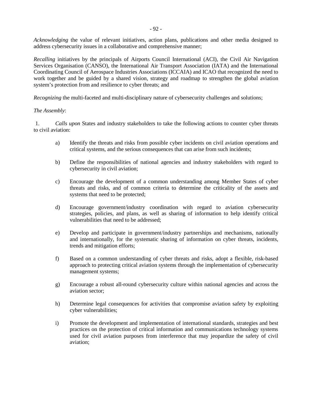*Acknowledging* the value of relevant initiatives, action plans, publications and other media designed to address cybersecurity issues in a collaborative and comprehensive manner;

*Recalling* initiatives by the principals of Airports Council International (ACI), the Civil Air Navigation Services Organisation (CANSO), the International Air Transport Association (IATA) and the International Coordinating Council of Aerospace Industries Associations (ICCAIA) and ICAO that recognized the need to work together and be guided by a shared vision, strategy and roadmap to strengthen the global aviation system's protection from and resilience to cyber threats; and

*Recognizing* the multi-faceted and multi-disciplinary nature of cybersecurity challenges and solutions;

### *The Assembly*:

1. *Calls upon* States and industry stakeholders to take the following actions to counter cyber threats to civil aviation:

- a) Identify the threats and risks from possible cyber incidents on civil aviation operations and critical systems, and the serious consequences that can arise from such incidents;
- b) Define the responsibilities of national agencies and industry stakeholders with regard to cybersecurity in civil aviation;
- c) Encourage the development of a common understanding among Member States of cyber threats and risks, and of common criteria to determine the criticality of the assets and systems that need to be protected;
- d) Encourage government/industry coordination with regard to aviation cybersecurity strategies, policies, and plans, as well as sharing of information to help identify critical vulnerabilities that need to be addressed;
- e) Develop and participate in government/industry partnerships and mechanisms, nationally and internationally, for the systematic sharing of information on cyber threats, incidents, trends and mitigation efforts;
- f) Based on a common understanding of cyber threats and risks, adopt a flexible, risk-based approach to protecting critical aviation systems through the implementation of cybersecurity management systems;
- g) Encourage a robust all-round cybersecurity culture within national agencies and across the aviation sector;
- h) Determine legal consequences for activities that compromise aviation safety by exploiting cyber vulnerabilities;
- i) Promote the development and implementation of international standards, strategies and best practices on the protection of critical information and communications technology systems used for civil aviation purposes from interference that may jeopardize the safety of civil aviation;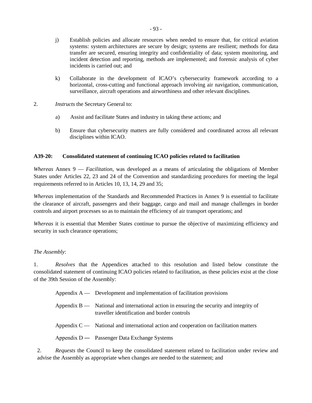- j) Establish policies and allocate resources when needed to ensure that, for critical aviation systems: system architectures are secure by design; systems are resilient; methods for data transfer are secured, ensuring integrity and confidentiality of data; system monitoring, and incident detection and reporting, methods are implemented; and forensic analysis of cyber incidents is carried out; and
- k) Collaborate in the development of ICAO's cybersecurity framework according to a horizontal, cross-cutting and functional approach involving air navigation, communication, surveillance, aircraft operations and airworthiness and other relevant disciplines.
- 2. *Instructs* the Secretary General to:
	- a) Assist and facilitate States and industry in taking these actions; and
	- b) Ensure that cybersecurity matters are fully considered and coordinated across all relevant disciplines within ICAO.

### **A39-20: Consolidated statement of continuing ICAO policies related to facilitation**

*Whereas* Annex 9 — *Facilitation*, was developed as a means of articulating the obligations of Member States under Articles 22, 23 and 24 of the Convention and standardizing procedures for meeting the legal requirements referred to in Articles 10, 13, 14, 29 and 35;

*Whereas* implementation of the Standards and Recommended Practices in Annex 9 is essential to facilitate the clearance of aircraft, passengers and their baggage, cargo and mail and manage challenges in border controls and airport processes so as to maintain the efficiency of air transport operations; and

*Whereas* it is essential that Member States continue to pursue the objective of maximizing efficiency and security in such clearance operations;

### *The Assembly*:

1. *Resolves* that the Appendices attached to this resolution and listed below constitute the consolidated statement of continuing ICAO policies related to facilitation, as these policies exist at the close of the 39th Session of the Assembly:

- Appendix  $A \longrightarrow$  Development and implementation of facilitation provisions
- Appendix B National and international action in ensuring the security and integrity of traveller identification and border controls
- Appendix  $C \rightarrow$  National and international action and cooperation on facilitation matters
- Appendix D Passenger Data Exchange Systems

2. *Requests* the Council to keep the consolidated statement related to facilitation under review and advise the Assembly as appropriate when changes are needed to the statement; and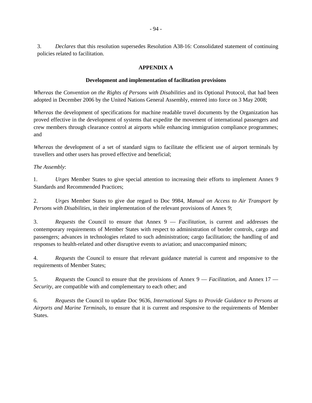3. *Declares* that this resolution supersedes Resolution A38-16: Consolidated statement of continuing policies related to facilitation.

#### **APPENDIX A**

#### **Development and implementation of facilitation provisions**

*Whereas* the *Convention on the Rights of Persons with Disabilities* and its Optional Protocol, that had been adopted in December 2006 by the United Nations General Assembly, entered into force on 3 May 2008;

*Whereas* the development of specifications for machine readable travel documents by the Organization has proved effective in the development of systems that expedite the movement of international passengers and crew members through clearance control at airports while enhancing immigration compliance programmes; and

*Whereas* the development of a set of standard signs to facilitate the efficient use of airport terminals by travellers and other users has proved effective and beneficial;

*The Assembly*:

1. *Urges* Member States to give special attention to increasing their efforts to implement Annex 9 Standards and Recommended Practices;

2. *Urges* Member States to give due regard to Doc 9984, *Manual on Access to Air Transport by Persons with Disabilities*, in their implementation of the relevant provisions of Annex 9;

3. *Requests* the Council to ensure that Annex 9 — *Facilitation*, is current and addresses the contemporary requirements of Member States with respect to administration of border controls, cargo and passengers; advances in technologies related to such administration; cargo facilitation; the handling of and responses to health-related and other disruptive events to aviation; and unaccompanied minors;

4. *Requests* the Council to ensure that relevant guidance material is current and responsive to the requirements of Member States;

5. *Requests* the Council to ensure that the provisions of Annex 9 — *Facilitation*, and Annex 17 — *Security*, are compatible with and complementary to each other; and

6. *Requests* the Council to update Doc 9636, *International Signs to Provide Guidance to Persons at Airports and Marine Terminals*, to ensure that it is current and responsive to the requirements of Member States.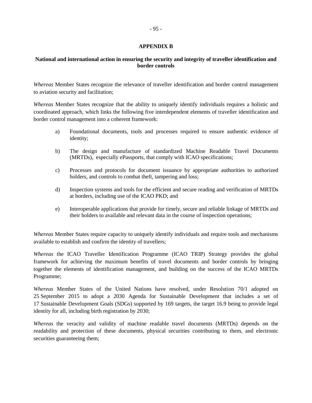#### **APPENDIX B**

### **National and international action in ensuring the security and integrity of traveller identification and border controls**

*Whereas* Member States recognize the relevance of traveller identification and border control management to aviation security and facilitation;

*Whereas* Member States recognize that the ability to uniquely identify individuals requires a holistic and coordinated approach, which links the following five interdependent elements of traveller identification and border control management into a coherent framework:

- a) Foundational documents, tools and processes required to ensure authentic evidence of identity;
- b) The design and manufacture of standardized Machine Readable Travel Documents (MRTDs), especially ePassports, that comply with ICAO specifications;
- c) Processes and protocols for document issuance by appropriate authorities to authorized holders, and controls to combat theft, tampering and loss;
- d) Inspection systems and tools for the efficient and secure reading and verification of MRTDs at borders, including use of the ICAO PKD; and
- e) Interoperable applications that provide for timely, secure and reliable linkage of MRTDs and their holders to available and relevant data in the course of inspection operations;

*Whereas* Member States require capacity to uniquely identify individuals and require tools and mechanisms available to establish and confirm the identity of travellers;

*Whereas* the ICAO Traveller Identification Programme (ICAO TRIP) Strategy provides the global framework for achieving the maximum benefits of travel documents and border controls by bringing together the elements of identification management, and building on the success of the ICAO MRTDs Programme;

*Whereas* Member States of the United Nations have resolved, under Resolution 70/1 adopted on 25 September 2015 to adopt a 2030 Agenda for Sustainable Development that includes a set of 17 Sustainable Development Goals (SDGs) supported by 169 targets, the target 16.9 being to provide legal identity for all, including birth registration by 2030;

*Whereas* the veracity and validity of machine readable travel documents (MRTDs) depends on the readability and protection of these documents, physical securities contributing to them, and electronic securities guaranteeing them;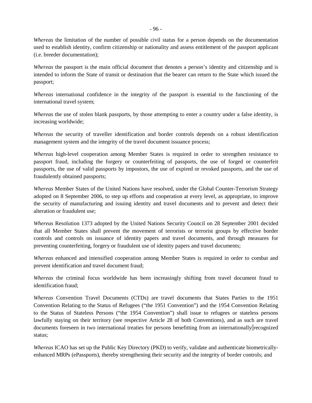*Whereas* the limitation of the number of possible civil status for a person depends on the documentation used to establish identity, confirm citizenship or nationality and assess entitlement of the passport applicant (i.e. breeder documentation);

*Whereas* the passport is the main official document that denotes a person's identity and citizenship and is intended to inform the State of transit or destination that the bearer can return to the State which issued the passport;

*Whereas* international confidence in the integrity of the passport is essential to the functioning of the international travel system;

*Whereas* the use of stolen blank passports, by those attempting to enter a country under a false identity, is increasing worldwide;

*Whereas* the security of traveller identification and border controls depends on a robust identification management system and the integrity of the travel document issuance process;

*Whereas* high-level cooperation among Member States is required in order to strengthen resistance to passport fraud, including the forgery or counterfeiting of passports, the use of forged or counterfeit passports, the use of valid passports by impostors, the use of expired or revoked passports, and the use of fraudulently obtained passports;

*Whereas* Member States of the United Nations have resolved, under the Global Counter-Terrorism Strategy adopted on 8 September 2006, to step up efforts and cooperation at every level, as appropriate, to improve the security of manufacturing and issuing identity and travel documents and to prevent and detect their alteration or fraudulent use;

*Whereas* Resolution 1373 adopted by the United Nations Security Council on 28 September 2001 decided that all Member States shall prevent the movement of terrorists or terrorist groups by effective border controls and controls on issuance of identity papers and travel documents, and through measures for preventing counterfeiting, forgery or fraudulent use of identity papers and travel documents;

*Whereas* enhanced and intensified cooperation among Member States is required in order to combat and prevent identification and travel document fraud;

*Whereas* the criminal focus worldwide has been increasingly shifting from travel document fraud to identification fraud;

*Whereas* Convention Travel Documents (CTDs) are travel documents that States Parties to the 1951 Convention Relating to the Status of Refugees ("the 1951 Convention") and the 1954 Convention Relating to the Status of Stateless Persons ("the 1954 Convention") shall issue to refugees or stateless persons lawfully staying on their territory (see respective Article 28 of both Conventions), and as such are travel documents foreseen in two international treaties for persons benefitting from an internationally recognized status;

*Whereas* ICAO has set up the Public Key Directory (PKD) to verify, validate and authenticate biometricallyenhanced MRPs (ePassports), thereby strengthening their security and the integrity of border controls; and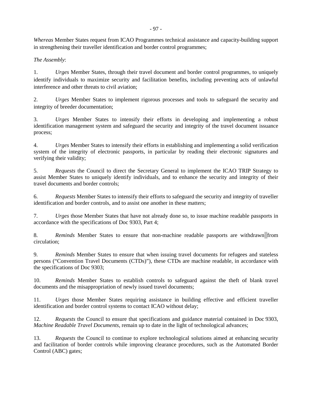*Whereas* Member States request from ICAO Programmes technical assistance and capacity-building support in strengthening their traveller identification and border control programmes;

*The Assembly*:

1. *Urges* Member States, through their travel document and border control programmes, to uniquely identify individuals to maximize security and facilitation benefits, including preventing acts of unlawful interference and other threats to civil aviation;

2. *Urges* Member States to implement rigorous processes and tools to safeguard the security and integrity of breeder documentation;

3. *Urges* Member States to intensify their efforts in developing and implementing a robust identification management system and safeguard the security and integrity of the travel document issuance process;

4. *Urges* Member States to intensify their efforts in establishing and implementing a solid verification system of the integrity of electronic passports, in particular by reading their electronic signatures and verifying their validity;

5. *Requests* the Council to direct the Secretary General to implement the ICAO TRIP Strategy to assist Member States to uniquely identify individuals, and to enhance the security and integrity of their travel documents and border controls;

6. *Requests* Member States to intensify their efforts to safeguard the security and integrity of traveller identification and border controls, and to assist one another in these matters;

7. *Urges* those Member States that have not already done so, to issue machine readable passports in accordance with the specifications of Doc 9303, Part 4;

8. *Reminds* Member States to ensure that non-machine readable passports are withdrawn from circulation;

9. *Reminds* Member States to ensure that when issuing travel documents for refugees and stateless persons ("Convention Travel Documents (CTDs)"), these CTDs are machine readable, in accordance with the specifications of Doc 9303;

10. *Reminds* Member States to establish controls to safeguard against the theft of blank travel documents and the misappropriation of newly issued travel documents;

11. *Urges* those Member States requiring assistance in building effective and efficient traveller identification and border control systems to contact ICAO without delay;

12. *Requests* the Council to ensure that specifications and guidance material contained in Doc 9303, *Machine Readable Travel Documents*, remain up to date in the light of technological advances;

13. *Requests* the Council to continue to explore technological solutions aimed at enhancing security and facilitation of border controls while improving clearance procedures, such as the Automated Border Control (ABC) gates;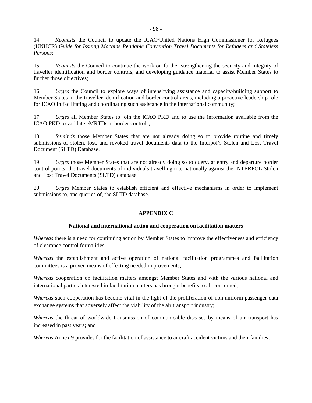14. *Requests* the Council to update the ICAO/United Nations High Commissioner for Refugees (UNHCR) *Guide for Issuing Machine Readable Convention Travel Documents for Refugees and Stateless Persons*;

15. *Requests* the Council to continue the work on further strengthening the security and integrity of traveller identification and border controls, and developing guidance material to assist Member States to further those objectives;

16. *Urges* the Council to explore ways of intensifying assistance and capacity-building support to Member States in the traveller identification and border control areas, including a proactive leadership role for ICAO in facilitating and coordinating such assistance in the international community;

17. *Urges* all Member States to join the ICAO PKD and to use the information available from the ICAO PKD to validate eMRTDs at border controls;

18. *Reminds* those Member States that are not already doing so to provide routine and timely submissions of stolen, lost, and revoked travel documents data to the Interpol's Stolen and Lost Travel Document (SLTD) Database.

19. *Urges* those Member States that are not already doing so to query, at entry and departure border control points, the travel documents of individuals travelling internationally against the INTERPOL Stolen and Lost Travel Documents (SLTD) database.

20. *Urges* Member States to establish efficient and effective mechanisms in order to implement submissions to, and queries of, the SLTD database.

#### **APPENDIX C**

#### **National and international action and cooperation on facilitation matters**

*Whereas* there is a need for continuing action by Member States to improve the effectiveness and efficiency of clearance control formalities;

*Whereas* the establishment and active operation of national facilitation programmes and facilitation committees is a proven means of effecting needed improvements;

*Whereas* cooperation on facilitation matters amongst Member States and with the various national and international parties interested in facilitation matters has brought benefits to all concerned;

*Whereas* such cooperation has become vital in the light of the proliferation of non-uniform passenger data exchange systems that adversely affect the viability of the air transport industry;

*Whereas* the threat of worldwide transmission of communicable diseases by means of air transport has increased in past years; and

*Whereas* Annex 9 provides for the facilitation of assistance to aircraft accident victims and their families;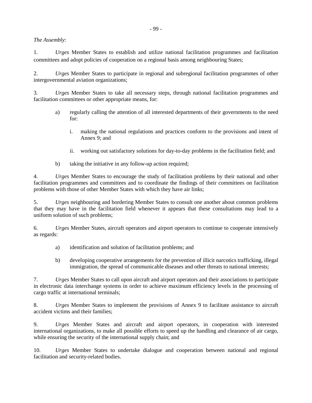*The Assembly*:

1. *Urges* Member States to establish and utilize national facilitation programmes and facilitation committees and adopt policies of cooperation on a regional basis among neighbouring States;

2. *Urges* Member States to participate in regional and subregional facilitation programmes of other intergovernmental aviation organizations;

3. *Urges* Member States to take all necessary steps, through national facilitation programmes and facilitation committees or other appropriate means, for:

- a) regularly calling the attention of all interested departments of their governments to the need for:
	- i. making the national regulations and practices conform to the provisions and intent of Annex 9; and
	- ii. working out satisfactory solutions for day-to-day problems in the facilitation field; and
- b) taking the initiative in any follow-up action required;

4. *Urges* Member States to encourage the study of facilitation problems by their national and other facilitation programmes and committees and to coordinate the findings of their committees on facilitation problems with those of other Member States with which they have air links;

5. *Urges* neighbouring and bordering Member States to consult one another about common problems that they may have in the facilitation field whenever it appears that these consultations may lead to a uniform solution of such problems;

6. *Urges* Member States, aircraft operators and airport operators to continue to cooperate intensively as regards:

- a) identification and solution of facilitation problems; and
- b) developing cooperative arrangements for the prevention of illicit narcotics trafficking, illegal immigration, the spread of communicable diseases and other threats to national interests;

7. *Urges* Member States to call upon aircraft and airport operators and their associations to participate in electronic data interchange systems in order to achieve maximum efficiency levels in the processing of cargo traffic at international terminals;

8. *Urges* Member States to implement the provisions of Annex 9 to facilitate assistance to aircraft accident victims and their families;

9. *Urges* Member States and aircraft and airport operators, in cooperation with interested international organizations, to make all possible efforts to speed up the handling and clearance of air cargo, while ensuring the security of the international supply chain; and

10. *Urges* Member States to undertake dialogue and cooperation between national and regional facilitation and security-related bodies.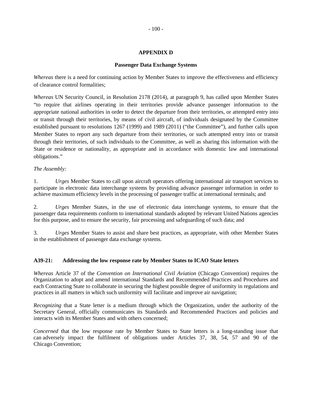### **APPENDIX D**

#### **Passenger Data Exchange Systems**

*Whereas* there is a need for continuing action by Member States to improve the effectiveness and efficiency of clearance control formalities;

*Whereas* UN Security Council, in Resolution 2178 (2014), at paragraph 9, has called upon Member States "to require that airlines operating in their territories provide advance passenger information to the appropriate national authorities in order to detect the departure from their territories, or attempted entry into or transit through their territories, by means of civil aircraft, of individuals designated by the Committee established pursuant to resolutions 1267 (1999) and 1989 (2011) ("the Committee"), and further calls upon Member States to report any such departure from their territories, or such attempted entry into or transit through their territories, of such individuals to the Committee, as well as sharing this information with the State or residence or nationality, as appropriate and in accordance with domestic law and international obligations."

#### *The Assembly:*

1. *Urges* Member States to call upon aircraft operators offering international air transport services to participate in electronic data interchange systems by providing advance passenger information in order to achieve maximum efficiency levels in the processing of passenger traffic at international terminals; and

2. *Urges* Member States, in the use of electronic data interchange systems, to ensure that the passenger data requirements conform to international standards adopted by relevant United Nations agencies for this purpose, and to ensure the security, fair processing and safeguarding of such data; and

3. *Urges* Member States to assist and share best practices, as appropriate, with other Member States in the establishment of passenger data exchange systems.

#### **A39-21: Addressing the low response rate by Member States to ICAO State letters**

*Whereas* Article 37 of the *Convention on International Civil Aviation* (Chicago Convention) requires the Organization to adopt and amend international Standards and Recommended Practices and Procedures and each Contracting State to collaborate in securing the highest possible degree of uniformity in regulations and practices in all matters in which such uniformity will facilitate and improve air navigation;

*Recognizing* that a State letter is a medium through which the Organization, under the authority of the Secretary General, officially communicates its Standards and Recommended Practices and policies and interacts with its Member States and with others concerned;

*Concerned* that the low response rate by Member States to State letters is a long-standing issue that can adversely impact the fulfilment of obligations under Articles 37, 38, 54, 57 and 90 of the Chicago Convention;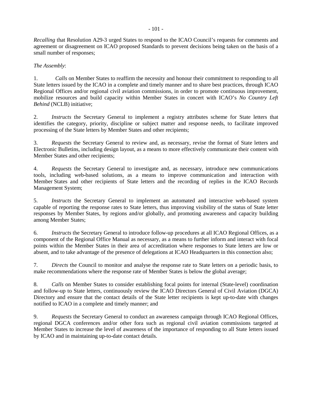*Recalling* that Resolution A29-3 urged States to respond to the ICAO Council's requests for comments and agreement or disagreement on ICAO proposed Standards to prevent decisions being taken on the basis of a small number of responses;

### *The Assembly*:

1. *Calls* on Member States to reaffirm the necessity and honour their commitment to responding to all State letters issued by the ICAO in a complete and timely manner and to share best practices, through ICAO Regional Offices and/or regional civil aviation commissions, in order to promote continuous improvement, mobilize resources and build capacity within Member States in concert with ICAO's *No Country Left Behind* (NCLB) initiative;

2. *Instructs* the Secretary General to implement a registry attributes scheme for State letters that identifies the category, priority, discipline or subject matter and response needs, to facilitate improved processing of the State letters by Member States and other recipients;

3. *Requests* the Secretary General to review and, as necessary, revise the format of State letters and Electronic Bulletins, including design layout, as a means to more effectively communicate their content with Member States and other recipients;

4. *Requests* the Secretary General to investigate and, as necessary, introduce new communications tools, including web-based solutions, as a means to improve communication and interaction with Member States and other recipients of State letters and the recording of replies in the ICAO Records Management System;

5. *Instructs* the Secretary General to implement an automated and interactive web-based system capable of reporting the response rates to State letters, thus improving visibility of the status of State letter responses by Member States, by regions and/or globally, and promoting awareness and capacity building among Member States;

6. *Instructs* the Secretary General to introduce follow-up procedures at all ICAO Regional Offices, as a component of the Regional Office Manual as necessary, as a means to further inform and interact with focal points within the Member States in their area of accreditation where responses to State letters are low or absent, and to take advantage of the presence of delegations at ICAO Headquarters in this connection also;

7. *Directs* the Council to monitor and analyse the response rate to State letters on a periodic basis, to make recommendations where the response rate of Member States is below the global average;

8. *Calls* on Member States to consider establishing focal points for internal (State-level) coordination and follow-up to State letters, continuously review the ICAO Directors General of Civil Aviation (DGCA) Directory and ensure that the contact details of the State letter recipients is kept up-to-date with changes notified to ICAO in a complete and timely manner; and

9. *Requests* the Secretary General to conduct an awareness campaign through ICAO Regional Offices, regional DGCA conferences and/or other fora such as regional civil aviation commissions targeted at Member States to increase the level of awareness of the importance of responding to all State letters issued by ICAO and in maintaining up-to-date contact details.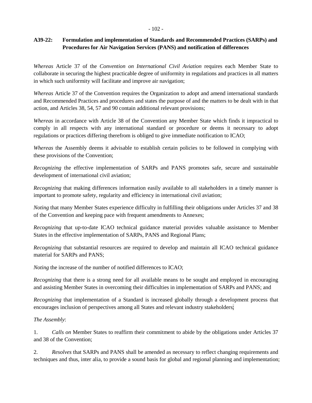#### - 102 -

## **A39-22: Formulation and implementation of Standards and Recommended Practices (SARPs) and Procedures for Air Navigation Services (PANS) and notification of differences**

*Whereas* Article 37 of the *Convention on International Civil Aviation* requires each Member State to collaborate in securing the highest practicable degree of uniformity in regulations and practices in all matters in which such uniformity will facilitate and improve air navigation;

*Whereas* Article 37 of the Convention requires the Organization to adopt and amend international standards and Recommended Practices and procedures and states the purpose of and the matters to be dealt with in that action, and Articles 38, 54, 57 and 90 contain additional relevant provisions;

*Whereas* in accordance with Article 38 of the Convention any Member State which finds it impractical to comply in all respects with any international standard or procedure or deems it necessary to adopt regulations or practices differing therefrom is obliged to give immediate notification to ICAO;

*Whereas* the Assembly deems it advisable to establish certain policies to be followed in complying with these provisions of the Convention;

*Recognizing* the effective implementation of SARPs and PANS promotes safe, secure and sustainable development of international civil aviation;

*Recognizing* that making differences information easily available to all stakeholders in a timely manner is important to promote safety, regularity and efficiency in international civil aviation;

*Noting* that many Member States experience difficulty in fulfilling their obligations under Articles 37 and 38 of the Convention and keeping pace with frequent amendments to Annexes;

*Recognizing* that up-to-date ICAO technical guidance material provides valuable assistance to Member States in the effective implementation of SARPs, PANS and Regional Plans;

*Recognizing* that substantial resources are required to develop and maintain all ICAO technical guidance material for SARPs and PANS;

*Noting* the increase of the number of notified differences to ICAO;

*Recognizing* that there is a strong need for all available means to be sought and employed in encouraging and assisting Member States in overcoming their difficulties in implementation of SARPs and PANS; and

*Recognizing* that implementation of a Standard is increased globally through a development process that encourages inclusion of perspectives among all States and relevant industry stakeholders;

### *The Assembly*:

1. *Calls on* Member States to reaffirm their commitment to abide by the obligations under Articles 37 and 38 of the Convention;

2. *Resolves* that SARPs and PANS shall be amended as necessary to reflect changing requirements and techniques and thus, inter alia, to provide a sound basis for global and regional planning and implementation;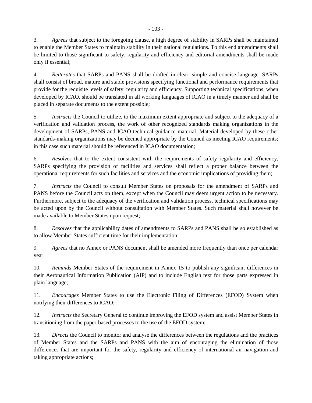3. *Agrees* that subject to the foregoing clause, a high degree of stability in SARPs shall be maintained to enable the Member States to maintain stability in their national regulations. To this end amendments shall be limited to those significant to safety, regularity and efficiency and editorial amendments shall be made only if essential;

4. *Reiterates* that SARPs and PANS shall be drafted in clear, simple and concise language. SARPs shall consist of broad, mature and stable provisions specifying functional and performance requirements that provide for the requisite levels of safety, regularity and efficiency. Supporting technical specifications, when developed by ICAO, should be translated in all working languages of ICAO in a timely manner and shall be placed in separate documents to the extent possible;

5. *Instructs* the Council to utilize, to the maximum extent appropriate and subject to the adequacy of a verification and validation process, the work of other recognized standards making organizations in the development of SARPs, PANS and ICAO technical guidance material. Material developed by these other standards-making organizations may be deemed appropriate by the Council as meeting ICAO requirements; in this case such material should be referenced in ICAO documentation;

6. *Resolves* that to the extent consistent with the requirements of safety regularity and efficiency, SARPs specifying the provision of facilities and services shall reflect a proper balance between the operational requirements for such facilities and services and the economic implications of providing them;

7. *Instructs* the Council to consult Member States on proposals for the amendment of SARPs and PANS before the Council acts on them, except when the Council may deem urgent action to be necessary. Furthermore, subject to the adequacy of the verification and validation process, technical specifications may be acted upon by the Council without consultation with Member States. Such material shall however be made available to Member States upon request;

8. *Resolves* that the applicability dates of amendments to SARPs and PANS shall be so established as to allow Member States sufficient time for their implementation;

9. *Agrees* that no Annex or PANS document shall be amended more frequently than once per calendar year;

10. *Reminds* Member States of the requirement in Annex 15 to publish any significant differences in their Aeronautical Information Publication (AIP) and to include English text for those parts expressed in plain language;

11. *Encourages* Member States to use the Electronic Filing of Differences (EFOD) System when notifying their differences to ICAO;

12. *Instructs* the Secretary General to continue improving the EFOD system and assist Member States in transitioning from the paper-based processes to the use of the EFOD system;

13. *Directs* the Council to monitor and analyse the differences between the regulations and the practices of Member States and the SARPs and PANS with the aim of encouraging the elimination of those differences that are important for the safety, regularity and efficiency of international air navigation and taking appropriate actions;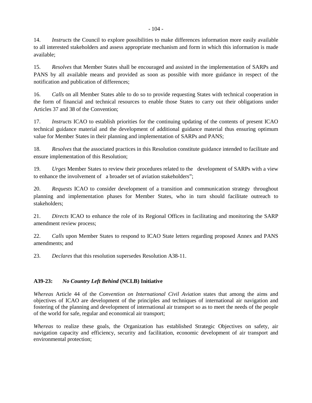15. *Resolves* that Member States shall be encouraged and assisted in the implementation of SARPs and PANS by all available means and provided as soon as possible with more guidance in respect of the notification and publication of differences;

16. *Calls* on all Member States able to do so to provide requesting States with technical cooperation in the form of financial and technical resources to enable those States to carry out their obligations under Articles 37 and 38 of the Convention;

17. *Instructs* ICAO to establish priorities for the continuing updating of the contents of present ICAO technical guidance material and the development of additional guidance material thus ensuring optimum value for Member States in their planning and implementation of SARPs and PANS;

18. *Resolves* that the associated practices in this Resolution constitute guidance intended to facilitate and ensure implementation of this Resolution;

19. *Urges* Member States to review their procedures related to the development of SARPs with a view to enhance the involvement of a broader set of aviation stakeholders";

20. *Requests* ICAO to consider development of a transition and communication strategy throughout planning and implementation phases for Member States, who in turn should facilitate outreach to stakeholders;

21. *Directs* ICAO to enhance the role of its Regional Offices in facilitating and monitoring the SARP amendment review process;

22. *Calls* upon Member States to respond to ICAO State letters regarding proposed Annex and PANS amendments; and

23. *Declares* that this resolution supersedes Resolution A38-11.

# **A39-23:** *No Country Left Behind* **(NCLB) Initiative**

*Whereas* Article 44 of the *Convention on International Civil Aviation* states that among the aims and objectives of ICAO are development of the principles and techniques of international air navigation and fostering of the planning and development of international air transport so as to meet the needs of the people of the world for safe, regular and economical air transport;

*Whereas* to realize these goals, the Organization has established Strategic Objectives on safety, air navigation capacity and efficiency, security and facilitation, economic development of air transport and environmental protection;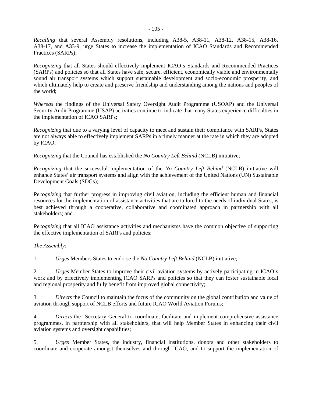*Recalling* that several Assembly resolutions, including A38-5, A38-11, A38-12, A38-15, A38-16, A38-17, and A33-9, urge States to increase the implementation of ICAO Standards and Recommended Practices (SARPs);

*Recognizing* that all States should effectively implement ICAO's Standards and Recommended Practices (SARPs) and policies so that all States have safe, secure, efficient, economically viable and environmentally sound air transport systems which support sustainable development and socio-economic prosperity, and which ultimately help to create and preserve friendship and understanding among the nations and peoples of the world;

*Whereas* the findings of the Universal Safety Oversight Audit Programme (USOAP) and the Universal Security Audit Programme (USAP) activities continue to indicate that many States experience difficulties in the implementation of ICAO SARPs;

*Recognizing* that due to a varying level of capacity to meet and sustain their compliance with SARPs, States are not always able to effectively implement SARPs in a timely manner at the rate in which they are adopted by ICAO;

*Recognizing* that the Council has established the *No Country Left Behind* (NCLB) initiative;

*Recognizing* that the successful implementation of the *No Country Left Behind* (NCLB) initiative will enhance States' air transport systems and align with the achievement of the United Nations (UN) Sustainable Development Goals (SDGs);

*Recognizing* that further progress in improving civil aviation, including the efficient human and financial resources for the implementation of assistance activities that are tailored to the needs of individual States, is best achieved through a cooperative, collaborative and coordinated approach in partnership with all stakeholders; and

*Recognizing* that all ICAO assistance activities and mechanisms have the common objective of supporting the effective implementation of SARPs and policies;

*The Assembly*:

1. *Urges* Members States to endorse the *No Country Left Behind* (NCLB) initiative;

2. *Urges* Member States to improve their civil aviation systems by actively participating in ICAO's work and by effectively implementing ICAO SARPs and policies so that they can foster sustainable local and regional prosperity and fully benefit from improved global connectivity;

3. *Directs* the Council to maintain the focus of the community on the global contribution and value of aviation through support of NCLB efforts and future ICAO World Aviation Forums;

4. *Directs* the Secretary General to coordinate, facilitate and implement comprehensive assistance programmes, in partnership with all stakeholders, that will help Member States in enhancing their civil aviation systems and oversight capabilities;

5. *Urges* Member States, the industry, financial institutions, donors and other stakeholders to coordinate and cooperate amongst themselves and through ICAO, and to support the implementation of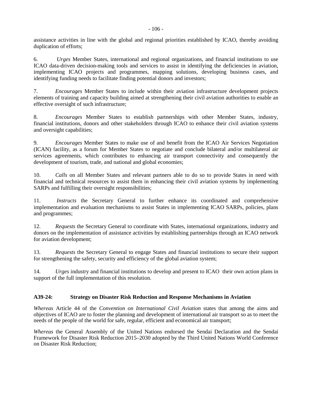assistance activities in line with the global and regional priorities established by ICAO, thereby avoiding duplication of efforts;

6. *Urges* Member States, international and regional organizations, and financial institutions to use ICAO data-driven decision-making tools and services to assist in identifying the deficiencies in aviation, implementing ICAO projects and programmes, mapping solutions, developing business cases, and identifying funding needs to facilitate finding potential donors and investors;

7. *Encourages* Member States to include within their aviation infrastructure development projects elements of training and capacity building aimed at strengthening their civil aviation authorities to enable an effective oversight of such infrastructure;

8. *Encourages* Member States to establish partnerships with other Member States, industry, financial institutions, donors and other stakeholders through ICAO to enhance their civil aviation systems and oversight capabilities;

9. *Encourages* Member States to make use of and benefit from the ICAO Air Services Negotiation (ICAN) facility, as a forum for Member States to negotiate and conclude bilateral and/or multilateral air services agreements, which contributes to enhancing air transport connectivity and consequently the development of tourism, trade, and national and global economies;

10. *Calls* on all Member States and relevant partners able to do so to provide States in need with financial and technical resources to assist them in enhancing their civil aviation systems by implementing SARPs and fulfilling their oversight responsibilities;

11. *Instructs* the Secretary General to further enhance its coordinated and comprehensive implementation and evaluation mechanisms to assist States in implementing ICAO SARPs, policies, plans and programmes;

12. *Requests* the Secretary General to coordinate with States, international organizations, industry and donors on the implementation of assistance activities by establishing partnerships through an ICAO network for aviation development;

13. *Requests* the Secretary General to engage States and financial institutions to secure their support for strengthening the safety, security and efficiency of the global aviation system;

14. *Urges* industry and financial institutions to develop and present to ICAO their own action plans in support of the full implementation of this resolution.

# **A39-24: Strategy on Disaster Risk Reduction and Response Mechanisms in Aviation**

*Whereas* Article 44 of the *Convention on International Civil Aviation* states that among the aims and objectives of ICAO are to foster the planning and development of international air transport so as to meet the needs of the people of the world for safe, regular, efficient and economical air transport;

*Whereas* the General Assembly of the United Nations endorsed the Sendai Declaration and the Sendai Framework for Disaster Risk Reduction 2015–2030 adopted by the Third United Nations World Conference on Disaster Risk Reduction;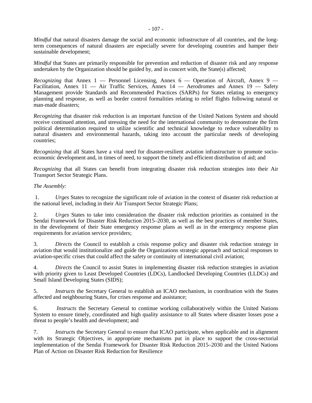*Mindful* that natural disasters damage the social and economic infrastructure of all countries, and the longterm consequences of natural disasters are especially severe for developing countries and hamper their sustainable development;

*Mindful* that States are primarily responsible for prevention and reduction of disaster risk and any response undertaken by the Organization should be guided by, and in concert with, the State(s) affected;

*Recognizing* that Annex 1 — Personnel Licensing, Annex 6 — Operation of Aircraft, Annex 9 — Facilitation, Annex 11 — Air Traffic Services, Annex 14 — Aerodromes and Annex 19 — Safety Management provide Standards and Recommended Practices (SARPs) for States relating to emergency planning and response, as well as border control formalities relating to relief flights following natural or man-made disasters;

*Recognizing* that disaster risk reduction is an important function of the United Nations System and should receive continued attention, and stressing the need for the international community to demonstrate the firm political determination required to utilize scientific and technical knowledge to reduce vulnerability to natural disasters and environmental hazards, taking into account the particular needs of developing countries;

*Recognizing* that all States have a vital need for disaster-resilient aviation infrastructure to promote socioeconomic development and, in times of need, to support the timely and efficient distribution of aid; and

*Recognizing* that all States can benefit from integrating disaster risk reduction strategies into their Air Transport Sector Strategic Plans.

## *The Assembly:*

 1. *Urges* States to recognize the significant role of aviation in the context of disaster risk reduction at the national level, including in their Air Transport Sector Strategic Plans;

2. *Urges* States to take into consideration the disaster risk reduction priorities as contained in the Sendai Framework for Disaster Risk Reduction 2015–2030, as well as the best practices of member States, in the development of their State emergency response plans as well as in the emergency response plan requirements for aviation service providers;

3. *Directs* the Council to establish a crisis response policy and disaster risk reduction strategy in aviation that would institutionalize and guide the Organizations strategic approach and tactical responses to aviation-specific crises that could affect the safety or continuity of international civil aviation;

4. *Directs* the Council to assist States in implementing disaster risk reduction strategies in aviation with priority given to Least Developed Countries (LDCs), Landlocked Developing Countries (LLDCs) and Small Island Developing States (SIDS);

5. *Instructs* the Secretary General to establish an ICAO mechanism, in coordination with the States affected and neighbouring States, for crises response and assistance;

6. *Instructs* the Secretary General to continue working collaboratively within the United Nations System to ensure timely, coordinated and high quality assistance to all States where disaster losses pose a threat to people's health and development; and

7. *Instructs* the Secretary General to ensure that ICAO participate, when applicable and in alignment with its Strategic Objectives, in appropriate mechanisms put in place to support the cross-sectorial implementation of the Sendai Framework for Disaster Risk Reduction 2015–2030 and the United Nations Plan of Action on Disaster Risk Reduction for Resilience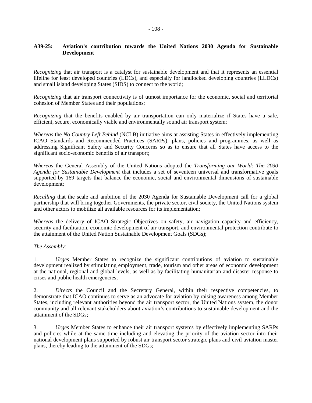## **A39-25: Aviation's contribution towards the United Nations 2030 Agenda for Sustainable Development**

*Recognizing* that air transport is a catalyst for sustainable development and that it represents an essential lifeline for least developed countries (LDCs), and especially for landlocked developing countries (LLDCs) and small island developing States (SIDS) to connect to the world;

*Recognizing* that air transport connectivity is of utmost importance for the economic, social and territorial cohesion of Member States and their populations;

*Recognizing* that the benefits enabled by air transportation can only materialize if States have a safe, efficient, secure, economically viable and environmentally sound air transport system;

*Whereas* the *No Country Left Behind* (NCLB) initiative aims at assisting States in effectively implementing ICAO Standards and Recommended Practices (SARPs), plans, policies and programmes, as well as addressing Significant Safety and Security Concerns so as to ensure that all States have access to the significant socio-economic benefits of air transport;

*Whereas* the General Assembly of the United Nations adopted the *Transforming our World: The 2030 Agenda for Sustainable Development* that includes a set of seventeen universal and transformative goals supported by 169 targets that balance the economic, social and environmental dimensions of sustainable development;

*Recalling* that the scale and ambition of the 2030 Agenda for Sustainable Development call for a global partnership that will bring together Governments, the private sector, civil society, the United Nations system and other actors to mobilize all available resources for its implementation;

*Whereas* the delivery of ICAO Strategic Objectives on safety, air navigation capacity and efficiency, security and facilitation, economic development of air transport, and environmental protection contribute to the attainment of the United Nation Sustainable Development Goals (SDGs);

#### *The Assembly:*

1. *Urges* Member States to recognize the significant contributions of aviation to sustainable development realized by stimulating employment, trade, tourism and other areas of economic development at the national, regional and global levels, as well as by facilitating humanitarian and disaster response to crises and public health emergencies;

2. *Directs* the Council and the Secretary General, within their respective competencies, to demonstrate that ICAO continues to serve as an advocate for aviation by raising awareness among Member States, including relevant authorities beyond the air transport sector, the United Nations system, the donor community and all relevant stakeholders about aviation's contributions to sustainable development and the attainment of the SDGs;

3. *Urges* Member States to enhance their air transport systems by effectively implementing SARPs and policies while at the same time including and elevating the priority of the aviation sector into their national development plans supported by robust air transport sector strategic plans and civil aviation master plans, thereby leading to the attainment of the SDGs;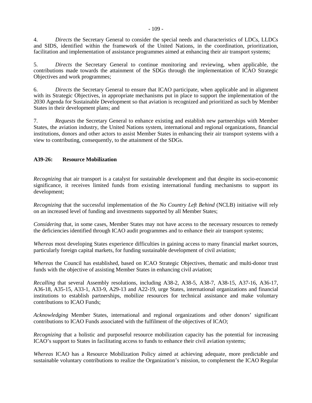4. *Directs* the Secretary General to consider the special needs and characteristics of LDCs, LLDCs and SIDS, identified within the framework of the United Nations, in the coordination, prioritization, facilitation and implementation of assistance programmes aimed at enhancing their air transport systems;

5. *Directs* the Secretary General to continue monitoring and reviewing, when applicable, the contributions made towards the attainment of the SDGs through the implementation of ICAO Strategic Objectives and work programmes;

6. *Directs* the Secretary General to ensure that ICAO participate, when applicable and in alignment with its Strategic Objectives, in appropriate mechanisms put in place to support the implementation of the 2030 Agenda for Sustainable Development so that aviation is recognized and prioritized as such by Member States in their development plans; and

7. *Requests* the Secretary General to enhance existing and establish new partnerships with Member States, the aviation industry, the United Nations system, international and regional organizations, financial institutions, donors and other actors to assist Member States in enhancing their air transport systems with a view to contributing, consequently, to the attainment of the SDGs.

# **A39-26: Resource Mobilization**

*Recognizing* that air transport is a catalyst for sustainable development and that despite its socio-economic significance, it receives limited funds from existing international funding mechanisms to support its development;

*Recognizing* that the successful implementation of the *No Country Left Behind* (NCLB) initiative will rely on an increased level of funding and investments supported by all Member States;

*Considering* that, in some cases, Member States may not have access to the necessary resources to remedy the deficiencies identified through ICAO audit programmes and to enhance their air transport systems;

*Whereas* most developing States experience difficulties in gaining access to many financial market sources, particularly foreign capital markets, for funding sustainable development of civil aviation;

*Whereas* the Council has established, based on ICAO Strategic Objectives, thematic and multi-donor trust funds with the objective of assisting Member States in enhancing civil aviation;

*Recalling* that several Assembly resolutions, including A38-2, A38-5, A38-7, A38-15, A37-16, A36-17, A36-18, A35-15, A33-1, A33-9, A29-13 and A22-19, urge States, international organizations and financial institutions to establish partnerships, mobilize resources for technical assistance and make voluntary contributions to ICAO Funds;

*Acknowledging* Member States, international and regional organizations and other donors' significant contributions to ICAO Funds associated with the fulfilment of the objectives of ICAO;

*Recognizing* that a holistic and purposeful resource mobilization capacity has the potential for increasing ICAO's support to States in facilitating access to funds to enhance their civil aviation systems;

*Whereas* ICAO has a Resource Mobilization Policy aimed at achieving adequate, more predictable and sustainable voluntary contributions to realize the Organization's mission, to complement the ICAO Regular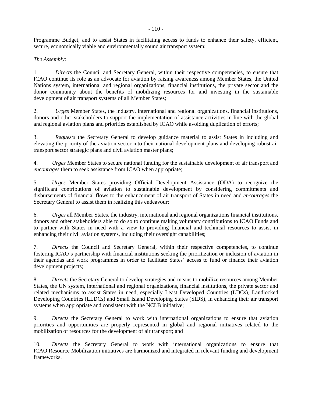Programme Budget, and to assist States in facilitating access to funds to enhance their safety, efficient, secure, economically viable and environmentally sound air transport system;

# *The Assembly:*

1. *Directs* the Council and Secretary General, within their respective competencies, to ensure that ICAO continue its role as an advocate for aviation by raising awareness among Member States, the United Nations system, international and regional organizations, financial institutions, the private sector and the donor community about the benefits of mobilizing resources for and investing in the sustainable development of air transport systems of all Member States;

2. *Urges* Member States, the industry, international and regional organizations, financial institutions, donors and other stakeholders to support the implementation of assistance activities in line with the global and regional aviation plans and priorities established by ICAO while avoiding duplication of efforts;

3. *Requests* the Secretary General to develop guidance material to assist States in including and elevating the priority of the aviation sector into their national development plans and developing robust air transport sector strategic plans and civil aviation master plans;

4. *Urges* Member States to secure national funding for the sustainable development of air transport and *encourages* them to seek assistance from ICAO when appropriate;

5. *Urges* Member States providing Official Development Assistance (ODA) to recognize the significant contributions of aviation to sustainable development by considering commitments and disbursements of financial flows to the enhancement of air transport of States in need and *encourages* the Secretary General to assist them in realizing this endeavour;

6. *Urges* all Member States, the industry, international and regional organizations financial institutions, donors and other stakeholders able to do so to continue making voluntary contributions to ICAO Funds and to partner with States in need with a view to providing financial and technical resources to assist in enhancing their civil aviation systems, including their oversight capabilities;

7. *Directs* the Council and Secretary General, within their respective competencies, to continue fostering ICAO's partnership with financial institutions seeking the prioritization or inclusion of aviation in their agendas and work programmes in order to facilitate States' access to fund or finance their aviation development projects;

8. *Directs* the Secretary General to develop strategies and means to mobilize resources among Member States, the UN system, international and regional organizations, financial institutions, the private sector and related mechanisms to assist States in need, especially Least Developed Countries (LDCs), Landlocked Developing Countries (LLDCs) and Small Island Developing States (SIDS), in enhancing their air transport systems when appropriate and consistent with the NCLB initiative;

9. *Directs* the Secretary General to work with international organizations to ensure that aviation priorities and opportunities are properly represented in global and regional initiatives related to the mobilization of resources for the development of air transport; and

10. *Directs* the Secretary General to work with international organizations to ensure that ICAO Resource Mobilization initiatives are harmonized and integrated in relevant funding and development frameworks.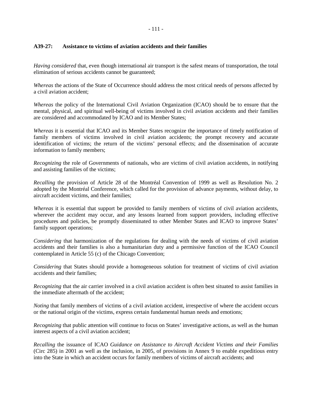#### - 111 -

## **A39-27: Assistance to victims of aviation accidents and their families**

*Having considered* that, even though international air transport is the safest means of transportation, the total elimination of serious accidents cannot be guaranteed;

*Whereas* the actions of the State of Occurrence should address the most critical needs of persons affected by a civil aviation accident;

*Whereas* the policy of the International Civil Aviation Organization (ICAO) should be to ensure that the mental, physical, and spiritual well-being of victims involved in civil aviation accidents and their families are considered and accommodated by ICAO and its Member States;

*Whereas* it is essential that ICAO and its Member States recognize the importance of timely notification of family members of victims involved in civil aviation accidents; the prompt recovery and accurate identification of victims; the return of the victims' personal effects; and the dissemination of accurate information to family members;

*Recognizing* the role of Governments of nationals, who are victims of civil aviation accidents, in notifying and assisting families of the victims;

*Recalling* the provision of Article 28 of the Montréal Convention of 1999 as well as Resolution No. 2 adopted by the Montréal Conference, which called for the provision of advance payments, without delay, to aircraft accident victims, and their families;

*Whereas* it is essential that support be provided to family members of victims of civil aviation accidents, wherever the accident may occur, and any lessons learned from support providers, including effective procedures and policies, be promptly disseminated to other Member States and ICAO to improve States' family support operations;

*Considering* that harmonization of the regulations for dealing with the needs of victims of civil aviation accidents and their families is also a humanitarian duty and a permissive function of the ICAO Council contemplated in Article 55 (c) of the Chicago Convention;

*Considering* that States should provide a homogeneous solution for treatment of victims of civil aviation accidents and their families;

*Recognizing* that the air carrier involved in a civil aviation accident is often best situated to assist families in the immediate aftermath of the accident;

*Noting* that family members of victims of a civil aviation accident, irrespective of where the accident occurs or the national origin of the victims, express certain fundamental human needs and emotions;

*Recognizing* that public attention will continue to focus on States' investigative actions, as well as the human interest aspects of a civil aviation accident;

*Recalling* the issuance of ICAO *Guidance on Assistance to Aircraft Accident Victims and their Families*  (Circ 285) in 2001 as well as the inclusion, in 2005, of provisions in Annex 9 to enable expeditious entry into the State in which an accident occurs for family members of victims of aircraft accidents; and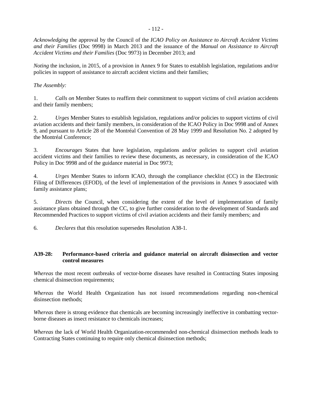*Acknowledging* the approval by the Council of the *ICAO Policy on Assistance to Aircraft Accident Victims and their Families* (Doc 9998) in March 2013 and the issuance of the *Manual on Assistance to Aircraft Accident Victims and their Families* (Doc 9973) in December 2013; and

*Noting* the inclusion, in 2015, of a provision in Annex 9 for States to establish legislation, regulations and/or policies in support of assistance to aircraft accident victims and their families;

# *The Assembly:*

1. *Calls on* Member States to reaffirm their commitment to support victims of civil aviation accidents and their family members;

2. *Urges* Member States to establish legislation, regulations and/or policies to support victims of civil aviation accidents and their family members, in consideration of the ICAO Policy in Doc 9998 and of Annex 9, and pursuant to Article 28 of the Montréal Convention of 28 May 1999 and Resolution No. 2 adopted by the Montréal Conference;

3. *Encourages* States that have legislation, regulations and/or policies to support civil aviation accident victims and their families to review these documents, as necessary, in consideration of the ICAO Policy in Doc 9998 and of the guidance material in Doc 9973;

4. *Urges* Member States to inform ICAO, through the compliance checklist (CC) in the Electronic Filing of Differences (EFOD), of the level of implementation of the provisions in Annex 9 associated with family assistance plans;

5. *Directs* the Council, when considering the extent of the level of implementation of family assistance plans obtained through the CC, to give further consideration to the development of Standards and Recommended Practices to support victims of civil aviation accidents and their family members; and

6. *Declares* that this resolution supersedes Resolution A38-1.

# **A39-28: Performance-based criteria and guidance material on aircraft disinsection and vector control measures**

*Whereas* the most recent outbreaks of vector-borne diseases have resulted in Contracting States imposing chemical disinsection requirements;

*Whereas* the World Health Organization has not issued recommendations regarding non-chemical disinsection methods;

*Whereas* there is strong evidence that chemicals are becoming increasingly ineffective in combatting vectorborne diseases as insect resistance to chemicals increases;

*Whereas* the lack of World Health Organization-recommended non-chemical disinsection methods leads to Contracting States continuing to require only chemical disinsection methods;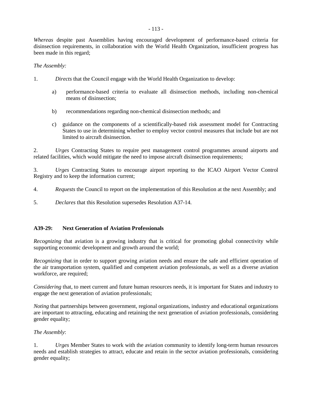*Whereas* despite past Assemblies having encouraged development of performance-based criteria for disinsection requirements, in collaboration with the World Health Organization, insufficient progress has been made in this regard;

## *The Assembly:*

- 1. *Directs* that the Council engage with the World Health Organization to develop:
	- a) performance-based criteria to evaluate all disinsection methods, including non-chemical means of disinsection;
	- b) recommendations regarding non-chemical disinsection methods; and
	- c) guidance on the components of a scientifically-based risk assessment model for Contracting States to use in determining whether to employ vector control measures that include but are not limited to aircraft disinsection.

2. *Urges* Contracting States to require pest management control programmes around airports and related facilities, which would mitigate the need to impose aircraft disinsection requirements;

3. *Urges* Contracting States to encourage airport reporting to the ICAO Airport Vector Control Registry and to keep the information current;

- 4. *Requests* the Council to report on the implementation of this Resolution at the next Assembly; and
- 5. *Declares* that this Resolution supersedes Resolution A37-14.

## **A39-29: Next Generation of Aviation Professionals**

*Recognizing* that aviation is a growing industry that is critical for promoting global connectivity while supporting economic development and growth around the world;

*Recognizing* that in order to support growing aviation needs and ensure the safe and efficient operation of the air transportation system, qualified and competent aviation professionals, as well as a diverse aviation workforce, are required;

*Considering* that, to meet current and future human resources needs, it is important for States and industry to engage the next generation of aviation professionals;

*Noting* that partnerships between government, regional organizations, industry and educational organizations are important to attracting, educating and retaining the next generation of aviation professionals, considering gender equality;

## *The Assembly*:

1. *Urges* Member States to work with the aviation community to identify long-term human resources needs and establish strategies to attract, educate and retain in the sector aviation professionals, considering gender equality;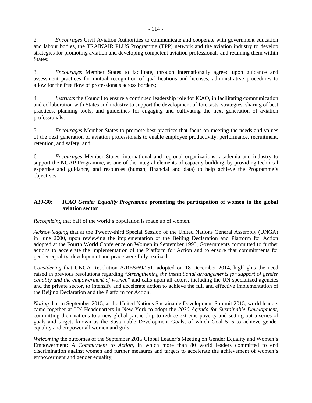2. *Encourages* Civil Aviation Authorities to communicate and cooperate with government education and labour bodies, the TRAINAIR PLUS Programme (TPP) network and the aviation industry to develop strategies for promoting aviation and developing competent aviation professionals and retaining them within States;

3. *Encourages* Member States to facilitate, through internationally agreed upon guidance and assessment practices for mutual recognition of qualifications and licenses, administrative procedures to allow for the free flow of professionals across borders;

4. *Instructs* the Council to ensure a continued leadership role for ICAO, in facilitating communication and collaboration with States and industry to support the development of forecasts, strategies, sharing of best practices, planning tools, and guidelines for engaging and cultivating the next generation of aviation professionals;

5. *Encourages* Member States to promote best practices that focus on meeting the needs and values of the next generation of aviation professionals to enable employee productivity, performance, recruitment, retention, and safety; and

6. *Encourages* Member States, international and regional organizations, academia and industry to support the NGAP Programme, as one of the integral elements of capacity building, by providing technical expertise and guidance, and resources (human, financial and data) to help achieve the Programme's objectives.

# **A39-30:** *ICAO Gender Equality Programme* **promoting the participation of women in the global aviation sector**

*Recognizing* that half of the world's population is made up of women.

*Acknowledging* that at the Twenty-third Special Session of the United Nations General Assembly (UNGA) in June 2000, upon reviewing the implementation of the Beijing Declaration and Platform for Action adopted at the Fourth World Conference on Women in September 1995, Governments committed to further actions to accelerate the implementation of the Platform for Action and to ensure that commitments for gender equality, development and peace were fully realized;

*Considering* that UNGA Resolution A/RES/69/151, adopted on 18 December 2014, highlights the need raised in previous resolutions regarding "*Strengthening the institutional arrangements for support of gender equality and the empowerment of women*" and calls upon all actors, including the UN specialized agencies and the private sector, to intensify and accelerate action to achieve the full and effective implementation of the Beijing Declaration and the Platform for Action;

*Noting* that in September 2015, at the United Nations Sustainable Development Summit 2015, world leaders came together at UN Headquarters in New York to adopt the *2030 Agenda for Sustainable Development*, committing their nations to a new global partnership to reduce extreme poverty and setting out a series of goals and targets known as the Sustainable Development Goals, of which Goal 5 is to achieve gender equality and empower all women and girls;

*Welcoming* the outcomes of the September 2015 Global Leader's Meeting on Gender Equality and Women's Empowerment: *A Commitment to Action*, in which more than 80 world leaders committed to end discrimination against women and further measures and targets to accelerate the achievement of women's empowerment and gender equality;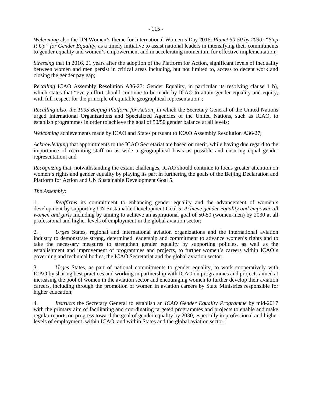*Welcoming* also the UN Women's theme for International Women's Day 2016: *Planet 50-50 by 2030: "Step It Up" for Gender Equality*, as a timely initiative to assist national leaders in intensifying their commitments to gender equality and women's empowerment and in accelerating momentum for effective implementation;

*Stressing* that in 2016, 21 years after the adoption of the Platform for Action, significant levels of inequality between women and men persist in critical areas including, but not limited to, access to decent work and closing the gender pay gap;

*Recalling* ICAO Assembly Resolution A36-27: Gender Equality, in particular its resolving clause 1 b), which states that "every effort should continue to be made by ICAO to attain gender equality and equity, with full respect for the principle of equitable geographical representation";

*Recalling also, the 1995 Beijing Platform for Action* in which the Secretary General of the United Nations urged International Organizations and Specialized Agencies of the United Nations, such as ICAO, to establish programmes in order to achieve the goal of 50/50 gender balance at all levels;

*Welcoming* achievements made by ICAO and States pursuant to ICAO Assembly Resolution A36-27;

*Acknowledging* that appointments to the ICAO Secretariat are based on merit, while having due regard to the importance of recruiting staff on as wide a geographical basis as possible and ensuring equal gender representation; and

*Recognizing* that, notwithstanding the extant challenges, ICAO should continue to focus greater attention on women's rights and gender equality by playing its part in furthering the goals of the Beijing Declaration and Platform for Action and UN Sustainable Development Goal 5.

## *The Assembly:*

1. *Reaffirms* its commitment to enhancing gender equality and the advancement of women's development by supporting UN Sustainable Development Goal 5: *Achieve gender equality and empower all women and girls* including by aiming to achieve an aspirational goal of 50-50 (women-men) by 2030 at all professional and higher levels of employment in the global aviation sector;

2. *Urges* States, regional and international aviation organizations and the international aviation industry to demonstrate strong, determined leadership and commitment to advance women's rights and to take the necessary measures to strengthen gender equality by supporting policies, as well as the establishment and improvement of programmes and projects, to further women's careers within ICAO's governing and technical bodies, the ICAO Secretariat and the global aviation sector;

3. *Urges* States, as part of national commitments to gender equality, to work cooperatively with ICAO by sharing best practices and working in partnership with ICAO on programmes and projects aimed at increasing the pool of women in the aviation sector and encouraging women to further develop their aviation careers, including through the promotion of women in aviation careers by State Ministries responsible for higher education;

4. *Instructs* the Secretary General to establish an *ICAO Gender Equality Programme* by mid-2017 with the primary aim of facilitating and coordinating targeted programmes and projects to enable and make regular reports on progress toward the goal of gender equality by 2030, especially in professional and higher levels of employment, within ICAO, and within States and the global aviation sector;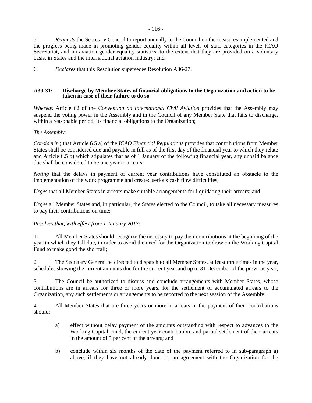6. *Declares* that this Resolution supersedes Resolution A36-27.

#### **A39-31: Discharge by Member States of financial obligations to the Organization and action to be taken in case of their failure to do so**

*Whereas* Article 62 of the *Convention on International Civil Aviation* provides that the Assembly may suspend the voting power in the Assembly and in the Council of any Member State that fails to discharge, within a reasonable period, its financial obligations to the Organization;

# *The Assembly:*

*Considering* that Article 6.5 a) of the *ICAO Financial Regulations* provides that contributions from Member States shall be considered due and payable in full as of the first day of the financial year to which they relate and Article 6.5 b) which stipulates that as of 1 January of the following financial year, any unpaid balance due shall be considered to be one year in arrears;

*Noting* that the delays in payment of current year contributions have constituted an obstacle to the implementation of the work programme and created serious cash flow difficulties;

*Urges* that all Member States in arrears make suitable arrangements for liquidating their arrears; and

*Urges* all Member States and, in particular, the States elected to the Council, to take all necessary measures to pay their contributions on time;

# *Resolves that, with effect from 1 January 2017:*

1. All Member States should recognize the necessity to pay their contributions at the beginning of the year in which they fall due, in order to avoid the need for the Organization to draw on the Working Capital Fund to make good the shortfall;

2. The Secretary General be directed to dispatch to all Member States, at least three times in the year, schedules showing the current amounts due for the current year and up to 31 December of the previous year;

3. The Council be authorized to discuss and conclude arrangements with Member States, whose contributions are in arrears for three or more years, for the settlement of accumulated arrears to the Organization, any such settlements or arrangements to be reported to the next session of the Assembly;

4. All Member States that are three years or more in arrears in the payment of their contributions should:

- a) effect without delay payment of the amounts outstanding with respect to advances to the Working Capital Fund, the current year contribution, and partial settlement of their arrears in the amount of 5 per cent of the arrears; and
- b) conclude within six months of the date of the payment referred to in sub-paragraph a) above, if they have not already done so, an agreement with the Organization for the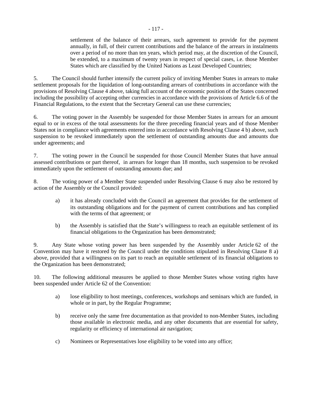settlement of the balance of their arrears, such agreement to provide for the payment annually, in full, of their current contributions and the balance of the arrears in instalments over a period of no more than ten years, which period may, at the discretion of the Council, be extended, to a maximum of twenty years in respect of special cases, i.e. those Member States which are classified by the United Nations as Least Developed Countries;

5. The Council should further intensify the current policy of inviting Member States in arrears to make settlement proposals for the liquidation of long-outstanding arrears of contributions in accordance with the provisions of Resolving Clause 4 above, taking full account of the economic position of the States concerned including the possibility of accepting other currencies in accordance with the provisions of Article 6.6 of the Financial Regulations, to the extent that the Secretary General can use these currencies;

6. The voting power in the Assembly be suspended for those Member States in arrears for an amount equal to or in excess of the total assessments for the three preceding financial years and of those Member States not in compliance with agreements entered into in accordance with Resolving Clause 4 b) above, such suspension to be revoked immediately upon the settlement of outstanding amounts due and amounts due under agreements; and

7. The voting power in the Council be suspended for those Council Member States that have annual assessed contributions or part thereof, in arrears for longer than 18 months, such suspension to be revoked immediately upon the settlement of outstanding amounts due; and

8. The voting power of a Member State suspended under Resolving Clause 6 may also be restored by action of the Assembly or the Council provided:

- a) it has already concluded with the Council an agreement that provides for the settlement of its outstanding obligations and for the payment of current contributions and has complied with the terms of that agreement; or
- b) the Assembly is satisfied that the State's willingness to reach an equitable settlement of its financial obligations to the Organization has been demonstrated;

9. Any State whose voting power has been suspended by the Assembly under Article 62 of the Convention may have it restored by the Council under the conditions stipulated in Resolving Clause 8 a) above, provided that a willingness on its part to reach an equitable settlement of its financial obligations to the Organization has been demonstrated;

10. The following additional measures be applied to those Member States whose voting rights have been suspended under Article 62 of the Convention:

- a) lose eligibility to host meetings, conferences, workshops and seminars which are funded, in whole or in part, by the Regular Programme;
- b) receive only the same free documentation as that provided to non-Member States, including those available in electronic media, and any other documents that are essential for safety, regularity or efficiency of international air navigation;
- c) Nominees or Representatives lose eligibility to be voted into any office;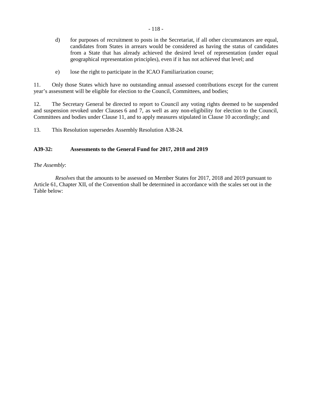- d) for purposes of recruitment to posts in the Secretariat, if all other circumstances are equal, candidates from States in arrears would be considered as having the status of candidates from a State that has already achieved the desired level of representation (under equal geographical representation principles), even if it has not achieved that level; and
- e) lose the right to participate in the ICAO Familiarization course;

11. Only those States which have no outstanding annual assessed contributions except for the current year's assessment will be eligible for election to the Council, Committees, and bodies;

12. The Secretary General be directed to report to Council any voting rights deemed to be suspended and suspension revoked under Clauses 6 and 7, as well as any non-eligibility for election to the Council, Committees and bodies under Clause 11, and to apply measures stipulated in Clause 10 accordingly; and

13. This Resolution supersedes Assembly Resolution A38-24.

## **A39-32: Assessments to the General Fund for 2017, 2018 and 2019**

## *The Assembly*:

 *Resolves* that the amounts to be assessed on Member States for 2017, 2018 and 2019 pursuant to Article 61, Chapter XII, of the Convention shall be determined in accordance with the scales set out in the Table below: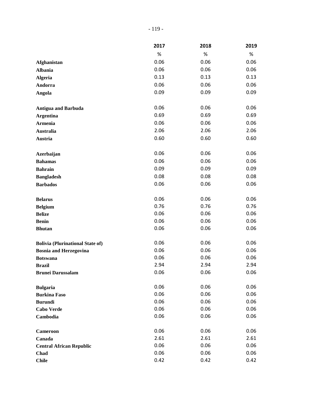|                                         | 2017 | 2018 | 2019 |
|-----------------------------------------|------|------|------|
|                                         | $\%$ | $\%$ | %    |
| <b>Afghanistan</b>                      | 0.06 | 0.06 | 0.06 |
| <b>Albania</b>                          | 0.06 | 0.06 | 0.06 |
| <b>Algeria</b>                          | 0.13 | 0.13 | 0.13 |
| Andorra                                 | 0.06 | 0.06 | 0.06 |
| Angola                                  | 0.09 | 0.09 | 0.09 |
| <b>Antigua and Barbuda</b>              | 0.06 | 0.06 | 0.06 |
| <b>Argentina</b>                        | 0.69 | 0.69 | 0.69 |
| <b>Armenia</b>                          | 0.06 | 0.06 | 0.06 |
| <b>Australia</b>                        | 2.06 | 2.06 | 2.06 |
| Austria                                 | 0.60 | 0.60 | 0.60 |
|                                         |      |      |      |
| Azerbaijan                              | 0.06 | 0.06 | 0.06 |
| <b>Bahamas</b>                          | 0.06 | 0.06 | 0.06 |
| <b>Bahrain</b>                          | 0.09 | 0.09 | 0.09 |
| <b>Bangladesh</b>                       | 0.08 | 0.08 | 0.08 |
| <b>Barbados</b>                         | 0.06 | 0.06 | 0.06 |
| <b>Belarus</b>                          | 0.06 | 0.06 | 0.06 |
| <b>Belgium</b>                          | 0.76 | 0.76 | 0.76 |
| <b>Belize</b>                           | 0.06 | 0.06 | 0.06 |
| <b>Benin</b>                            | 0.06 | 0.06 | 0.06 |
| <b>Bhutan</b>                           | 0.06 | 0.06 | 0.06 |
| <b>Bolivia (Plurinational State of)</b> | 0.06 | 0.06 | 0.06 |
| <b>Bosnia and Herzegovina</b>           | 0.06 | 0.06 | 0.06 |
| <b>Botswana</b>                         | 0.06 | 0.06 | 0.06 |
| <b>Brazil</b>                           | 2.94 | 2.94 | 2.94 |
| <b>Brunei Darussalam</b>                | 0.06 | 0.06 | 0.06 |
| <b>Bulgaria</b>                         | 0.06 | 0.06 | 0.06 |
| <b>Burkina Faso</b>                     | 0.06 | 0.06 | 0.06 |
| <b>Burundi</b>                          | 0.06 | 0.06 | 0.06 |
| <b>Cabo Verde</b>                       | 0.06 | 0.06 | 0.06 |
| Cambodia                                | 0.06 | 0.06 | 0.06 |
| <b>Cameroon</b>                         | 0.06 | 0.06 | 0.06 |
| Canada                                  | 2.61 | 2.61 | 2.61 |
| <b>Central African Republic</b>         | 0.06 | 0.06 | 0.06 |
| Chad                                    | 0.06 | 0.06 | 0.06 |
| <b>Chile</b>                            | 0.42 | 0.42 | 0.42 |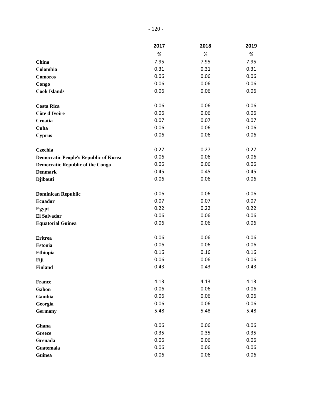|                                              | 2017 | 2018 | 2019 |
|----------------------------------------------|------|------|------|
|                                              | %    | $\%$ | %    |
| China                                        | 7.95 | 7.95 | 7.95 |
| Colombia                                     | 0.31 | 0.31 | 0.31 |
| <b>Comoros</b>                               | 0.06 | 0.06 | 0.06 |
| Congo                                        | 0.06 | 0.06 | 0.06 |
| <b>Cook Islands</b>                          | 0.06 | 0.06 | 0.06 |
| <b>Costa Rica</b>                            | 0.06 | 0.06 | 0.06 |
| Côte d'Ivoire                                | 0.06 | 0.06 | 0.06 |
| Croatia                                      | 0.07 | 0.07 | 0.07 |
| Cuba                                         | 0.06 | 0.06 | 0.06 |
| <b>Cyprus</b>                                | 0.06 | 0.06 | 0.06 |
| Czechia                                      | 0.27 | 0.27 | 0.27 |
| <b>Democratic People's Republic of Korea</b> | 0.06 | 0.06 | 0.06 |
| <b>Democratic Republic of the Congo</b>      | 0.06 | 0.06 | 0.06 |
| <b>Denmark</b>                               | 0.45 | 0.45 | 0.45 |
| <b>Djibouti</b>                              | 0.06 | 0.06 | 0.06 |
| <b>Dominican Republic</b>                    | 0.06 | 0.06 | 0.06 |
| <b>Ecuador</b>                               | 0.07 | 0.07 | 0.07 |
| Egypt                                        | 0.22 | 0.22 | 0.22 |
| <b>El Salvador</b>                           | 0.06 | 0.06 | 0.06 |
| <b>Equatorial Guinea</b>                     | 0.06 | 0.06 | 0.06 |
| <b>Eritrea</b>                               | 0.06 | 0.06 | 0.06 |
| <b>Estonia</b>                               | 0.06 | 0.06 | 0.06 |
| <b>Ethiopia</b>                              | 0.16 | 0.16 | 0.16 |
| Fiji                                         | 0.06 | 0.06 | 0.06 |
| <b>Finland</b>                               | 0.43 | 0.43 | 0.43 |
| <b>France</b>                                | 4.13 | 4.13 | 4.13 |
| Gabon                                        | 0.06 | 0.06 | 0.06 |
| Gambia                                       | 0.06 | 0.06 | 0.06 |
| Georgia                                      | 0.06 | 0.06 | 0.06 |
| <b>Germany</b>                               | 5.48 | 5.48 | 5.48 |
| Ghana                                        | 0.06 | 0.06 | 0.06 |
| <b>Greece</b>                                | 0.35 | 0.35 | 0.35 |
| Grenada                                      | 0.06 | 0.06 | 0.06 |
| Guatemala                                    | 0.06 | 0.06 | 0.06 |
| Guinea                                       | 0.06 | 0.06 | 0.06 |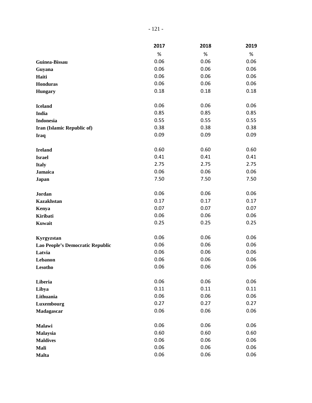|                                  | 2017 | 2018 | 2019 |
|----------------------------------|------|------|------|
|                                  | $\%$ | $\%$ | %    |
| Guinea-Bissau                    | 0.06 | 0.06 | 0.06 |
| Guyana                           | 0.06 | 0.06 | 0.06 |
| Haiti                            | 0.06 | 0.06 | 0.06 |
| Honduras                         | 0.06 | 0.06 | 0.06 |
| <b>Hungary</b>                   | 0.18 | 0.18 | 0.18 |
| <b>Iceland</b>                   | 0.06 | 0.06 | 0.06 |
| India                            | 0.85 | 0.85 | 0.85 |
| <b>Indonesia</b>                 | 0.55 | 0.55 | 0.55 |
| Iran (Islamic Republic of)       | 0.38 | 0.38 | 0.38 |
| <b>Iraq</b>                      | 0.09 | 0.09 | 0.09 |
| <b>Ireland</b>                   | 0.60 | 0.60 | 0.60 |
| <b>Israel</b>                    | 0.41 | 0.41 | 0.41 |
| <b>Italy</b>                     | 2.75 | 2.75 | 2.75 |
| <b>Jamaica</b>                   | 0.06 | 0.06 | 0.06 |
| Japan                            | 7.50 | 7.50 | 7.50 |
| Jordan                           | 0.06 | 0.06 | 0.06 |
| <b>Kazakhstan</b>                | 0.17 | 0.17 | 0.17 |
| Kenya                            | 0.07 | 0.07 | 0.07 |
| Kiribati                         | 0.06 | 0.06 | 0.06 |
| Kuwait                           | 0.25 | 0.25 | 0.25 |
| Kyrgyzstan                       | 0.06 | 0.06 | 0.06 |
| Lao People's Democratic Republic | 0.06 | 0.06 | 0.06 |
| Latvia                           | 0.06 | 0.06 | 0.06 |
| Lebanon                          | 0.06 | 0.06 | 0.06 |
| Lesotho                          | 0.06 | 0.06 | 0.06 |
| Liberia                          | 0.06 | 0.06 | 0.06 |
| Libya                            | 0.11 | 0.11 | 0.11 |
| Lithuania                        | 0.06 | 0.06 | 0.06 |
| Luxembourg                       | 0.27 | 0.27 | 0.27 |
| Madagascar                       | 0.06 | 0.06 | 0.06 |
| Malawi                           | 0.06 | 0.06 | 0.06 |
| Malaysia                         | 0.60 | 0.60 | 0.60 |
| <b>Maldives</b>                  | 0.06 | 0.06 | 0.06 |
| Mali                             | 0.06 | 0.06 | 0.06 |
| <b>Malta</b>                     | 0.06 | 0.06 | 0.06 |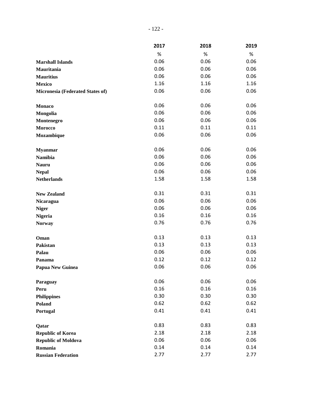|                                  | 2017 | 2018 | 2019 |
|----------------------------------|------|------|------|
|                                  | $\%$ | $\%$ | $\%$ |
| <b>Marshall Islands</b>          | 0.06 | 0.06 | 0.06 |
| Mauritania                       | 0.06 | 0.06 | 0.06 |
| <b>Mauritius</b>                 | 0.06 | 0.06 | 0.06 |
| <b>Mexico</b>                    | 1.16 | 1.16 | 1.16 |
| Micronesia (Federated States of) | 0.06 | 0.06 | 0.06 |
| <b>Monaco</b>                    | 0.06 | 0.06 | 0.06 |
| Mongolia                         | 0.06 | 0.06 | 0.06 |
| Montenegro                       | 0.06 | 0.06 | 0.06 |
| Morocco                          | 0.11 | 0.11 | 0.11 |
| Mozambique                       | 0.06 | 0.06 | 0.06 |
| <b>Myanmar</b>                   | 0.06 | 0.06 | 0.06 |
| <b>Namibia</b>                   | 0.06 | 0.06 | 0.06 |
| <b>Nauru</b>                     | 0.06 | 0.06 | 0.06 |
| <b>Nepal</b>                     | 0.06 | 0.06 | 0.06 |
| <b>Netherlands</b>               | 1.58 | 1.58 | 1.58 |
| <b>New Zealand</b>               | 0.31 | 0.31 | 0.31 |
| <b>Nicaragua</b>                 | 0.06 | 0.06 | 0.06 |
| <b>Niger</b>                     | 0.06 | 0.06 | 0.06 |
| <b>Nigeria</b>                   | 0.16 | 0.16 | 0.16 |
| <b>Norway</b>                    | 0.76 | 0.76 | 0.76 |
| Oman                             | 0.13 | 0.13 | 0.13 |
| Pakistan                         | 0.13 | 0.13 | 0.13 |
| Palau                            | 0.06 | 0.06 | 0.06 |
| Panama                           | 0.12 | 0.12 | 0.12 |
| <b>Papua New Guinea</b>          | 0.06 | 0.06 | 0.06 |
| Paraguay                         | 0.06 | 0.06 | 0.06 |
| Peru                             | 0.16 | 0.16 | 0.16 |
| <b>Philippines</b>               | 0.30 | 0.30 | 0.30 |
| <b>Poland</b>                    | 0.62 | 0.62 | 0.62 |
| Portugal                         | 0.41 | 0.41 | 0.41 |
| Qatar                            | 0.83 | 0.83 | 0.83 |
| <b>Republic of Korea</b>         | 2.18 | 2.18 | 2.18 |
| <b>Republic of Moldova</b>       | 0.06 | 0.06 | 0.06 |
| Romania                          | 0.14 | 0.14 | 0.14 |
| <b>Russian Federation</b>        | 2.77 | 2.77 | 2.77 |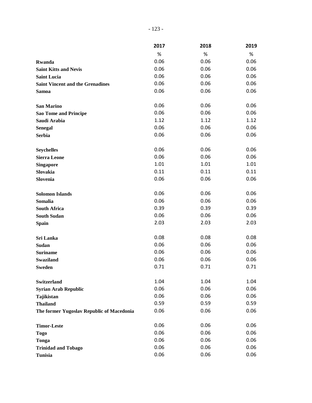|                                           | 2017 | 2018 | 2019 |
|-------------------------------------------|------|------|------|
|                                           | $\%$ | %    | %    |
| Rwanda                                    | 0.06 | 0.06 | 0.06 |
| <b>Saint Kitts and Nevis</b>              | 0.06 | 0.06 | 0.06 |
| <b>Saint Lucia</b>                        | 0.06 | 0.06 | 0.06 |
| <b>Saint Vincent and the Grenadines</b>   | 0.06 | 0.06 | 0.06 |
| <b>Samoa</b>                              | 0.06 | 0.06 | 0.06 |
| <b>San Marino</b>                         | 0.06 | 0.06 | 0.06 |
| <b>Sao Tome and Principe</b>              | 0.06 | 0.06 | 0.06 |
| Saudi Arabia                              | 1.12 | 1.12 | 1.12 |
| <b>Senegal</b>                            | 0.06 | 0.06 | 0.06 |
| <b>Serbia</b>                             | 0.06 | 0.06 | 0.06 |
| <b>Seychelles</b>                         | 0.06 | 0.06 | 0.06 |
| <b>Sierra Leone</b>                       | 0.06 | 0.06 | 0.06 |
| <b>Singapore</b>                          | 1.01 | 1.01 | 1.01 |
| Slovakia                                  | 0.11 | 0.11 | 0.11 |
| Slovenia                                  | 0.06 | 0.06 | 0.06 |
| <b>Solomon Islands</b>                    | 0.06 | 0.06 | 0.06 |
| Somalia                                   | 0.06 | 0.06 | 0.06 |
| <b>South Africa</b>                       | 0.39 | 0.39 | 0.39 |
| <b>South Sudan</b>                        | 0.06 | 0.06 | 0.06 |
| <b>Spain</b>                              | 2.03 | 2.03 | 2.03 |
| Sri Lanka                                 | 0.08 | 0.08 | 0.08 |
| Sudan                                     | 0.06 | 0.06 | 0.06 |
| <b>Suriname</b>                           | 0.06 | 0.06 | 0.06 |
| <b>Swaziland</b>                          | 0.06 | 0.06 | 0.06 |
| <b>Sweden</b>                             | 0.71 | 0.71 | 0.71 |
| <b>Switzerland</b>                        | 1.04 | 1.04 | 1.04 |
| <b>Syrian Arab Republic</b>               | 0.06 | 0.06 | 0.06 |
| Tajikistan                                | 0.06 | 0.06 | 0.06 |
| <b>Thailand</b>                           | 0.59 | 0.59 | 0.59 |
| The former Yugoslav Republic of Macedonia | 0.06 | 0.06 | 0.06 |
| <b>Timor-Leste</b>                        | 0.06 | 0.06 | 0.06 |
| <b>Togo</b>                               | 0.06 | 0.06 | 0.06 |
| Tonga                                     | 0.06 | 0.06 | 0.06 |
| <b>Trinidad and Tobago</b>                | 0.06 | 0.06 | 0.06 |
| <b>Tunisia</b>                            | 0.06 | 0.06 | 0.06 |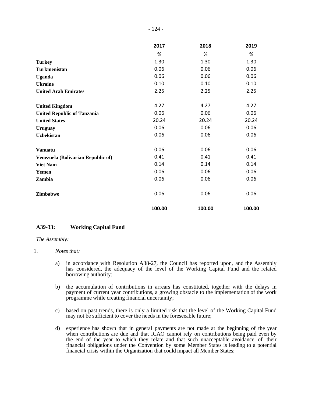|                                    | 2017   | 2018   | 2019   |
|------------------------------------|--------|--------|--------|
|                                    | %      | %      | %      |
| <b>Turkey</b>                      | 1.30   | 1.30   | 1.30   |
| Turkmenistan                       | 0.06   | 0.06   | 0.06   |
| <b>Uganda</b>                      | 0.06   | 0.06   | 0.06   |
| <b>Ukraine</b>                     | 0.10   | 0.10   | 0.10   |
| <b>United Arab Emirates</b>        | 2.25   | 2.25   | 2.25   |
| <b>United Kingdom</b>              | 4.27   | 4.27   | 4.27   |
| <b>United Republic of Tanzania</b> | 0.06   | 0.06   | 0.06   |
| <b>United States</b>               | 20.24  | 20.24  | 20.24  |
| <b>Uruguay</b>                     | 0.06   | 0.06   | 0.06   |
| <b>Uzbekistan</b>                  | 0.06   | 0.06   | 0.06   |
| <b>Vanuatu</b>                     | 0.06   | 0.06   | 0.06   |
| Venezuela (Bolivarian Republic of) | 0.41   | 0.41   | 0.41   |
| <b>Viet Nam</b>                    | 0.14   | 0.14   | 0.14   |
| Yemen                              | 0.06   | 0.06   | 0.06   |
| Zambia                             | 0.06   | 0.06   | 0.06   |
| Zimbabwe                           | 0.06   | 0.06   | 0.06   |
|                                    | 100.00 | 100.00 | 100.00 |

#### **A39-33: Working Capital Fund**

#### *The Assembly:*

#### 1. *Notes that:*

- a) in accordance with Resolution A38-27, the Council has reported upon, and the Assembly has considered, the adequacy of the level of the Working Capital Fund and the related borrowing authority;
- b) the accumulation of contributions in arrears has constituted, together with the delays in payment of current year contributions, a growing obstacle to the implementation of the work programme while creating financial uncertainty;
- c) based on past trends, there is only a limited risk that the level of the Working Capital Fund may not be sufficient to cover the needs in the foreseeable future;
- d) experience has shown that in general payments are not made at the beginning of the year when contributions are due and that ICAO cannot rely on contributions being paid even by the end of the year to which they relate and that such unacceptable avoidance of their financial obligations under the Convention by some Member States is leading to a potential financial crisis within the Organization that could impact all Member States;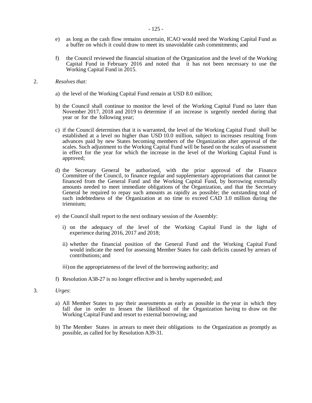- e) as long as the cash flow remains uncertain, ICAO would need the Working Capital Fund as a buffer on which it could draw to meet its unavoidable cash commitments; and
- f) the Council reviewed the financial situation of the Organization and the level of the Working Capital Fund in February 2016 and noted that it has not been necessary to use the Working Capital Fund in 2015.

#### 2. *Resolves that:*

- a) the level of the Working Capital Fund remain at USD 8.0 million;
- b) the Council shall continue to monitor the level of the Working Capital Fund no later than November 2017, 2018 and 2019 to determine if an increase is urgently needed during that year or for the following year;
- c) if the Council determines that it is warranted, the level of the Working Capital Fund shall be established at a level no higher than USD 10.0 million, subject to increases resulting from advances paid by new States becoming members of the Organization after approval of the scales. Such adjustment to the Working Capital Fund will be based on the scales of assessment in effect for the year for which the increase in the level of the Working Capital Fund is approved;
- d) the Secretary General be authorized, with the prior approval of the Finance Committee of the Council, to finance regular and supplementary appropriations that cannot be financed from the General Fund and the Working Capital Fund, by borrowing externally amounts needed to meet immediate obligations of the Organization, and that the Secretary General be required to repay such amounts as rapidly as possible; the outstanding total of such indebtedness of the Organization at no time to exceed CAD 3.0 million during the triennium;
- e) the Council shall report to the next ordinary session of the Assembly:
	- i) on the adequacy of the level of the Working Capital Fund in the light of experience during 2016, 2017 and 2018;
	- ii) whether the financial position of the General Fund and the Working Capital Fund would indicate the need for assessing Member States for cash deficits caused by arrears of contributions; and
	- iii) on the appropriateness of the level of the borrowing authority; and
- f) Resolution A38-27 is no longer effective and is hereby superseded; and
- 3*. Urges*:
	- a) All Member States to pay their assessments as early as possible in the year in which they fall due in order to lessen the likelihood of the Organization having to draw on the Working Capital Fund and resort to external borrowing; and
	- b) The Member States in arrears to meet their obligations to the Organization as promptly as possible, as called for by Resolution A39-31.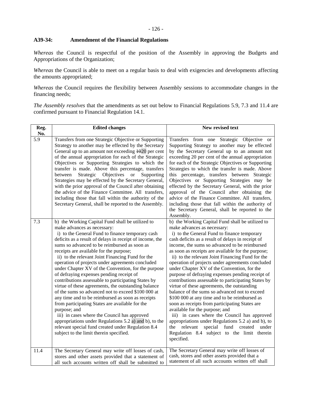# **A39-34: Amendment of the Financial Regulations**

*Whereas* the Council is respectful of the position of the Assembly in approving the Budgets and Appropriations of the Organization;

*Whereas* the Council is able to meet on a regular basis to deal with exigencies and developments affecting the amounts appropriated;

*Whereas* the Council requires the flexibility between Assembly sessions to accommodate changes in the financing needs;

*The Assembly resolves* that the amendments as set out below to Financial Regulations 5.9, 7.3 and 11.4 are confirmed pursuant to Financial Regulation 14.1.

| Reg.<br>No.      | <b>Edited changes</b>                                                                                                                                                                                                                                                                                                                                                                                                                                                                                                                                                                                                                                                                                                                                                                                                                                                                                                                                                                                        | New revised text                                                                                                                                                                                                                                                                                                                                                                                                                                                                                                                                                                                                                                                                                                                                                                                                                                                                                                                                                                                                      |
|------------------|--------------------------------------------------------------------------------------------------------------------------------------------------------------------------------------------------------------------------------------------------------------------------------------------------------------------------------------------------------------------------------------------------------------------------------------------------------------------------------------------------------------------------------------------------------------------------------------------------------------------------------------------------------------------------------------------------------------------------------------------------------------------------------------------------------------------------------------------------------------------------------------------------------------------------------------------------------------------------------------------------------------|-----------------------------------------------------------------------------------------------------------------------------------------------------------------------------------------------------------------------------------------------------------------------------------------------------------------------------------------------------------------------------------------------------------------------------------------------------------------------------------------------------------------------------------------------------------------------------------------------------------------------------------------------------------------------------------------------------------------------------------------------------------------------------------------------------------------------------------------------------------------------------------------------------------------------------------------------------------------------------------------------------------------------|
| $\overline{5.9}$ | Transfers from one Strategic Objective or Supporting<br>Strategy to another may be effected by the Secretary<br>General up to an amount not exceeding 4020 per cent<br>of the annual appropriation for each of the Strategic<br>Objectives or Supporting Strategies to which the<br>transfer is made. Above this percentage, transfers<br>Strategic Objectives<br>$\alpha$<br>between<br>Supporting<br>Strategies may be effected by the Secretary General,<br>with the prior approval of the Council after obtaining<br>the advice of the Finance Committee. All transfers,<br>including those that fall within the authority of the<br>Secretary General, shall be reported to the Assembly.                                                                                                                                                                                                                                                                                                               | Transfers from one Strategic Objective or<br>Supporting Strategy to another may be effected<br>by the Secretary General up to an amount not<br>exceeding 20 per cent of the annual appropriation<br>for each of the Strategic Objectives or Supporting<br>Strategies to which the transfer is made. Above<br>this percentage, transfers between Strategic<br>Objectives or Supporting Strategies may be<br>effected by the Secretary General, with the prior<br>approval of the Council after obtaining the<br>advice of the Finance Committee. All transfers,<br>including those that fall within the authority of<br>the Secretary General, shall be reported to the<br>Assembly.                                                                                                                                                                                                                                                                                                                                   |
| 7.3              | b) the Working Capital Fund shall be utilized to<br>make advances as necessary:<br>i) to the General Fund to finance temporary cash<br>deficits as a result of delays in receipt of income, the<br>sums so advanced to be reimbursed as soon as<br>receipts are available for the purpose;<br>ii) to the relevant Joint Financing Fund for the<br>operation of projects under agreements concluded<br>under Chapter XV of the Convention, for the purpose<br>of defraying expenses pending receipt of<br>contributions assessable to participating States by<br>virtue of these agreements, the outstanding balance<br>of the sums so advanced not to exceed \$100 000 at<br>any time and to be reimbursed as soon as receipts<br>from participating States are available for the<br>purpose; and<br>iii) in cases where the Council has approved<br>appropriations under Regulations 5.2 a) and b), to the<br>relevant special fund created under Regulation 8.4<br>subject to the limit therein specified. | b) the Working Capital Fund shall be utilized to<br>make advances as necessary:<br>i) to the General Fund to finance temporary<br>cash deficits as a result of delays in receipt of<br>income, the sums so advanced to be reimbursed<br>as soon as receipts are available for the purpose;<br>ii) to the relevant Joint Financing Fund for the<br>operation of projects under agreements concluded<br>under Chapter XV of the Convention, for the<br>purpose of defraying expenses pending receipt of<br>contributions assessable to participating States by<br>virtue of these agreements, the outstanding<br>balance of the sums so advanced not to exceed<br>\$100 000 at any time and to be reimbursed as<br>soon as receipts from participating States are<br>available for the purpose; and<br>iii) in cases where the Council has approved<br>appropriations under Regulations 5.2 a) and b), to<br>the relevant<br>special fund created<br>under<br>Regulation 8.4 subject to the limit therein<br>specified. |
| 11.4             | The Secretary General may write off losses of cash,<br>stores and other assets provided that a statement of<br>all such accounts written off shall be submitted to                                                                                                                                                                                                                                                                                                                                                                                                                                                                                                                                                                                                                                                                                                                                                                                                                                           | The Secretary General may write off losses of<br>cash, stores and other assets provided that a<br>statement of all such accounts written off shall                                                                                                                                                                                                                                                                                                                                                                                                                                                                                                                                                                                                                                                                                                                                                                                                                                                                    |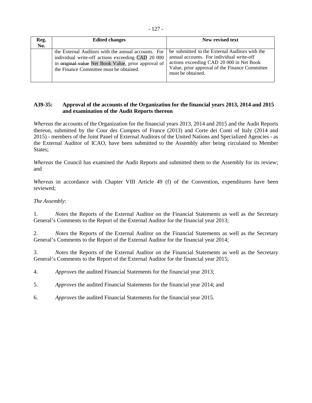| Reg.<br>No. | <b>Edited changes</b>                                                                                                                                                                                      | New revised text                                                                                                                                                                                               |
|-------------|------------------------------------------------------------------------------------------------------------------------------------------------------------------------------------------------------------|----------------------------------------------------------------------------------------------------------------------------------------------------------------------------------------------------------------|
|             | the External Auditors with the annual accounts. For<br>individual write-off actions exceeding CAD 20 000<br>in original value Net Book Value, prior approval of<br>the Finance Committee must be obtained. | be submitted to the External Auditors with the<br>annual accounts. For individual write-off<br>actions exceeding CAD 20 000 in Net Book<br>Value, prior approval of the Finance Committee<br>must be obtained. |

# **A39-35: Approval of the accounts of the Organization for the financial years 2013, 2014 and 2015 and examination of the Audit Reports thereon**

*Whereas* the accounts of the Organization for the financial years 2013, 2014 and 2015 and the Audit Reports thereon, submitted by the Cour des Comptes of France (2013) and Corte dei Conti of Italy (2014 and 2015) - members of the Joint Panel of External Auditors of the United Nations and Specialized Agencies - as the External Auditor of ICAO, have been submitted to the Assembly after being circulated to Member States;

*Whereas* the Council has examined the Audit Reports and submitted them to the Assembly for its review; and

*Whereas* in accordance with Chapter VIII Article 49 (f) of the Convention, expenditures have been reviewed;

# *The Assembly*:

1. *Notes* the Reports of the External Auditor on the Financial Statements as well as the Secretary General's Comments to the Report of the External Auditor for the financial year 2013;

2. *Notes* the Reports of the External Auditor on the Financial Statements as well as the Secretary General's Comments to the Report of the External Auditor for the financial year 2014;

3. *Notes* the Reports of the External Auditor on the Financial Statements as well as the Secretary General's Comments to the Report of the External Auditor for the financial year 2015;

4. *Approves* the audited Financial Statements for the financial year 2013;

- 5. *Approves* the audited Financial Statements for the financial year 2014; and
- 6. *Approves* the audited Financial Statements for the financial year 2015.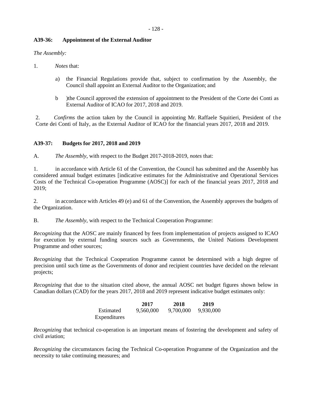# **A39-36: Appointment of the External Auditor**

*The Assembly:*

- 1. *Notes* that:
	- a) the Financial Regulations provide that, subject to confirmation by the Assembly, the Council shall appoint an External Auditor to the Organization; and
	- b )the Council approved the extension of appointment to the President of the Corte dei Conti as External Auditor of ICAO for 2017, 2018 and 2019.

2. *Confirms* the action taken by the Council in appointing Mr. Raffaele Squitieri, President of the Corte dei Conti of Italy, as the External Auditor of ICAO for the financial years 2017, 2018 and 2019.

# **A39-37: Budgets for 2017, 2018 and 2019**

A. *The Assembly*, with respect to the Budget 2017-2018-2019, *notes* that:

1. in accordance with Article 61 of the Convention, the Council has submitted and the Assembly has considered annual budget estimates [indicative estimates for the Administrative and Operational Services Costs of the Technical Co-operation Programme (AOSC)] for each of the financial years 2017, 2018 and 2019;

2. in accordance with Articles 49 (e) and 61 of the Convention, the Assembly approves the budgets of the Organization.

B. *The Assembly*, with respect to the Technical Cooperation Programme:

*Recognizing* that the AOSC are mainly financed by fees from implementation of projects assigned to ICAO for execution by external funding sources such as Governments, the United Nations Development Programme and other sources;

*Recognizing* that the Technical Cooperation Programme cannot be determined with a high degree of precision until such time as the Governments of donor and recipient countries have decided on the relevant projects;

*Recognizing* that due to the situation cited above, the annual AOSC net budget figures shown below in Canadian dollars (CAD) for the years 2017, 2018 and 2019 represent indicative budget estimates only:

|              | 2017      | 2018      | 2019      |
|--------------|-----------|-----------|-----------|
| Estimated    | 9.560,000 | 9.700.000 | 9,930,000 |
| Expenditures |           |           |           |

*Recognizing* that technical co-operation is an important means of fostering the development and safety of civil aviation;

*Recognizing* the circumstances facing the Technical Co-operation Programme of the Organization and the necessity to take continuing measures; and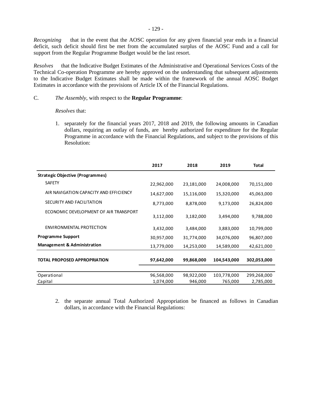*Recognizing* that in the event that the AOSC operation for any given financial year ends in a financial deficit, such deficit should first be met from the accumulated surplus of the AOSC Fund and a call for support from the Regular Programme Budget would be the last resort.

*Resolves* that the Indicative Budget Estimates of the Administrative and Operational Services Costs of the Technical Co-operation Programme are hereby approved on the understanding that subsequent adjustments to the Indicative Budget Estimates shall be made within the framework of the annual AOSC Budget Estimates in accordance with the provisions of Article IX of the Financial Regulations.

## C. *The Assembly*, with respect to the **Regular Programme**:

 *Resolves* that:

1. separately for the financial years 2017, 2018 and 2019, the following amounts in Canadian dollars, requiring an outlay of funds, are hereby authorized for expenditure for the Regular Programme in accordance with the Financial Regulations, and subject to the provisions of this Resolution:

|                                         | 2017       | 2018       | 2019        | <b>Total</b> |
|-----------------------------------------|------------|------------|-------------|--------------|
| <b>Strategic Objective (Programmes)</b> |            |            |             |              |
| <b>SAFETY</b>                           | 22,962,000 | 23,181,000 | 24,008,000  | 70,151,000   |
| AIR NAVIGATION CAPACITY AND EFFICIENCY  | 14,627,000 | 15,116,000 | 15,320,000  | 45,063,000   |
| SECURITY AND FACILITATION               | 8,773,000  | 8,878,000  | 9,173,000   | 26,824,000   |
| ECONOMIC DEVELOPMENT OF AIR TRANSPORT   | 3,112,000  | 3,182,000  | 3,494,000   | 9,788,000    |
| ENVIRONMENTAL PROTECTION                | 3,432,000  | 3,484,000  | 3,883,000   | 10,799,000   |
| <b>Programme Support</b>                | 30,957,000 | 31,774,000 | 34,076,000  | 96,807,000   |
| <b>Management &amp; Administration</b>  | 13,779,000 | 14,253,000 | 14,589,000  | 42,621,000   |
| <b>TOTAL PROPOSED APPROPRIATION</b>     | 97,642,000 | 99,868,000 | 104,543,000 | 302,053,000  |
|                                         |            |            |             |              |
| Operational                             | 96,568,000 | 98,922,000 | 103,778,000 | 299,268,000  |
| Capital                                 | 1,074,000  | 946,000    | 765,000     | 2,785,000    |

2. the separate annual Total Authorized Appropriation be financed as follows in Canadian dollars, in accordance with the Financial Regulations: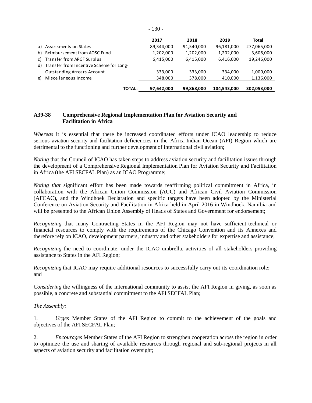|    |                                          | 2017       | 2018       | 2019        | Total       |
|----|------------------------------------------|------------|------------|-------------|-------------|
|    | a) Assessments on States                 | 89,344,000 | 91,540,000 | 96,181,000  | 277,065,000 |
| b) | Reimbursement from AOSC Fund             | 1,202,000  | 1,202,000  | 1,202,000   | 3,606,000   |
| C) | Transfer from ARGF Surplus               | 6,415,000  | 6,415,000  | 6,416,000   | 19,246,000  |
| d) | Transfer from Incentive Scheme for Long- |            |            |             |             |
|    | <b>Outstanding Arrears Account</b>       | 333,000    | 333,000    | 334.000     | 1,000,000   |
| e) | Miscellaneous Income                     | 348,000    | 378,000    | 410,000     | 1,136,000   |
|    | <b>TOTAL:</b>                            | 97,642,000 | 99,868,000 | 104,543,000 | 302,053,000 |

## **A39-38 Comprehensive Regional Implementation Plan for Aviation Security and Facilitation in Africa**

*Whereas* it is essential that there be increased coordinated efforts under ICAO leadership to reduce serious aviation security and facilitation deficiencies in the Africa-Indian Ocean (AFI) Region which are detrimental to the functioning and further development of international civil aviation;

*Noting* that the Council of ICAO has taken steps to address aviation security and facilitation issues through the development of a Comprehensive Regional Implementation Plan for Aviation Security and Facilitation in Africa (the AFI SECFAL Plan) as an ICAO Programme;

*Noting that* significant effort has been made towards reaffirming political commitment in Africa, in collaboration with the African Union Commission (AUC) and African Civil Aviation Commission (AFCAC), and the Windhoek Declaration and specific targets have been adopted by the Ministerial Conference on Aviation Security and Facilitation in Africa held in April 2016 in Windhoek, Namibia and will be presented to the African Union Assembly of Heads of States and Government for endorsement;

*Recognizing* that many Contracting States in the AFI Region may not have sufficient technical or financial resources to comply with the requirements of the Chicago Convention and its Annexes and therefore rely on ICAO, development partners, industry and other stakeholders for expertise and assistance;

*Recognizing* the need to coordinate, under the ICAO umbrella, activities of all stakeholders providing assistance to States in the AFI Region;

*Recognizing* that ICAO may require additional resources to successfully carry out its coordination role; and

*Considering* the willingness of the international community to assist the AFI Region in giving, as soon as possible, a concrete and substantial commitment to the AFI SECFAL Plan;

*The Assembly:*

1. *Urges* Member States of the AFI Region to commit to the achievement of the goals and objectives of the AFI SECFAL Plan;

2. *Encourages* Member States of the AFI Region to strengthen cooperation across the region in order to optimize the use and sharing of available resources through regional and sub-regional projects in all aspects of aviation security and facilitation oversight;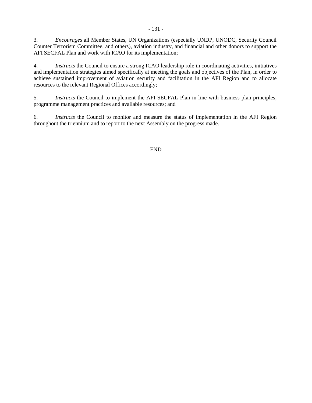3. *Encourages* all Member States, UN Organizations (especially UNDP, UNODC, Security Council Counter Terrorism Committee, and others), aviation industry, and financial and other donors to support the AFI SECFAL Plan and work with ICAO for its implementation;

4. *Instructs* the Council to ensure a strong ICAO leadership role in coordinating activities, initiatives and implementation strategies aimed specifically at meeting the goals and objectives of the Plan, in order to achieve sustained improvement of aviation security and facilitation in the AFI Region and to allocate resources to the relevant Regional Offices accordingly;

5. *Instructs* the Council to implement the AFI SECFAL Plan in line with business plan principles, programme management practices and available resources; and

6. *Instructs* the Council to monitor and measure the status of implementation in the AFI Region throughout the triennium and to report to the next Assembly on the progress made.

 $-$  END  $-$